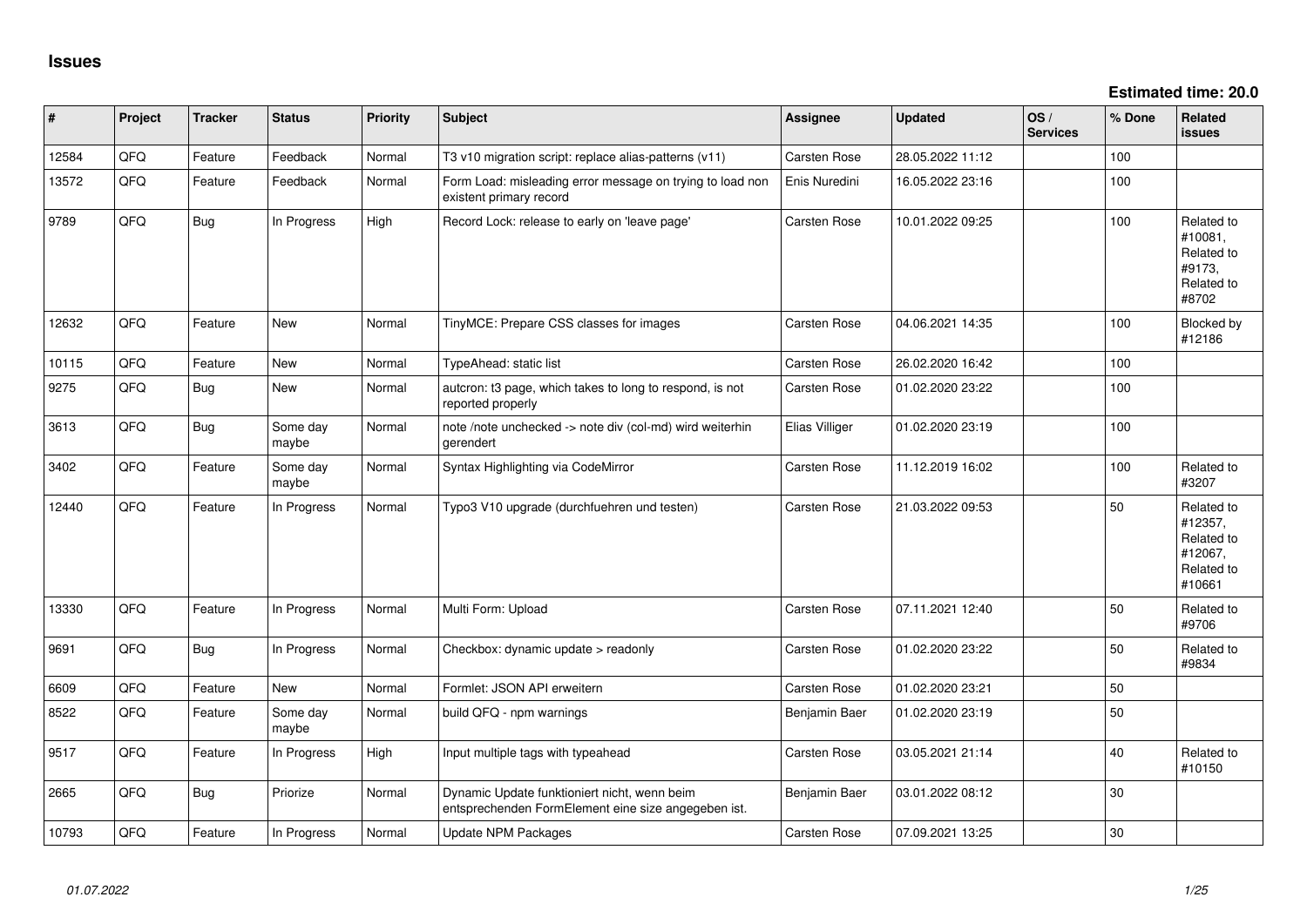**Estimated time: 20.0**

| ∦     | Project | <b>Tracker</b> | <b>Status</b>     | <b>Priority</b> | <b>Subject</b>                                                                                      | Assignee            | <b>Updated</b>   | $\log$<br><b>Services</b> | % Done | Related<br><b>issues</b>                                               |
|-------|---------|----------------|-------------------|-----------------|-----------------------------------------------------------------------------------------------------|---------------------|------------------|---------------------------|--------|------------------------------------------------------------------------|
| 12584 | QFQ     | Feature        | Feedback          | Normal          | T3 v10 migration script: replace alias-patterns (v11)                                               | Carsten Rose        | 28.05.2022 11:12 |                           | 100    |                                                                        |
| 13572 | QFQ     | Feature        | Feedback          | Normal          | Form Load: misleading error message on trying to load non<br>existent primary record                | Enis Nuredini       | 16.05.2022 23:16 |                           | 100    |                                                                        |
| 9789  | QFQ     | <b>Bug</b>     | In Progress       | High            | Record Lock: release to early on 'leave page'                                                       | Carsten Rose        | 10.01.2022 09:25 |                           | 100    | Related to<br>#10081,<br>Related to<br>#9173,<br>Related to<br>#8702   |
| 12632 | QFQ     | Feature        | New               | Normal          | TinyMCE: Prepare CSS classes for images                                                             | <b>Carsten Rose</b> | 04.06.2021 14:35 |                           | 100    | Blocked by<br>#12186                                                   |
| 10115 | QFQ     | Feature        | <b>New</b>        | Normal          | TypeAhead: static list                                                                              | Carsten Rose        | 26.02.2020 16:42 |                           | 100    |                                                                        |
| 9275  | QFQ     | <b>Bug</b>     | New               | Normal          | autcron: t3 page, which takes to long to respond, is not<br>reported properly                       | <b>Carsten Rose</b> | 01.02.2020 23:22 |                           | 100    |                                                                        |
| 3613  | QFQ     | <b>Bug</b>     | Some day<br>maybe | Normal          | note /note unchecked -> note div (col-md) wird weiterhin<br>gerendert                               | Elias Villiger      | 01.02.2020 23:19 |                           | 100    |                                                                        |
| 3402  | QFQ     | Feature        | Some day<br>maybe | Normal          | Syntax Highlighting via CodeMirror                                                                  | <b>Carsten Rose</b> | 11.12.2019 16:02 |                           | 100    | Related to<br>#3207                                                    |
| 12440 | QFQ     | Feature        | In Progress       | Normal          | Typo3 V10 upgrade (durchfuehren und testen)                                                         | Carsten Rose        | 21.03.2022 09:53 |                           | 50     | Related to<br>#12357,<br>Related to<br>#12067,<br>Related to<br>#10661 |
| 13330 | QFQ     | Feature        | In Progress       | Normal          | Multi Form: Upload                                                                                  | Carsten Rose        | 07.11.2021 12:40 |                           | 50     | Related to<br>#9706                                                    |
| 9691  | QFQ     | Bug            | In Progress       | Normal          | Checkbox: dynamic update > readonly                                                                 | Carsten Rose        | 01.02.2020 23:22 |                           | 50     | Related to<br>#9834                                                    |
| 6609  | QFQ     | Feature        | New               | Normal          | Formlet: JSON API erweitern                                                                         | Carsten Rose        | 01.02.2020 23:21 |                           | 50     |                                                                        |
| 8522  | QFQ     | Feature        | Some day<br>maybe | Normal          | build QFQ - npm warnings                                                                            | Benjamin Baer       | 01.02.2020 23:19 |                           | 50     |                                                                        |
| 9517  | QFQ     | Feature        | In Progress       | High            | Input multiple tags with typeahead                                                                  | <b>Carsten Rose</b> | 03.05.2021 21:14 |                           | 40     | Related to<br>#10150                                                   |
| 2665  | QFQ     | <b>Bug</b>     | Priorize          | Normal          | Dynamic Update funktioniert nicht, wenn beim<br>entsprechenden FormElement eine size angegeben ist. | Benjamin Baer       | 03.01.2022 08:12 |                           | 30     |                                                                        |
| 10793 | QFQ     | Feature        | In Progress       | Normal          | Update NPM Packages                                                                                 | <b>Carsten Rose</b> | 07.09.2021 13:25 |                           | $30\,$ |                                                                        |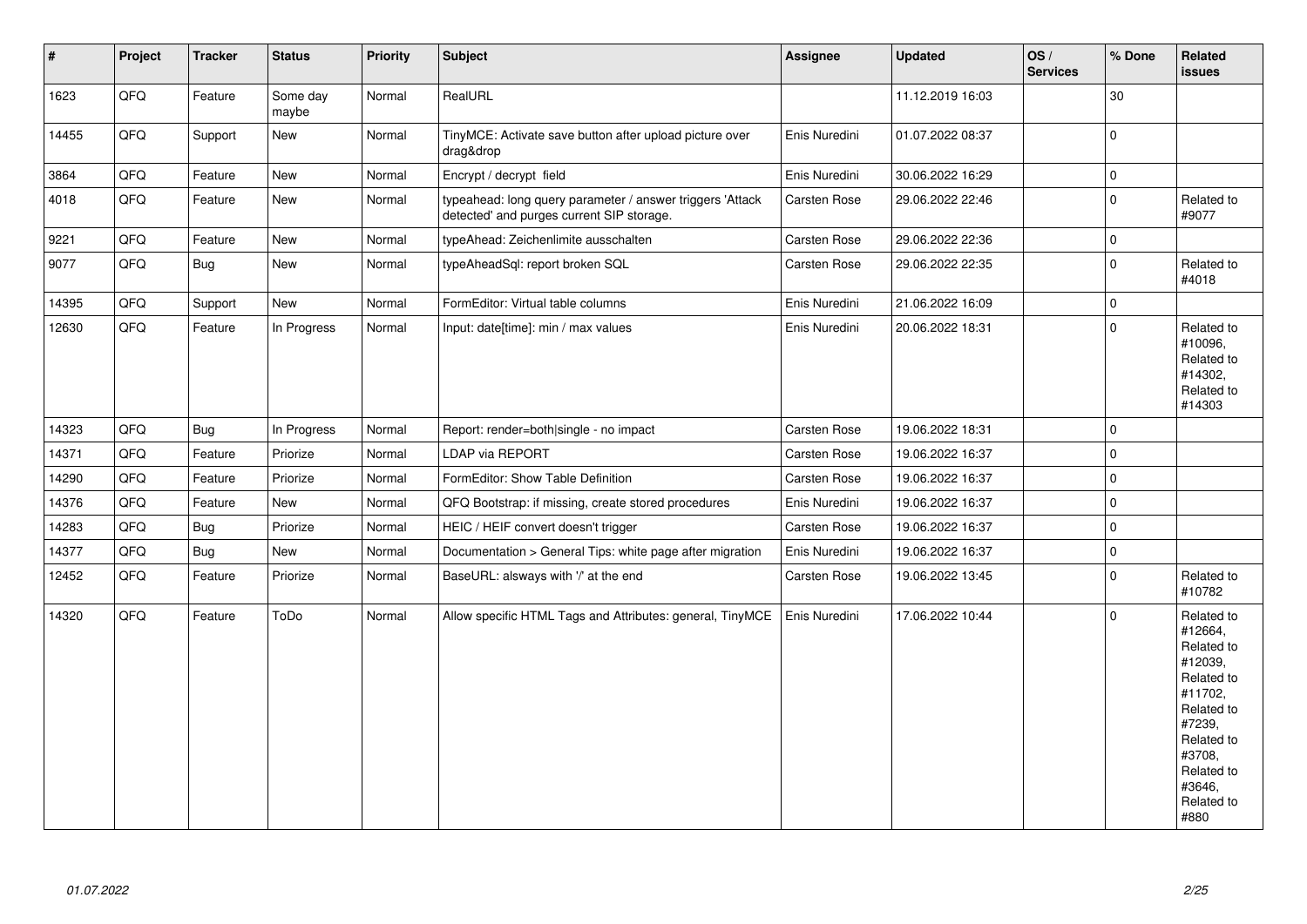| $\sharp$ | Project | <b>Tracker</b> | <b>Status</b>     | <b>Priority</b> | <b>Subject</b>                                                                                         | Assignee      | <b>Updated</b>   | OS/<br><b>Services</b> | % Done      | Related<br><b>issues</b>                                                                                                                                              |
|----------|---------|----------------|-------------------|-----------------|--------------------------------------------------------------------------------------------------------|---------------|------------------|------------------------|-------------|-----------------------------------------------------------------------------------------------------------------------------------------------------------------------|
| 1623     | QFQ     | Feature        | Some day<br>maybe | Normal          | RealURL                                                                                                |               | 11.12.2019 16:03 |                        | 30          |                                                                                                                                                                       |
| 14455    | QFQ     | Support        | <b>New</b>        | Normal          | TinyMCE: Activate save button after upload picture over<br>drag&drop                                   | Enis Nuredini | 01.07.2022 08:37 |                        | $\mathbf 0$ |                                                                                                                                                                       |
| 3864     | QFQ     | Feature        | <b>New</b>        | Normal          | Encrypt / decrypt field                                                                                | Enis Nuredini | 30.06.2022 16:29 |                        | $\mathsf 0$ |                                                                                                                                                                       |
| 4018     | QFQ     | Feature        | New               | Normal          | typeahead: long query parameter / answer triggers 'Attack<br>detected' and purges current SIP storage. | Carsten Rose  | 29.06.2022 22:46 |                        | $\mathbf 0$ | Related to<br>#9077                                                                                                                                                   |
| 9221     | QFQ     | Feature        | New               | Normal          | typeAhead: Zeichenlimite ausschalten                                                                   | Carsten Rose  | 29.06.2022 22:36 |                        | $\mathbf 0$ |                                                                                                                                                                       |
| 9077     | QFQ     | Bug            | New               | Normal          | typeAheadSql: report broken SQL                                                                        | Carsten Rose  | 29.06.2022 22:35 |                        | $\Omega$    | Related to<br>#4018                                                                                                                                                   |
| 14395    | QFQ     | Support        | <b>New</b>        | Normal          | FormEditor: Virtual table columns                                                                      | Enis Nuredini | 21.06.2022 16:09 |                        | $\mathbf 0$ |                                                                                                                                                                       |
| 12630    | QFQ     | Feature        | In Progress       | Normal          | Input: date[time]: min / max values                                                                    | Enis Nuredini | 20.06.2022 18:31 |                        | $\mathbf 0$ | Related to<br>#10096,<br>Related to<br>#14302,<br>Related to<br>#14303                                                                                                |
| 14323    | QFQ     | Bug            | In Progress       | Normal          | Report: render=both single - no impact                                                                 | Carsten Rose  | 19.06.2022 18:31 |                        | $\Omega$    |                                                                                                                                                                       |
| 14371    | QFQ     | Feature        | Priorize          | Normal          | LDAP via REPORT                                                                                        | Carsten Rose  | 19.06.2022 16:37 |                        | $\mathbf 0$ |                                                                                                                                                                       |
| 14290    | QFQ     | Feature        | Priorize          | Normal          | FormEditor: Show Table Definition                                                                      | Carsten Rose  | 19.06.2022 16:37 |                        | $\mathbf 0$ |                                                                                                                                                                       |
| 14376    | QFQ     | Feature        | New               | Normal          | QFQ Bootstrap: if missing, create stored procedures                                                    | Enis Nuredini | 19.06.2022 16:37 |                        | $\Omega$    |                                                                                                                                                                       |
| 14283    | QFQ     | <b>Bug</b>     | Priorize          | Normal          | HEIC / HEIF convert doesn't trigger                                                                    | Carsten Rose  | 19.06.2022 16:37 |                        | $\mathbf 0$ |                                                                                                                                                                       |
| 14377    | QFQ     | Bug            | <b>New</b>        | Normal          | Documentation > General Tips: white page after migration                                               | Enis Nuredini | 19.06.2022 16:37 |                        | 0           |                                                                                                                                                                       |
| 12452    | QFQ     | Feature        | Priorize          | Normal          | BaseURL: alsways with '/' at the end                                                                   | Carsten Rose  | 19.06.2022 13:45 |                        | $\mathbf 0$ | Related to<br>#10782                                                                                                                                                  |
| 14320    | QFQ     | Feature        | ToDo              | Normal          | Allow specific HTML Tags and Attributes: general, TinyMCE                                              | Enis Nuredini | 17.06.2022 10:44 |                        | $\Omega$    | Related to<br>#12664,<br>Related to<br>#12039,<br>Related to<br>#11702,<br>Related to<br>#7239,<br>Related to<br>#3708,<br>Related to<br>#3646,<br>Related to<br>#880 |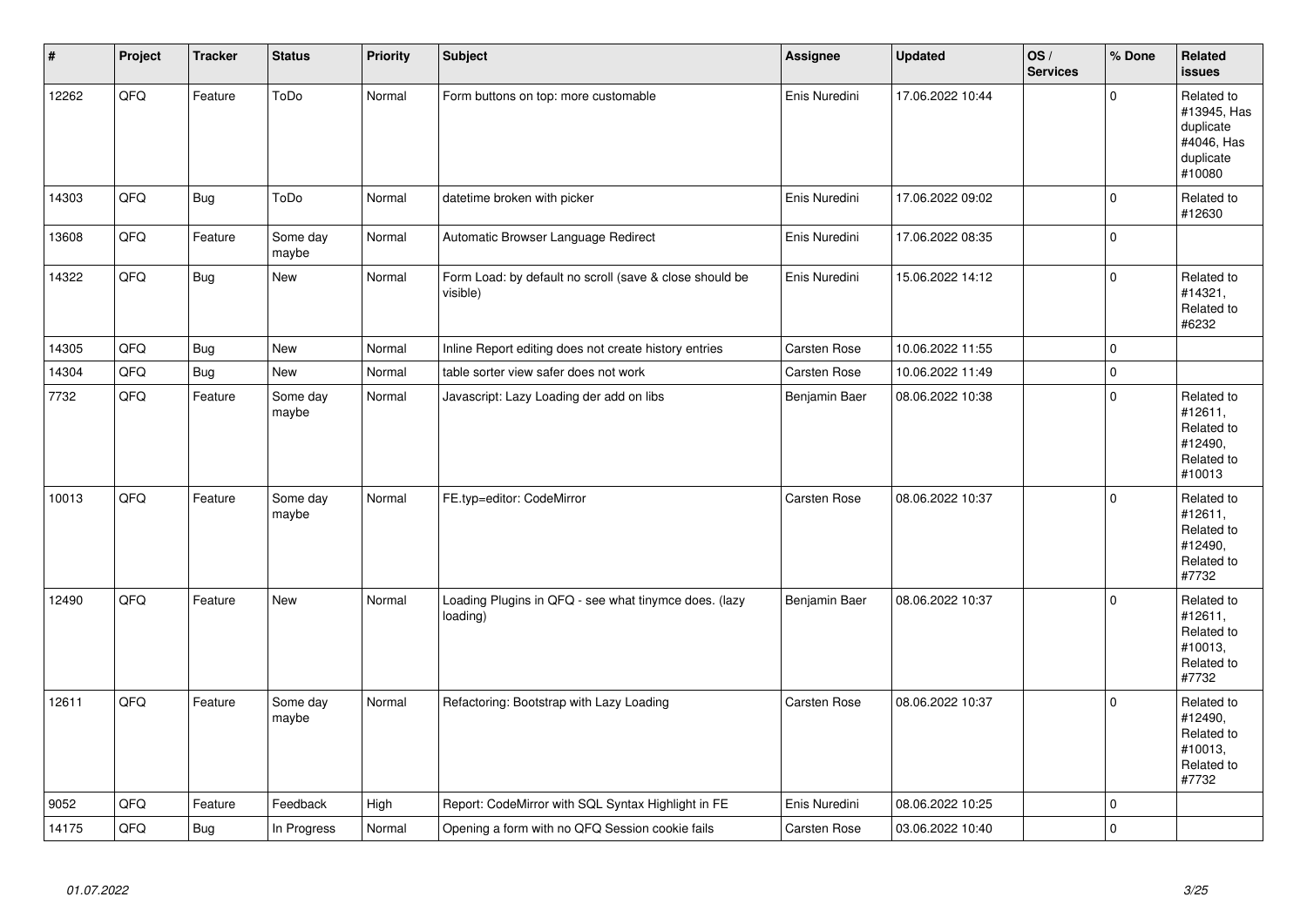| $\vert$ # | Project | <b>Tracker</b> | <b>Status</b>     | Priority | <b>Subject</b>                                                      | <b>Assignee</b>     | <b>Updated</b>   | OS/<br><b>Services</b> | % Done      | Related<br><b>issues</b>                                                    |
|-----------|---------|----------------|-------------------|----------|---------------------------------------------------------------------|---------------------|------------------|------------------------|-------------|-----------------------------------------------------------------------------|
| 12262     | QFQ     | Feature        | ToDo              | Normal   | Form buttons on top: more customable                                | Enis Nuredini       | 17.06.2022 10:44 |                        | $\Omega$    | Related to<br>#13945, Has<br>duplicate<br>#4046, Has<br>duplicate<br>#10080 |
| 14303     | QFQ     | <b>Bug</b>     | ToDo              | Normal   | datetime broken with picker                                         | Enis Nuredini       | 17.06.2022 09:02 |                        | $\mathbf 0$ | Related to<br>#12630                                                        |
| 13608     | QFQ     | Feature        | Some day<br>maybe | Normal   | Automatic Browser Language Redirect                                 | Enis Nuredini       | 17.06.2022 08:35 |                        | $\Omega$    |                                                                             |
| 14322     | QFQ     | Bug            | New               | Normal   | Form Load: by default no scroll (save & close should be<br>visible) | Enis Nuredini       | 15.06.2022 14:12 |                        | $\Omega$    | Related to<br>#14321,<br>Related to<br>#6232                                |
| 14305     | QFQ     | Bug            | <b>New</b>        | Normal   | Inline Report editing does not create history entries               | <b>Carsten Rose</b> | 10.06.2022 11:55 |                        | $\mathbf 0$ |                                                                             |
| 14304     | QFQ     | <b>Bug</b>     | New               | Normal   | table sorter view safer does not work                               | <b>Carsten Rose</b> | 10.06.2022 11:49 |                        | $\mathsf 0$ |                                                                             |
| 7732      | QFQ     | Feature        | Some day<br>maybe | Normal   | Javascript: Lazy Loading der add on libs                            | Benjamin Baer       | 08.06.2022 10:38 |                        | $\Omega$    | Related to<br>#12611,<br>Related to<br>#12490,<br>Related to<br>#10013      |
| 10013     | QFQ     | Feature        | Some day<br>maybe | Normal   | FE.typ=editor: CodeMirror                                           | Carsten Rose        | 08.06.2022 10:37 |                        | $\Omega$    | Related to<br>#12611,<br>Related to<br>#12490,<br>Related to<br>#7732       |
| 12490     | QFQ     | Feature        | <b>New</b>        | Normal   | Loading Plugins in QFQ - see what tinymce does. (lazy<br>loading)   | Benjamin Baer       | 08.06.2022 10:37 |                        | $\Omega$    | Related to<br>#12611,<br>Related to<br>#10013,<br>Related to<br>#7732       |
| 12611     | QFQ     | Feature        | Some day<br>maybe | Normal   | Refactoring: Bootstrap with Lazy Loading                            | <b>Carsten Rose</b> | 08.06.2022 10:37 |                        | $\Omega$    | Related to<br>#12490,<br>Related to<br>#10013,<br>Related to<br>#7732       |
| 9052      | QFQ     | Feature        | Feedback          | High     | Report: CodeMirror with SQL Syntax Highlight in FE                  | Enis Nuredini       | 08.06.2022 10:25 |                        | $\mathbf 0$ |                                                                             |
| 14175     | QFQ     | <b>Bug</b>     | In Progress       | Normal   | Opening a form with no QFQ Session cookie fails                     | Carsten Rose        | 03.06.2022 10:40 |                        | $\mathbf 0$ |                                                                             |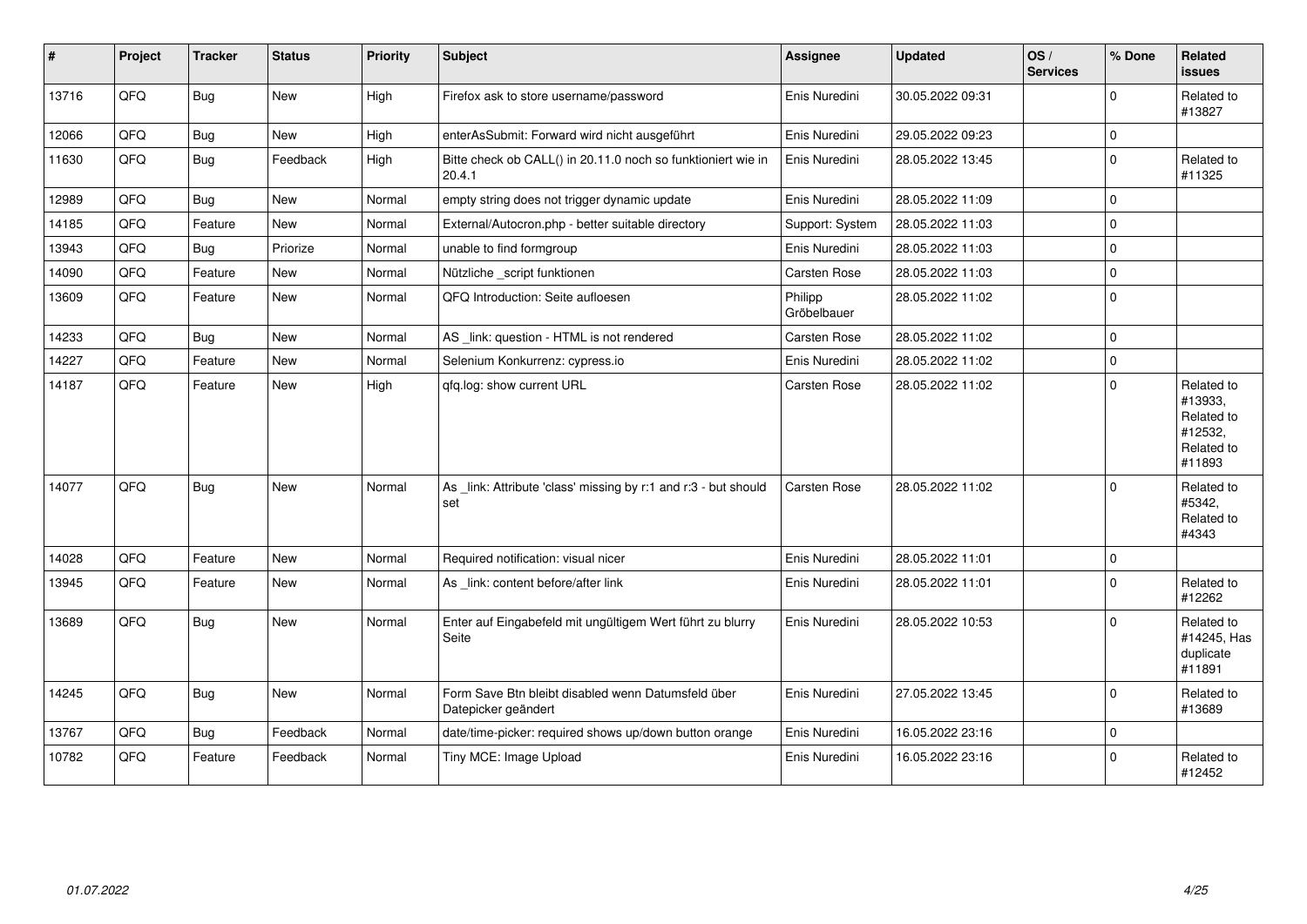| $\pmb{\sharp}$ | Project | <b>Tracker</b> | <b>Status</b> | <b>Priority</b> | <b>Subject</b>                                                            | Assignee               | <b>Updated</b>   | OS/<br><b>Services</b> | % Done      | Related<br><b>issues</b>                                               |
|----------------|---------|----------------|---------------|-----------------|---------------------------------------------------------------------------|------------------------|------------------|------------------------|-------------|------------------------------------------------------------------------|
| 13716          | QFQ     | <b>Bug</b>     | New           | High            | Firefox ask to store username/password                                    | Enis Nuredini          | 30.05.2022 09:31 |                        | $\mathbf 0$ | Related to<br>#13827                                                   |
| 12066          | QFQ     | <b>Bug</b>     | New           | High            | enterAsSubmit: Forward wird nicht ausgeführt                              | Enis Nuredini          | 29.05.2022 09:23 |                        | $\mathbf 0$ |                                                                        |
| 11630          | QFQ     | Bug            | Feedback      | High            | Bitte check ob CALL() in 20.11.0 noch so funktioniert wie in<br>20.4.1    | Enis Nuredini          | 28.05.2022 13:45 |                        | $\mathbf 0$ | Related to<br>#11325                                                   |
| 12989          | QFQ     | Bug            | <b>New</b>    | Normal          | empty string does not trigger dynamic update                              | Enis Nuredini          | 28.05.2022 11:09 |                        | $\mathbf 0$ |                                                                        |
| 14185          | QFQ     | Feature        | New           | Normal          | External/Autocron.php - better suitable directory                         | Support: System        | 28.05.2022 11:03 |                        | $\pmb{0}$   |                                                                        |
| 13943          | QFQ     | <b>Bug</b>     | Priorize      | Normal          | unable to find formgroup                                                  | Enis Nuredini          | 28.05.2022 11:03 |                        | $\mathbf 0$ |                                                                        |
| 14090          | QFQ     | Feature        | New           | Normal          | Nützliche _script funktionen                                              | Carsten Rose           | 28.05.2022 11:03 |                        | $\mathbf 0$ |                                                                        |
| 13609          | QFQ     | Feature        | <b>New</b>    | Normal          | QFQ Introduction: Seite aufloesen                                         | Philipp<br>Gröbelbauer | 28.05.2022 11:02 |                        | $\Omega$    |                                                                        |
| 14233          | QFQ     | Bug            | New           | Normal          | AS_link: question - HTML is not rendered                                  | Carsten Rose           | 28.05.2022 11:02 |                        | $\mathbf 0$ |                                                                        |
| 14227          | QFQ     | Feature        | New           | Normal          | Selenium Konkurrenz: cypress.io                                           | Enis Nuredini          | 28.05.2022 11:02 |                        | $\mathbf 0$ |                                                                        |
| 14187          | QFQ     | Feature        | New           | High            | qfq.log: show current URL                                                 | <b>Carsten Rose</b>    | 28.05.2022 11:02 |                        | $\Omega$    | Related to<br>#13933,<br>Related to<br>#12532,<br>Related to<br>#11893 |
| 14077          | QFQ     | <b>Bug</b>     | <b>New</b>    | Normal          | As link: Attribute 'class' missing by r:1 and r:3 - but should<br>set     | Carsten Rose           | 28.05.2022 11:02 |                        | $\Omega$    | Related to<br>#5342,<br>Related to<br>#4343                            |
| 14028          | QFQ     | Feature        | <b>New</b>    | Normal          | Required notification: visual nicer                                       | Enis Nuredini          | 28.05.2022 11:01 |                        | $\pmb{0}$   |                                                                        |
| 13945          | QFQ     | Feature        | New           | Normal          | As _link: content before/after link                                       | Enis Nuredini          | 28.05.2022 11:01 |                        | $\mathbf 0$ | Related to<br>#12262                                                   |
| 13689          | QFQ     | <b>Bug</b>     | New           | Normal          | Enter auf Eingabefeld mit ungültigem Wert führt zu blurry<br>Seite        | Enis Nuredini          | 28.05.2022 10:53 |                        | $\Omega$    | Related to<br>#14245, Has<br>duplicate<br>#11891                       |
| 14245          | QFQ     | <b>Bug</b>     | <b>New</b>    | Normal          | Form Save Btn bleibt disabled wenn Datumsfeld über<br>Datepicker geändert | Enis Nuredini          | 27.05.2022 13:45 |                        | $\mathbf 0$ | Related to<br>#13689                                                   |
| 13767          | QFQ     | <b>Bug</b>     | Feedback      | Normal          | date/time-picker: required shows up/down button orange                    | Enis Nuredini          | 16.05.2022 23:16 |                        | $\mathbf 0$ |                                                                        |
| 10782          | QFQ     | Feature        | Feedback      | Normal          | Tiny MCE: Image Upload                                                    | Enis Nuredini          | 16.05.2022 23:16 |                        | 0           | Related to<br>#12452                                                   |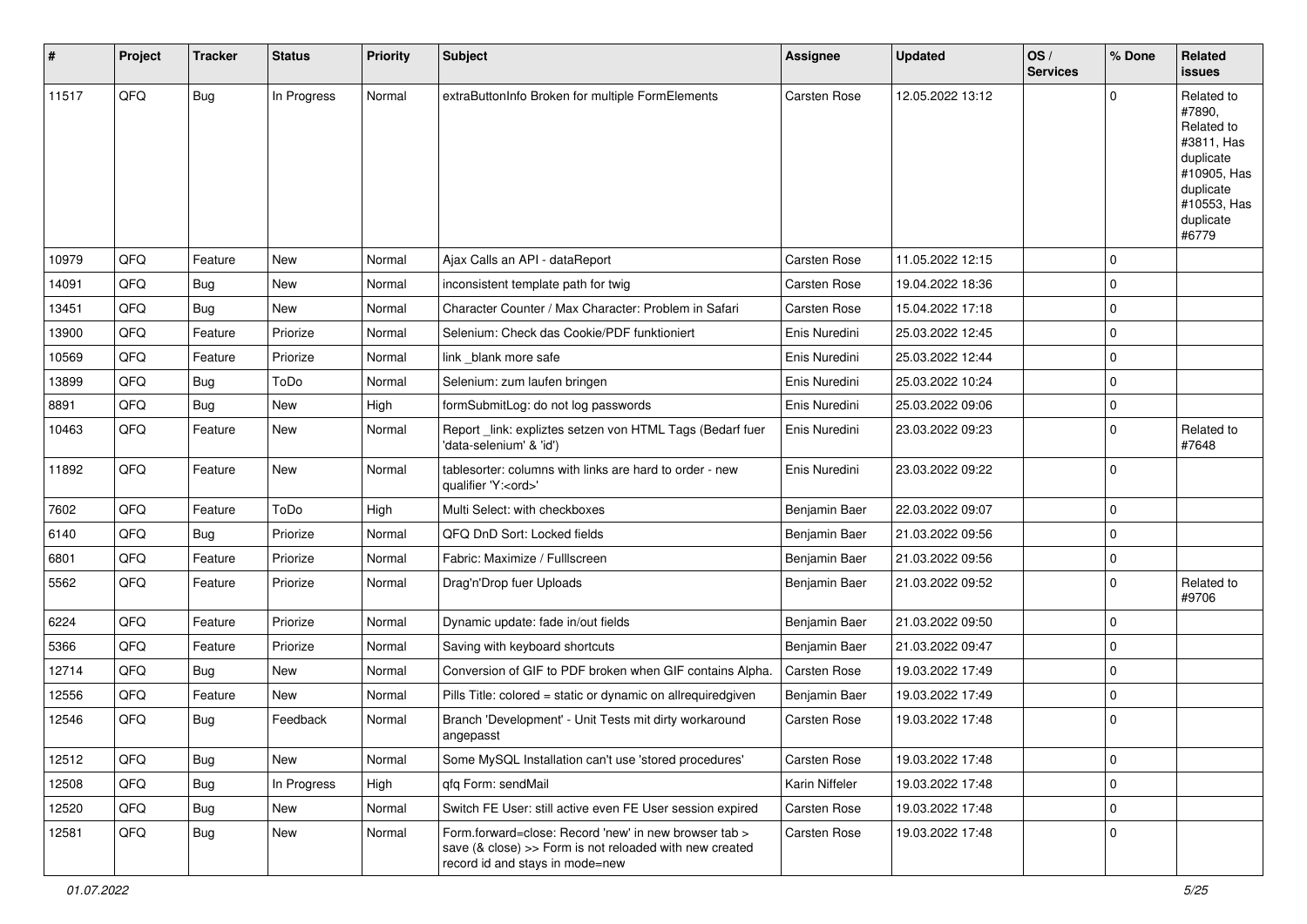| #     | Project | <b>Tracker</b> | <b>Status</b> | Priority | <b>Subject</b>                                                                                                                                      | <b>Assignee</b>     | <b>Updated</b>   | OS/<br><b>Services</b> | % Done      | Related<br><b>issues</b>                                                                                                       |
|-------|---------|----------------|---------------|----------|-----------------------------------------------------------------------------------------------------------------------------------------------------|---------------------|------------------|------------------------|-------------|--------------------------------------------------------------------------------------------------------------------------------|
| 11517 | QFQ     | Bug            | In Progress   | Normal   | extraButtonInfo Broken for multiple FormElements                                                                                                    | Carsten Rose        | 12.05.2022 13:12 |                        | 0           | Related to<br>#7890,<br>Related to<br>#3811, Has<br>duplicate<br>#10905, Has<br>duplicate<br>#10553, Has<br>duplicate<br>#6779 |
| 10979 | QFQ     | Feature        | <b>New</b>    | Normal   | Ajax Calls an API - dataReport                                                                                                                      | Carsten Rose        | 11.05.2022 12:15 |                        | 0           |                                                                                                                                |
| 14091 | QFQ     | <b>Bug</b>     | <b>New</b>    | Normal   | inconsistent template path for twig                                                                                                                 | Carsten Rose        | 19.04.2022 18:36 |                        | 0           |                                                                                                                                |
| 13451 | QFQ     | Bug            | <b>New</b>    | Normal   | Character Counter / Max Character: Problem in Safari                                                                                                | Carsten Rose        | 15.04.2022 17:18 |                        | 0           |                                                                                                                                |
| 13900 | QFQ     | Feature        | Priorize      | Normal   | Selenium: Check das Cookie/PDF funktioniert                                                                                                         | Enis Nuredini       | 25.03.2022 12:45 |                        | 0           |                                                                                                                                |
| 10569 | QFQ     | Feature        | Priorize      | Normal   | link blank more safe                                                                                                                                | Enis Nuredini       | 25.03.2022 12:44 |                        | 0           |                                                                                                                                |
| 13899 | QFQ     | <b>Bug</b>     | ToDo          | Normal   | Selenium: zum laufen bringen                                                                                                                        | Enis Nuredini       | 25.03.2022 10:24 |                        | 0           |                                                                                                                                |
| 8891  | QFQ     | <b>Bug</b>     | <b>New</b>    | High     | formSubmitLog: do not log passwords                                                                                                                 | Enis Nuredini       | 25.03.2022 09:06 |                        | 0           |                                                                                                                                |
| 10463 | QFQ     | Feature        | <b>New</b>    | Normal   | Report_link: expliztes setzen von HTML Tags (Bedarf fuer<br>'data-selenium' & 'id')                                                                 | Enis Nuredini       | 23.03.2022 09:23 |                        | 0           | Related to<br>#7648                                                                                                            |
| 11892 | QFQ     | Feature        | <b>New</b>    | Normal   | tablesorter: columns with links are hard to order - new<br>qualifier 'Y: <ord>'</ord>                                                               | Enis Nuredini       | 23.03.2022 09:22 |                        | 0           |                                                                                                                                |
| 7602  | QFQ     | Feature        | ToDo          | High     | Multi Select: with checkboxes                                                                                                                       | Benjamin Baer       | 22.03.2022 09:07 |                        | 0           |                                                                                                                                |
| 6140  | QFQ     | <b>Bug</b>     | Priorize      | Normal   | QFQ DnD Sort: Locked fields                                                                                                                         | Benjamin Baer       | 21.03.2022 09:56 |                        | 0           |                                                                                                                                |
| 6801  | QFQ     | Feature        | Priorize      | Normal   | Fabric: Maximize / FullIscreen                                                                                                                      | Benjamin Baer       | 21.03.2022 09:56 |                        | 0           |                                                                                                                                |
| 5562  | QFQ     | Feature        | Priorize      | Normal   | Drag'n'Drop fuer Uploads                                                                                                                            | Benjamin Baer       | 21.03.2022 09:52 |                        | $\mathbf 0$ | Related to<br>#9706                                                                                                            |
| 6224  | QFQ     | Feature        | Priorize      | Normal   | Dynamic update: fade in/out fields                                                                                                                  | Benjamin Baer       | 21.03.2022 09:50 |                        | 0           |                                                                                                                                |
| 5366  | QFQ     | Feature        | Priorize      | Normal   | Saving with keyboard shortcuts                                                                                                                      | Benjamin Baer       | 21.03.2022 09:47 |                        | 0           |                                                                                                                                |
| 12714 | QFQ     | <b>Bug</b>     | New           | Normal   | Conversion of GIF to PDF broken when GIF contains Alpha.                                                                                            | <b>Carsten Rose</b> | 19.03.2022 17:49 |                        | 0           |                                                                                                                                |
| 12556 | QFQ     | Feature        | New           | Normal   | Pills Title: colored = static or dynamic on allrequiredgiven                                                                                        | Benjamin Baer       | 19.03.2022 17:49 |                        | 0           |                                                                                                                                |
| 12546 | QFQ     | <b>Bug</b>     | Feedback      | Normal   | Branch 'Development' - Unit Tests mit dirty workaround<br>angepasst                                                                                 | Carsten Rose        | 19.03.2022 17:48 |                        | 0           |                                                                                                                                |
| 12512 | QFQ     | Bug            | New           | Normal   | Some MySQL Installation can't use 'stored procedures'                                                                                               | Carsten Rose        | 19.03.2022 17:48 |                        | $\mathbf 0$ |                                                                                                                                |
| 12508 | QFQ     | Bug            | In Progress   | High     | gfg Form: sendMail                                                                                                                                  | Karin Niffeler      | 19.03.2022 17:48 |                        | 0           |                                                                                                                                |
| 12520 | QFQ     | Bug            | New           | Normal   | Switch FE User: still active even FE User session expired                                                                                           | Carsten Rose        | 19.03.2022 17:48 |                        | 0           |                                                                                                                                |
| 12581 | QFQ     | <b>Bug</b>     | New           | Normal   | Form.forward=close: Record 'new' in new browser tab ><br>save (& close) >> Form is not reloaded with new created<br>record id and stays in mode=new | Carsten Rose        | 19.03.2022 17:48 |                        | 0           |                                                                                                                                |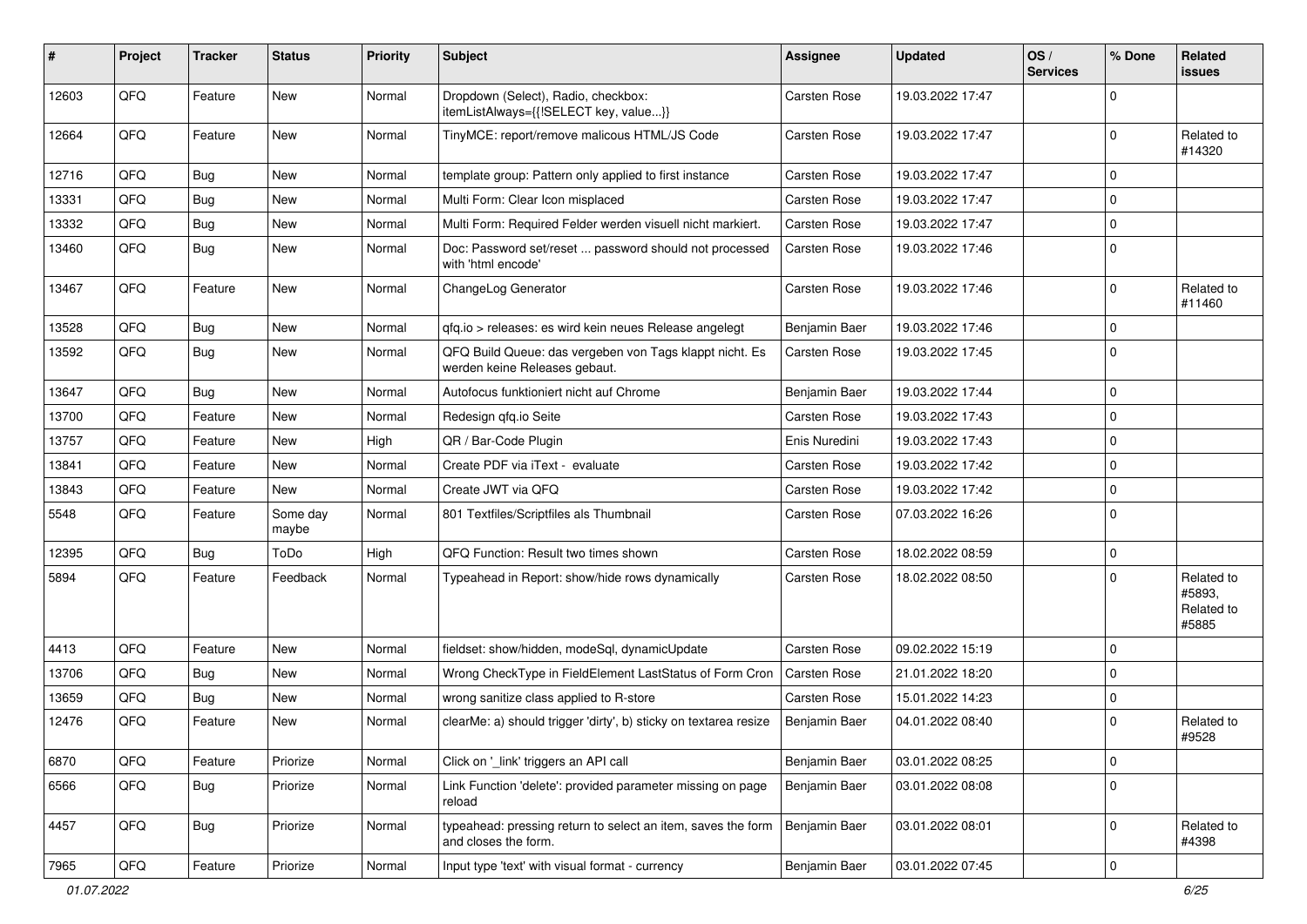| #     | Project | <b>Tracker</b> | <b>Status</b>     | <b>Priority</b> | Subject                                                                                  | Assignee            | <b>Updated</b>   | OS/<br><b>Services</b> | % Done      | Related<br><b>issues</b>                    |
|-------|---------|----------------|-------------------|-----------------|------------------------------------------------------------------------------------------|---------------------|------------------|------------------------|-------------|---------------------------------------------|
| 12603 | QFQ     | Feature        | <b>New</b>        | Normal          | Dropdown (Select), Radio, checkbox:<br>itemListAlways={{!SELECT key, value}}             | <b>Carsten Rose</b> | 19.03.2022 17:47 |                        | $\mathbf 0$ |                                             |
| 12664 | QFQ     | Feature        | New               | Normal          | TinyMCE: report/remove malicous HTML/JS Code                                             | Carsten Rose        | 19.03.2022 17:47 |                        | 0           | Related to<br>#14320                        |
| 12716 | QFQ     | <b>Bug</b>     | <b>New</b>        | Normal          | template group: Pattern only applied to first instance                                   | Carsten Rose        | 19.03.2022 17:47 |                        | 0           |                                             |
| 13331 | QFQ     | <b>Bug</b>     | <b>New</b>        | Normal          | Multi Form: Clear Icon misplaced                                                         | Carsten Rose        | 19.03.2022 17:47 |                        | 0           |                                             |
| 13332 | QFQ     | Bug            | <b>New</b>        | Normal          | Multi Form: Required Felder werden visuell nicht markiert.                               | <b>Carsten Rose</b> | 19.03.2022 17:47 |                        | 0           |                                             |
| 13460 | QFQ     | Bug            | New               | Normal          | Doc: Password set/reset  password should not processed<br>with 'html encode'             | Carsten Rose        | 19.03.2022 17:46 |                        | 0           |                                             |
| 13467 | QFQ     | Feature        | <b>New</b>        | Normal          | ChangeLog Generator                                                                      | Carsten Rose        | 19.03.2022 17:46 |                        | $\mathbf 0$ | Related to<br>#11460                        |
| 13528 | QFQ     | Bug            | <b>New</b>        | Normal          | qfq.io > releases: es wird kein neues Release angelegt                                   | Benjamin Baer       | 19.03.2022 17:46 |                        | 0           |                                             |
| 13592 | QFQ     | Bug            | <b>New</b>        | Normal          | QFQ Build Queue: das vergeben von Tags klappt nicht. Es<br>werden keine Releases gebaut. | Carsten Rose        | 19.03.2022 17:45 |                        | 0           |                                             |
| 13647 | QFQ     | Bug            | <b>New</b>        | Normal          | Autofocus funktioniert nicht auf Chrome                                                  | Benjamin Baer       | 19.03.2022 17:44 |                        | 0           |                                             |
| 13700 | QFQ     | Feature        | <b>New</b>        | Normal          | Redesign qfq.io Seite                                                                    | Carsten Rose        | 19.03.2022 17:43 |                        | 0           |                                             |
| 13757 | QFQ     | Feature        | New               | High            | QR / Bar-Code Plugin                                                                     | Enis Nuredini       | 19.03.2022 17:43 |                        | 0           |                                             |
| 13841 | QFQ     | Feature        | New               | Normal          | Create PDF via iText - evaluate                                                          | Carsten Rose        | 19.03.2022 17:42 |                        | 0           |                                             |
| 13843 | QFQ     | Feature        | New               | Normal          | Create JWT via QFQ                                                                       | Carsten Rose        | 19.03.2022 17:42 |                        | 0           |                                             |
| 5548  | QFQ     | Feature        | Some day<br>maybe | Normal          | 801 Textfiles/Scriptfiles als Thumbnail                                                  | Carsten Rose        | 07.03.2022 16:26 |                        | 0           |                                             |
| 12395 | QFQ     | Bug            | ToDo              | High            | QFQ Function: Result two times shown                                                     | Carsten Rose        | 18.02.2022 08:59 |                        | 0           |                                             |
| 5894  | QFQ     | Feature        | Feedback          | Normal          | Typeahead in Report: show/hide rows dynamically                                          | <b>Carsten Rose</b> | 18.02.2022 08:50 |                        | 0           | Related to<br>#5893,<br>Related to<br>#5885 |
| 4413  | QFQ     | Feature        | <b>New</b>        | Normal          | fieldset: show/hidden, modeSql, dynamicUpdate                                            | Carsten Rose        | 09.02.2022 15:19 |                        | 0           |                                             |
| 13706 | QFQ     | Bug            | <b>New</b>        | Normal          | Wrong CheckType in FieldElement LastStatus of Form Cron                                  | <b>Carsten Rose</b> | 21.01.2022 18:20 |                        | 0           |                                             |
| 13659 | QFQ     | <b>Bug</b>     | <b>New</b>        | Normal          | wrong sanitize class applied to R-store                                                  | Carsten Rose        | 15.01.2022 14:23 |                        | 0           |                                             |
| 12476 | QFQ     | Feature        | New               | Normal          | clearMe: a) should trigger 'dirty', b) sticky on textarea resize                         | Benjamin Baer       | 04.01.2022 08:40 |                        | 0           | Related to<br>#9528                         |
| 6870  | QFQ     | Feature        | Priorize          | Normal          | Click on '_link' triggers an API call                                                    | Benjamin Baer       | 03.01.2022 08:25 |                        | 0           |                                             |
| 6566  | QFQ     | Bug            | Priorize          | Normal          | Link Function 'delete': provided parameter missing on page<br>reload                     | Benjamin Baer       | 03.01.2022 08:08 |                        | $\mathbf 0$ |                                             |
| 4457  | QFQ     | Bug            | Priorize          | Normal          | typeahead: pressing return to select an item, saves the form<br>and closes the form.     | Benjamin Baer       | 03.01.2022 08:01 |                        | 0           | Related to<br>#4398                         |
| 7965  | QFQ     | Feature        | Priorize          | Normal          | Input type 'text' with visual format - currency                                          | Benjamin Baer       | 03.01.2022 07:45 |                        | 0           |                                             |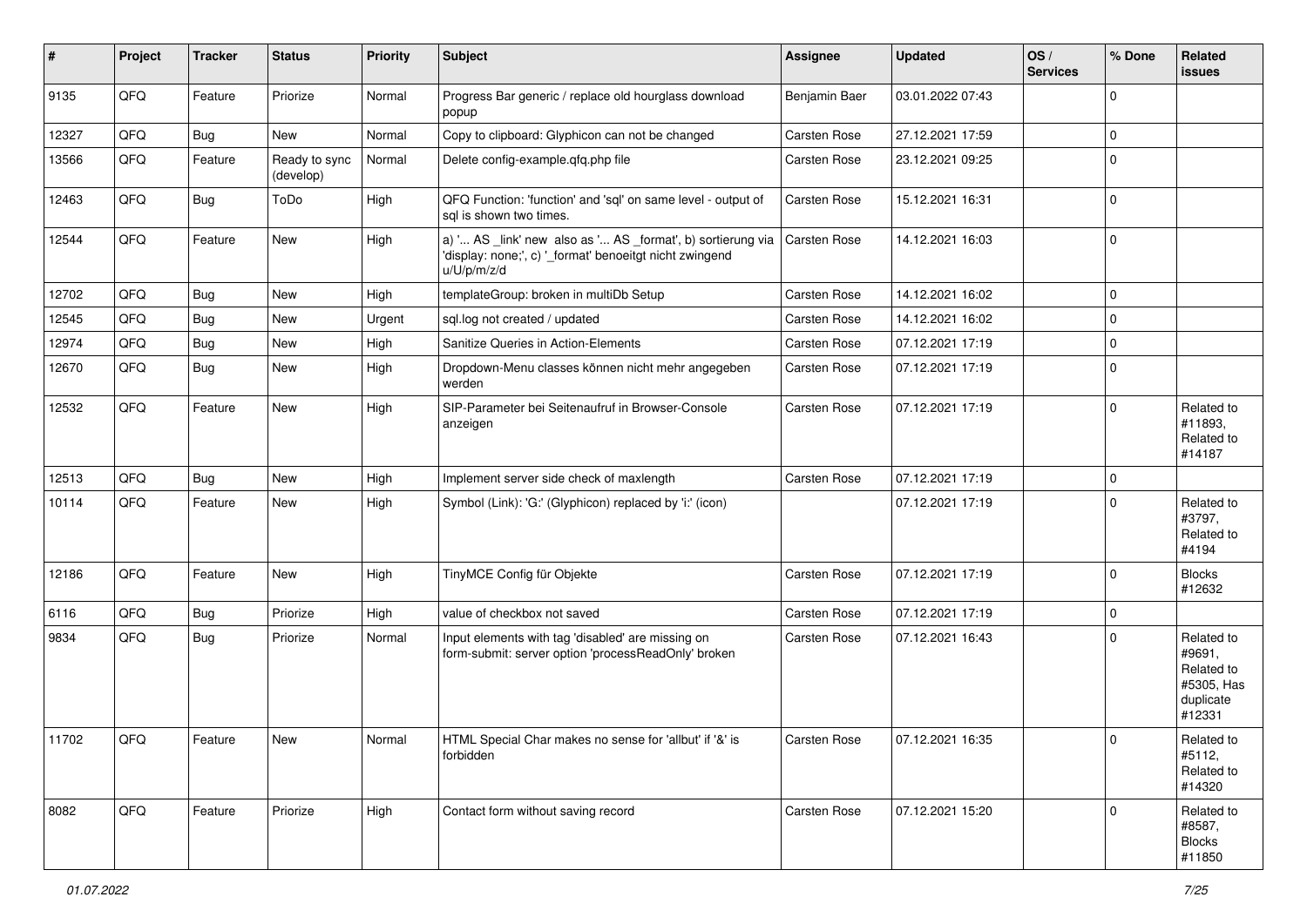| #     | Project | <b>Tracker</b> | <b>Status</b>              | <b>Priority</b> | Subject                                                                                                                               | <b>Assignee</b>     | <b>Updated</b>   | OS/<br><b>Services</b> | % Done      | <b>Related</b><br><b>issues</b>                                         |
|-------|---------|----------------|----------------------------|-----------------|---------------------------------------------------------------------------------------------------------------------------------------|---------------------|------------------|------------------------|-------------|-------------------------------------------------------------------------|
| 9135  | QFQ     | Feature        | Priorize                   | Normal          | Progress Bar generic / replace old hourglass download<br>popup                                                                        | Benjamin Baer       | 03.01.2022 07:43 |                        | $\mathbf 0$ |                                                                         |
| 12327 | QFQ     | <b>Bug</b>     | New                        | Normal          | Copy to clipboard: Glyphicon can not be changed                                                                                       | Carsten Rose        | 27.12.2021 17:59 |                        | $\mathbf 0$ |                                                                         |
| 13566 | QFQ     | Feature        | Ready to sync<br>(develop) | Normal          | Delete config-example.qfq.php file                                                                                                    | Carsten Rose        | 23.12.2021 09:25 |                        | 0           |                                                                         |
| 12463 | QFQ     | <b>Bug</b>     | ToDo                       | High            | QFQ Function: 'function' and 'sql' on same level - output of<br>sal is shown two times.                                               | Carsten Rose        | 15.12.2021 16:31 |                        | $\mathbf 0$ |                                                                         |
| 12544 | QFQ     | Feature        | New                        | High            | a) ' AS _link' new also as ' AS _format', b) sortierung via<br>'display: none;', c) '_format' benoeitgt nicht zwingend<br>u/U/p/m/z/d | <b>Carsten Rose</b> | 14.12.2021 16:03 |                        | $\Omega$    |                                                                         |
| 12702 | QFQ     | <b>Bug</b>     | <b>New</b>                 | High            | templateGroup: broken in multiDb Setup                                                                                                | Carsten Rose        | 14.12.2021 16:02 |                        | 0           |                                                                         |
| 12545 | QFQ     | Bug            | New                        | Urgent          | sql.log not created / updated                                                                                                         | Carsten Rose        | 14.12.2021 16:02 |                        | $\mathbf 0$ |                                                                         |
| 12974 | QFQ     | <b>Bug</b>     | New                        | High            | Sanitize Queries in Action-Elements                                                                                                   | Carsten Rose        | 07.12.2021 17:19 |                        | $\mathbf 0$ |                                                                         |
| 12670 | QFQ     | <b>Bug</b>     | New                        | High            | Dropdown-Menu classes können nicht mehr angegeben<br>werden                                                                           | <b>Carsten Rose</b> | 07.12.2021 17:19 |                        | $\mathbf 0$ |                                                                         |
| 12532 | QFQ     | Feature        | New                        | High            | SIP-Parameter bei Seitenaufruf in Browser-Console<br>anzeigen                                                                         | Carsten Rose        | 07.12.2021 17:19 |                        | $\Omega$    | Related to<br>#11893,<br>Related to<br>#14187                           |
| 12513 | QFQ     | <b>Bug</b>     | New                        | High            | Implement server side check of maxlength                                                                                              | Carsten Rose        | 07.12.2021 17:19 |                        | $\mathbf 0$ |                                                                         |
| 10114 | QFQ     | Feature        | New                        | High            | Symbol (Link): 'G:' (Glyphicon) replaced by 'i:' (icon)                                                                               |                     | 07.12.2021 17:19 |                        | 0           | Related to<br>#3797,<br>Related to<br>#4194                             |
| 12186 | QFQ     | Feature        | New                        | High            | TinyMCE Config für Objekte                                                                                                            | <b>Carsten Rose</b> | 07.12.2021 17:19 |                        | $\mathbf 0$ | <b>Blocks</b><br>#12632                                                 |
| 6116  | QFQ     | <b>Bug</b>     | Priorize                   | High            | value of checkbox not saved                                                                                                           | Carsten Rose        | 07.12.2021 17:19 |                        | 0           |                                                                         |
| 9834  | QFQ     | <b>Bug</b>     | Priorize                   | Normal          | Input elements with tag 'disabled' are missing on<br>form-submit: server option 'processReadOnly' broken                              | Carsten Rose        | 07.12.2021 16:43 |                        | $\Omega$    | Related to<br>#9691,<br>Related to<br>#5305, Has<br>duplicate<br>#12331 |
| 11702 | QFQ     | Feature        | New                        | Normal          | HTML Special Char makes no sense for 'allbut' if '&' is<br>forbidden                                                                  | Carsten Rose        | 07.12.2021 16:35 |                        | 0           | Related to<br>#5112,<br>Related to<br>#14320                            |
| 8082  | QFQ     | Feature        | Priorize                   | High            | Contact form without saving record                                                                                                    | Carsten Rose        | 07.12.2021 15:20 |                        | $\Omega$    | Related to<br>#8587,<br><b>Blocks</b><br>#11850                         |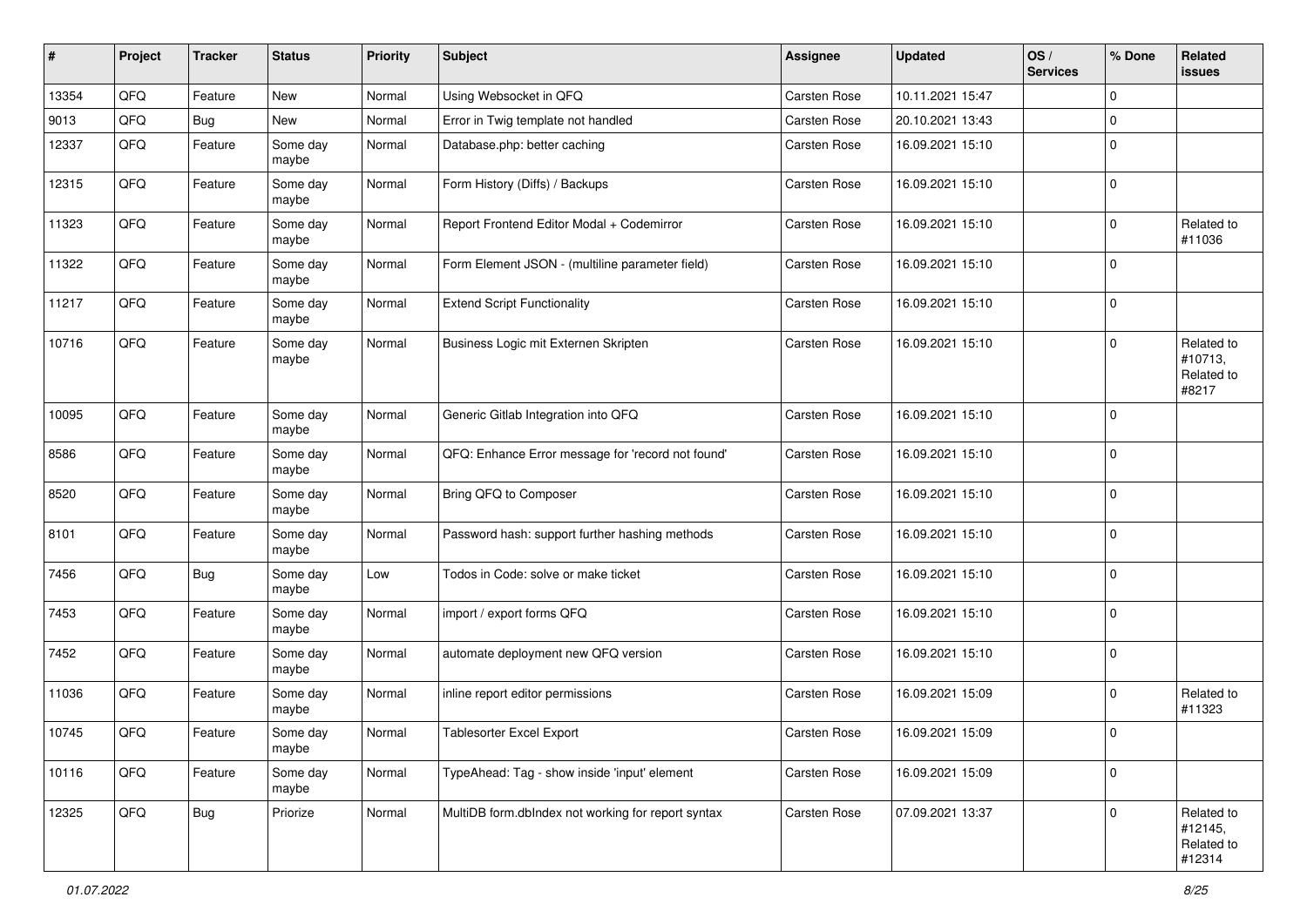| #     | Project | <b>Tracker</b> | <b>Status</b>     | <b>Priority</b> | <b>Subject</b>                                     | <b>Assignee</b>     | <b>Updated</b>   | OS/<br><b>Services</b> | % Done      | Related<br><b>issues</b>                      |
|-------|---------|----------------|-------------------|-----------------|----------------------------------------------------|---------------------|------------------|------------------------|-------------|-----------------------------------------------|
| 13354 | QFQ     | Feature        | New               | Normal          | Using Websocket in QFQ                             | Carsten Rose        | 10.11.2021 15:47 |                        | $\mathbf 0$ |                                               |
| 9013  | QFQ     | <b>Bug</b>     | New               | Normal          | Error in Twig template not handled                 | <b>Carsten Rose</b> | 20.10.2021 13:43 |                        | $\mathbf 0$ |                                               |
| 12337 | QFQ     | Feature        | Some day<br>maybe | Normal          | Database.php: better caching                       | Carsten Rose        | 16.09.2021 15:10 |                        | $\mathbf 0$ |                                               |
| 12315 | QFQ     | Feature        | Some day<br>maybe | Normal          | Form History (Diffs) / Backups                     | Carsten Rose        | 16.09.2021 15:10 |                        | $\mathbf 0$ |                                               |
| 11323 | QFQ     | Feature        | Some day<br>maybe | Normal          | Report Frontend Editor Modal + Codemirror          | Carsten Rose        | 16.09.2021 15:10 |                        | $\mathbf 0$ | Related to<br>#11036                          |
| 11322 | QFQ     | Feature        | Some day<br>maybe | Normal          | Form Element JSON - (multiline parameter field)    | <b>Carsten Rose</b> | 16.09.2021 15:10 |                        | $\mathbf 0$ |                                               |
| 11217 | QFQ     | Feature        | Some day<br>maybe | Normal          | <b>Extend Script Functionality</b>                 | <b>Carsten Rose</b> | 16.09.2021 15:10 |                        | $\mathbf 0$ |                                               |
| 10716 | QFQ     | Feature        | Some day<br>maybe | Normal          | Business Logic mit Externen Skripten               | Carsten Rose        | 16.09.2021 15:10 |                        | $\mathbf 0$ | Related to<br>#10713,<br>Related to<br>#8217  |
| 10095 | QFQ     | Feature        | Some day<br>maybe | Normal          | Generic Gitlab Integration into QFQ                | Carsten Rose        | 16.09.2021 15:10 |                        | $\mathbf 0$ |                                               |
| 8586  | QFQ     | Feature        | Some day<br>maybe | Normal          | QFQ: Enhance Error message for 'record not found'  | Carsten Rose        | 16.09.2021 15:10 |                        | $\mathbf 0$ |                                               |
| 8520  | QFQ     | Feature        | Some day<br>maybe | Normal          | Bring QFQ to Composer                              | Carsten Rose        | 16.09.2021 15:10 |                        | 0           |                                               |
| 8101  | QFQ     | Feature        | Some day<br>maybe | Normal          | Password hash: support further hashing methods     | <b>Carsten Rose</b> | 16.09.2021 15:10 |                        | $\mathbf 0$ |                                               |
| 7456  | QFQ     | Bug            | Some day<br>maybe | Low             | Todos in Code: solve or make ticket                | Carsten Rose        | 16.09.2021 15:10 |                        | $\mathbf 0$ |                                               |
| 7453  | QFQ     | Feature        | Some day<br>maybe | Normal          | import / export forms QFQ                          | Carsten Rose        | 16.09.2021 15:10 |                        | $\mathbf 0$ |                                               |
| 7452  | QFQ     | Feature        | Some day<br>maybe | Normal          | automate deployment new QFQ version                | <b>Carsten Rose</b> | 16.09.2021 15:10 |                        | $\mathbf 0$ |                                               |
| 11036 | QFQ     | Feature        | Some day<br>maybe | Normal          | inline report editor permissions                   | Carsten Rose        | 16.09.2021 15:09 |                        | $\mathbf 0$ | Related to<br>#11323                          |
| 10745 | QFQ     | Feature        | Some day<br>maybe | Normal          | <b>Tablesorter Excel Export</b>                    | <b>Carsten Rose</b> | 16.09.2021 15:09 |                        | 0           |                                               |
| 10116 | QFG     | Feature        | Some day<br>maybe | Normal          | TypeAhead: Tag - show inside 'input' element       | Carsten Rose        | 16.09.2021 15:09 |                        | $\mathbf 0$ |                                               |
| 12325 | QFO     | <b>Bug</b>     | Priorize          | Normal          | MultiDB form.dblndex not working for report syntax | <b>Carsten Rose</b> | 07.09.2021 13:37 |                        | 0           | Related to<br>#12145,<br>Related to<br>#12314 |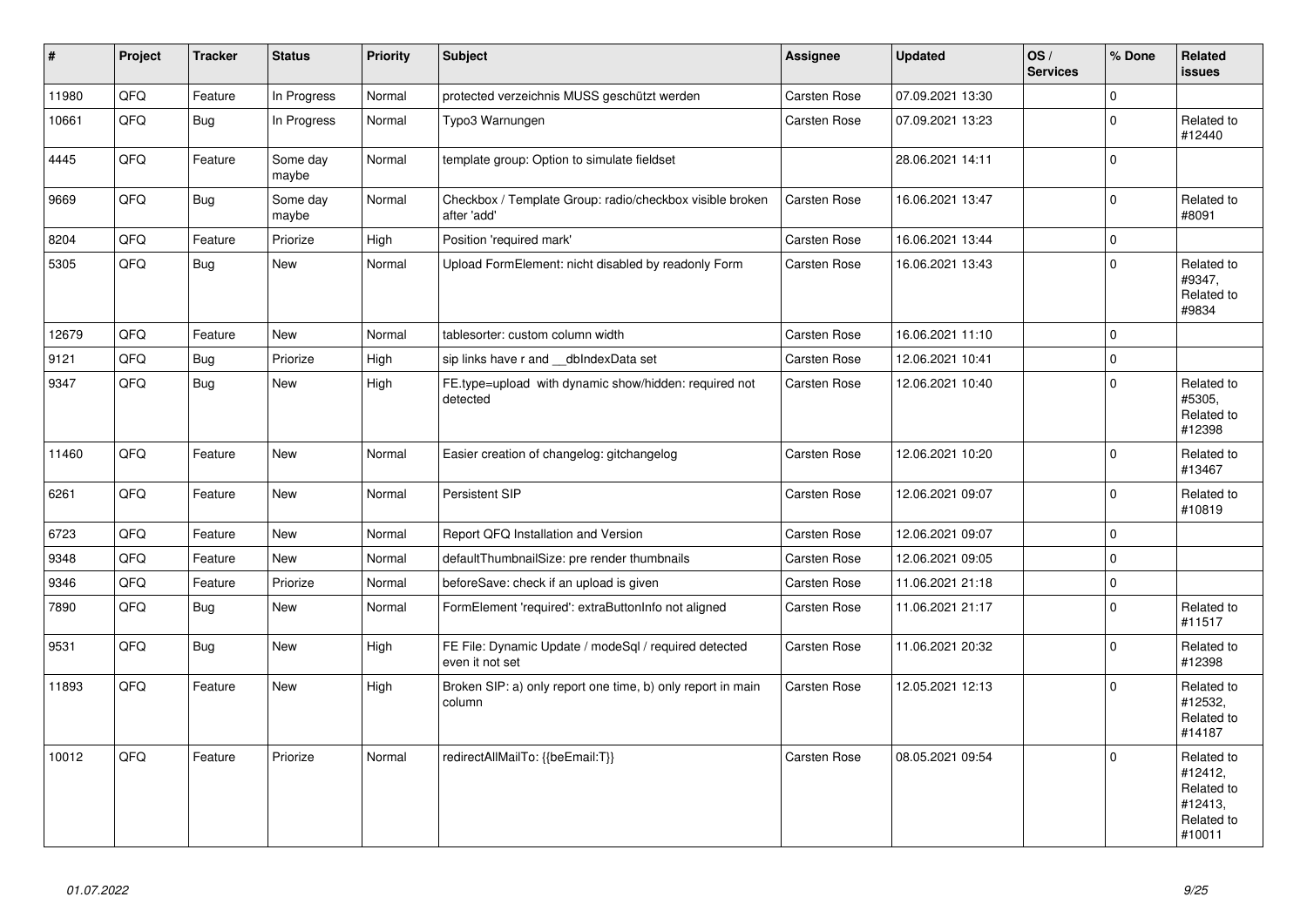| $\sharp$ | Project | <b>Tracker</b> | <b>Status</b>     | <b>Priority</b> | <b>Subject</b>                                                           | Assignee     | <b>Updated</b>   | OS/<br><b>Services</b> | % Done       | Related<br><b>issues</b>                                               |
|----------|---------|----------------|-------------------|-----------------|--------------------------------------------------------------------------|--------------|------------------|------------------------|--------------|------------------------------------------------------------------------|
| 11980    | QFQ     | Feature        | In Progress       | Normal          | protected verzeichnis MUSS geschützt werden                              | Carsten Rose | 07.09.2021 13:30 |                        | $\Omega$     |                                                                        |
| 10661    | QFQ     | Bug            | In Progress       | Normal          | Typo3 Warnungen                                                          | Carsten Rose | 07.09.2021 13:23 |                        | $\Omega$     | Related to<br>#12440                                                   |
| 4445     | QFQ     | Feature        | Some day<br>maybe | Normal          | template group: Option to simulate fieldset                              |              | 28.06.2021 14:11 |                        | $\mathbf 0$  |                                                                        |
| 9669     | QFQ     | <b>Bug</b>     | Some day<br>maybe | Normal          | Checkbox / Template Group: radio/checkbox visible broken<br>after 'add'  | Carsten Rose | 16.06.2021 13:47 |                        | $\mathbf 0$  | Related to<br>#8091                                                    |
| 8204     | QFQ     | Feature        | Priorize          | High            | Position 'required mark'                                                 | Carsten Rose | 16.06.2021 13:44 |                        | $\mathbf 0$  |                                                                        |
| 5305     | QFQ     | <b>Bug</b>     | <b>New</b>        | Normal          | Upload FormElement: nicht disabled by readonly Form                      | Carsten Rose | 16.06.2021 13:43 |                        | $\Omega$     | Related to<br>#9347,<br>Related to<br>#9834                            |
| 12679    | QFQ     | Feature        | <b>New</b>        | Normal          | tablesorter: custom column width                                         | Carsten Rose | 16.06.2021 11:10 |                        | $\Omega$     |                                                                        |
| 9121     | QFQ     | <b>Bug</b>     | Priorize          | High            | sip links have r and __dbIndexData set                                   | Carsten Rose | 12.06.2021 10:41 |                        | $\mathbf 0$  |                                                                        |
| 9347     | QFQ     | <b>Bug</b>     | New               | High            | FE.type=upload with dynamic show/hidden: required not<br>detected        | Carsten Rose | 12.06.2021 10:40 |                        | $\Omega$     | Related to<br>#5305,<br>Related to<br>#12398                           |
| 11460    | QFQ     | Feature        | <b>New</b>        | Normal          | Easier creation of changelog: gitchangelog                               | Carsten Rose | 12.06.2021 10:20 |                        | $\mathbf 0$  | Related to<br>#13467                                                   |
| 6261     | QFQ     | Feature        | New               | Normal          | Persistent SIP                                                           | Carsten Rose | 12.06.2021 09:07 |                        | $\mathbf 0$  | Related to<br>#10819                                                   |
| 6723     | QFQ     | Feature        | New               | Normal          | Report QFQ Installation and Version                                      | Carsten Rose | 12.06.2021 09:07 |                        | $\mathbf 0$  |                                                                        |
| 9348     | QFQ     | Feature        | New               | Normal          | defaultThumbnailSize: pre render thumbnails                              | Carsten Rose | 12.06.2021 09:05 |                        | $\mathbf 0$  |                                                                        |
| 9346     | QFQ     | Feature        | Priorize          | Normal          | beforeSave: check if an upload is given                                  | Carsten Rose | 11.06.2021 21:18 |                        | $\mathbf 0$  |                                                                        |
| 7890     | QFQ     | <b>Bug</b>     | New               | Normal          | FormElement 'required': extraButtonInfo not aligned                      | Carsten Rose | 11.06.2021 21:17 |                        | $\mathbf{0}$ | Related to<br>#11517                                                   |
| 9531     | QFQ     | Bug            | New               | High            | FE File: Dynamic Update / modeSql / required detected<br>even it not set | Carsten Rose | 11.06.2021 20:32 |                        | $\mathbf 0$  | Related to<br>#12398                                                   |
| 11893    | QFQ     | Feature        | New               | High            | Broken SIP: a) only report one time, b) only report in main<br>column    | Carsten Rose | 12.05.2021 12:13 |                        | $\mathbf 0$  | Related to<br>#12532,<br>Related to<br>#14187                          |
| 10012    | QFQ     | Feature        | Priorize          | Normal          | redirectAllMailTo: {{beEmail:T}}                                         | Carsten Rose | 08.05.2021 09:54 |                        | $\Omega$     | Related to<br>#12412,<br>Related to<br>#12413,<br>Related to<br>#10011 |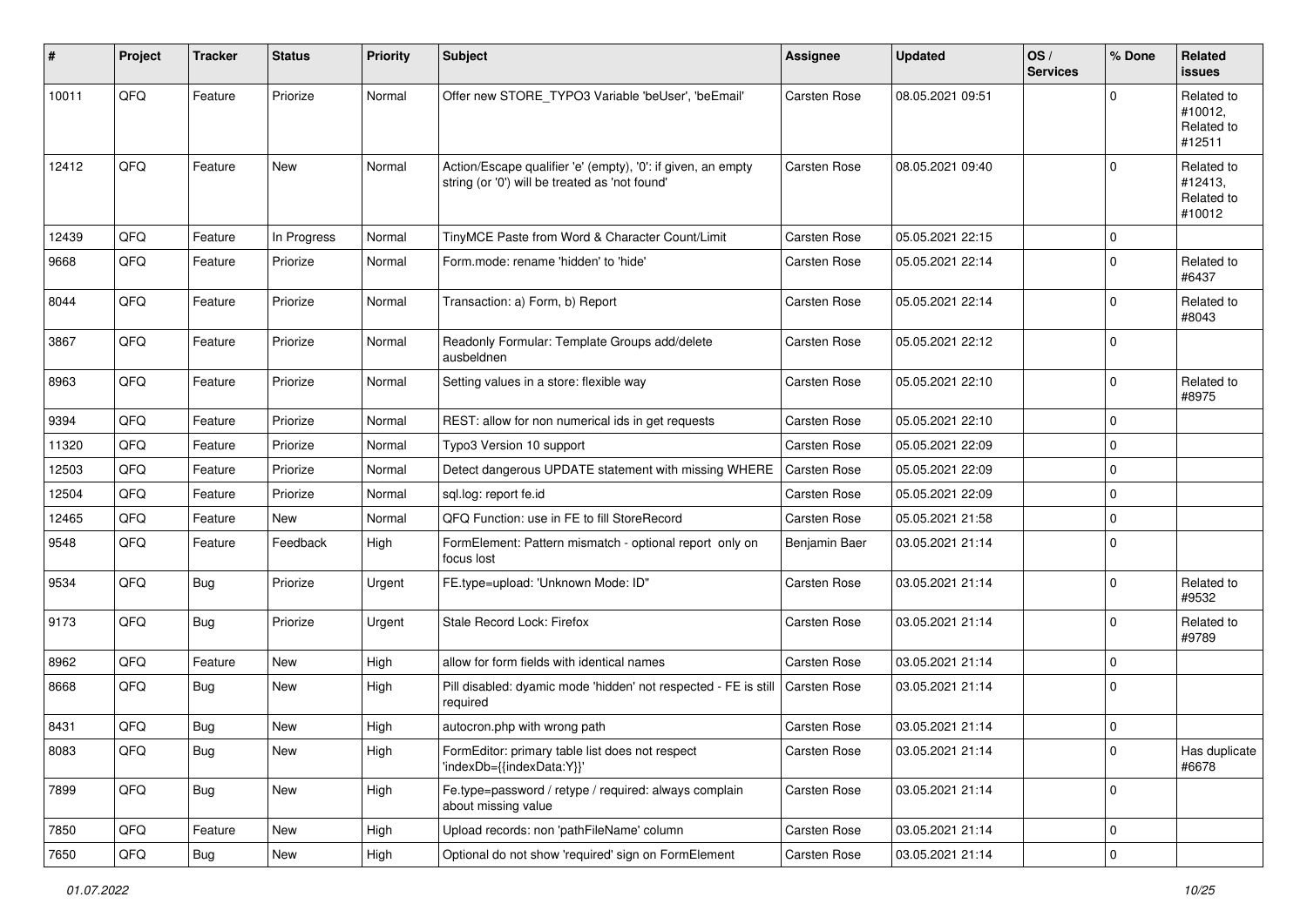| #     | Project | <b>Tracker</b> | <b>Status</b> | <b>Priority</b> | <b>Subject</b>                                                                                                 | <b>Assignee</b>     | <b>Updated</b>   | OS/<br><b>Services</b> | % Done                  | Related<br><b>issues</b>                      |
|-------|---------|----------------|---------------|-----------------|----------------------------------------------------------------------------------------------------------------|---------------------|------------------|------------------------|-------------------------|-----------------------------------------------|
| 10011 | QFQ     | Feature        | Priorize      | Normal          | Offer new STORE_TYPO3 Variable 'beUser', 'beEmail'                                                             | Carsten Rose        | 08.05.2021 09:51 |                        | $\Omega$                | Related to<br>#10012,<br>Related to<br>#12511 |
| 12412 | QFQ     | Feature        | <b>New</b>    | Normal          | Action/Escape qualifier 'e' (empty), '0': if given, an empty<br>string (or '0') will be treated as 'not found' | <b>Carsten Rose</b> | 08.05.2021 09:40 |                        | $\mathbf 0$             | Related to<br>#12413,<br>Related to<br>#10012 |
| 12439 | QFQ     | Feature        | In Progress   | Normal          | TinyMCE Paste from Word & Character Count/Limit                                                                | Carsten Rose        | 05.05.2021 22:15 |                        | 0                       |                                               |
| 9668  | QFQ     | Feature        | Priorize      | Normal          | Form.mode: rename 'hidden' to 'hide'                                                                           | Carsten Rose        | 05.05.2021 22:14 |                        | $\mathbf 0$             | Related to<br>#6437                           |
| 8044  | QFQ     | Feature        | Priorize      | Normal          | Transaction: a) Form, b) Report                                                                                | <b>Carsten Rose</b> | 05.05.2021 22:14 |                        | $\mathbf 0$             | Related to<br>#8043                           |
| 3867  | QFQ     | Feature        | Priorize      | Normal          | Readonly Formular: Template Groups add/delete<br>ausbeldnen                                                    | Carsten Rose        | 05.05.2021 22:12 |                        | $\mathbf 0$             |                                               |
| 8963  | QFQ     | Feature        | Priorize      | Normal          | Setting values in a store: flexible way                                                                        | Carsten Rose        | 05.05.2021 22:10 |                        | $\mathbf 0$             | Related to<br>#8975                           |
| 9394  | QFQ     | Feature        | Priorize      | Normal          | REST: allow for non numerical ids in get requests                                                              | <b>Carsten Rose</b> | 05.05.2021 22:10 |                        | $\mathbf 0$             |                                               |
| 11320 | QFQ     | Feature        | Priorize      | Normal          | Typo3 Version 10 support                                                                                       | <b>Carsten Rose</b> | 05.05.2021 22:09 |                        | $\mathbf 0$             |                                               |
| 12503 | QFQ     | Feature        | Priorize      | Normal          | Detect dangerous UPDATE statement with missing WHERE                                                           | <b>Carsten Rose</b> | 05.05.2021 22:09 |                        | $\mathbf 0$             |                                               |
| 12504 | QFQ     | Feature        | Priorize      | Normal          | sql.log: report fe.id                                                                                          | Carsten Rose        | 05.05.2021 22:09 |                        | 0                       |                                               |
| 12465 | QFQ     | Feature        | New           | Normal          | QFQ Function: use in FE to fill StoreRecord                                                                    | Carsten Rose        | 05.05.2021 21:58 |                        | $\mathbf 0$             |                                               |
| 9548  | QFQ     | Feature        | Feedback      | High            | FormElement: Pattern mismatch - optional report only on<br>focus lost                                          | Benjamin Baer       | 03.05.2021 21:14 |                        | $\mathbf 0$             |                                               |
| 9534  | QFQ     | Bug            | Priorize      | Urgent          | FE.type=upload: 'Unknown Mode: ID"                                                                             | Carsten Rose        | 03.05.2021 21:14 |                        | $\mathbf 0$             | Related to<br>#9532                           |
| 9173  | QFQ     | Bug            | Priorize      | Urgent          | Stale Record Lock: Firefox                                                                                     | Carsten Rose        | 03.05.2021 21:14 |                        | $\mathbf 0$             | Related to<br>#9789                           |
| 8962  | QFQ     | Feature        | New           | High            | allow for form fields with identical names                                                                     | <b>Carsten Rose</b> | 03.05.2021 21:14 |                        | 0                       |                                               |
| 8668  | QFQ     | Bug            | <b>New</b>    | High            | Pill disabled: dyamic mode 'hidden' not respected - FE is still<br>required                                    | Carsten Rose        | 03.05.2021 21:14 |                        | $\Omega$                |                                               |
| 8431  | QFQ     | <b>Bug</b>     | New           | High            | autocron.php with wrong path                                                                                   | Carsten Rose        | 03.05.2021 21:14 |                        | 0                       |                                               |
| 8083  | QFO     | Bug            | New           | High            | FormEditor: primary table list does not respect<br>'indexDb={{indexData:Y}}'                                   | <b>Carsten Rose</b> | 03.05.2021 21:14 |                        | 0                       | Has duplicate<br>#6678                        |
| 7899  | QFO     | <b>Bug</b>     | New           | High            | Fe.type=password / retype / required: always complain<br>about missing value                                   | Carsten Rose        | 03.05.2021 21:14 |                        | $\mathbf 0$             |                                               |
| 7850  | QFQ     | Feature        | New           | High            | Upload records: non 'pathFileName' column                                                                      | Carsten Rose        | 03.05.2021 21:14 |                        | $\mathbf 0$             |                                               |
| 7650  | QFG     | Bug            | New           | High            | Optional do not show 'required' sign on FormElement                                                            | Carsten Rose        | 03.05.2021 21:14 |                        | $\overline{\mathbf{0}}$ |                                               |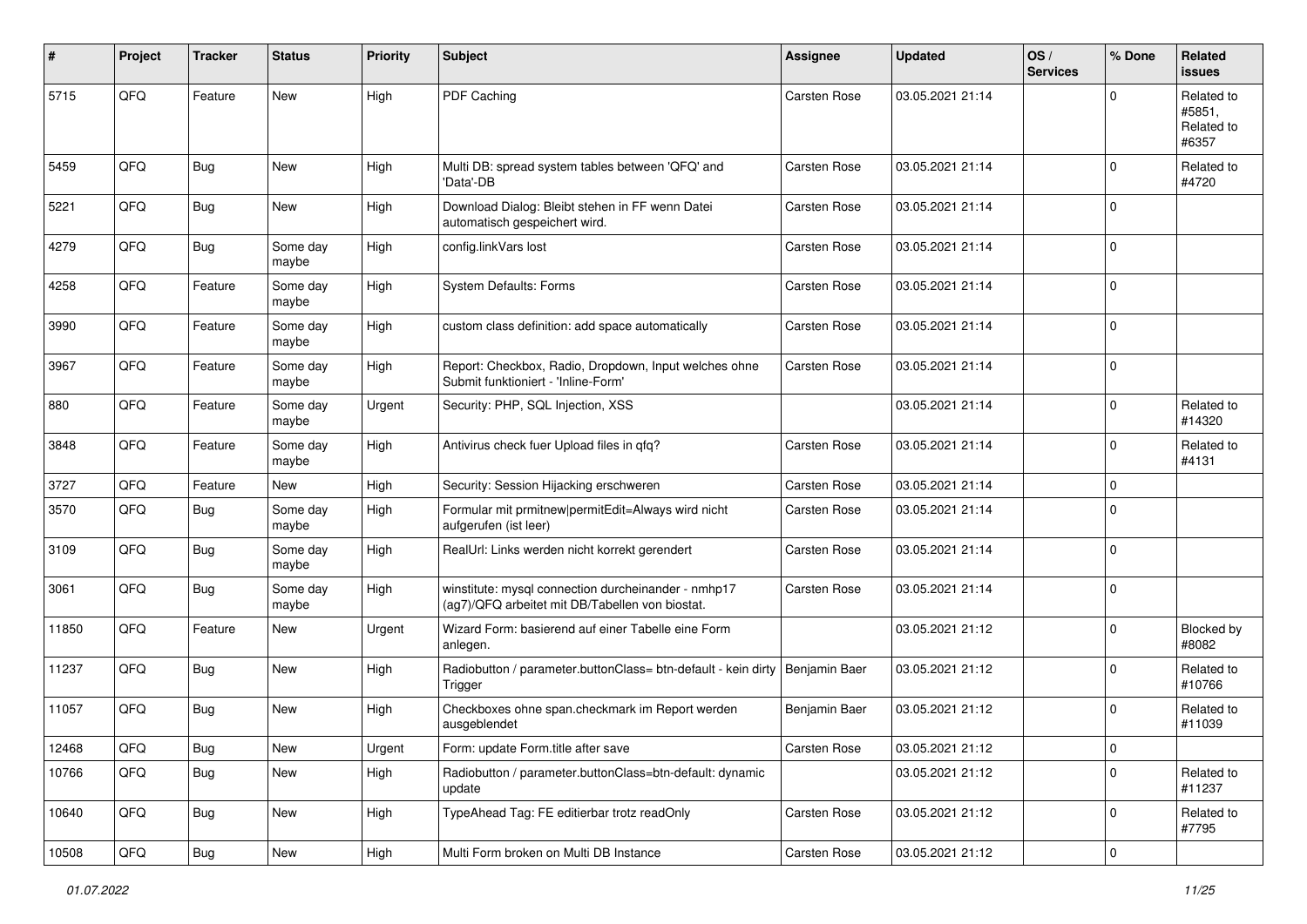| #     | Project | <b>Tracker</b> | <b>Status</b>     | <b>Priority</b> | <b>Subject</b>                                                                                         | <b>Assignee</b>     | <b>Updated</b>   | OS/<br><b>Services</b> | % Done      | Related<br><b>issues</b>                    |
|-------|---------|----------------|-------------------|-----------------|--------------------------------------------------------------------------------------------------------|---------------------|------------------|------------------------|-------------|---------------------------------------------|
| 5715  | QFQ     | Feature        | New               | High            | PDF Caching                                                                                            | Carsten Rose        | 03.05.2021 21:14 |                        | $\Omega$    | Related to<br>#5851,<br>Related to<br>#6357 |
| 5459  | QFQ     | Bug            | New               | High            | Multi DB: spread system tables between 'QFQ' and<br>'Data'-DB                                          | <b>Carsten Rose</b> | 03.05.2021 21:14 |                        | $\mathbf 0$ | Related to<br>#4720                         |
| 5221  | QFQ     | Bug            | New               | High            | Download Dialog: Bleibt stehen in FF wenn Datei<br>automatisch gespeichert wird.                       | <b>Carsten Rose</b> | 03.05.2021 21:14 |                        | $\mathbf 0$ |                                             |
| 4279  | QFQ     | <b>Bug</b>     | Some day<br>maybe | High            | config.linkVars lost                                                                                   | <b>Carsten Rose</b> | 03.05.2021 21:14 |                        | $\mathbf 0$ |                                             |
| 4258  | QFQ     | Feature        | Some day<br>maybe | High            | System Defaults: Forms                                                                                 | Carsten Rose        | 03.05.2021 21:14 |                        | $\mathbf 0$ |                                             |
| 3990  | QFQ     | Feature        | Some day<br>maybe | High            | custom class definition: add space automatically                                                       | <b>Carsten Rose</b> | 03.05.2021 21:14 |                        | $\mathbf 0$ |                                             |
| 3967  | QFQ     | Feature        | Some day<br>maybe | High            | Report: Checkbox, Radio, Dropdown, Input welches ohne<br>Submit funktioniert - 'Inline-Form'           | Carsten Rose        | 03.05.2021 21:14 |                        | $\mathbf 0$ |                                             |
| 880   | QFQ     | Feature        | Some day<br>maybe | Urgent          | Security: PHP, SQL Injection, XSS                                                                      |                     | 03.05.2021 21:14 |                        | $\mathbf 0$ | Related to<br>#14320                        |
| 3848  | QFQ     | Feature        | Some day<br>maybe | High            | Antivirus check fuer Upload files in qfq?                                                              | <b>Carsten Rose</b> | 03.05.2021 21:14 |                        | $\mathbf 0$ | Related to<br>#4131                         |
| 3727  | QFQ     | Feature        | New               | High            | Security: Session Hijacking erschweren                                                                 | <b>Carsten Rose</b> | 03.05.2021 21:14 |                        | 0           |                                             |
| 3570  | QFQ     | Bug            | Some day<br>maybe | High            | Formular mit prmitnew   permitEdit=Always wird nicht<br>aufgerufen (ist leer)                          | Carsten Rose        | 03.05.2021 21:14 |                        | $\mathbf 0$ |                                             |
| 3109  | QFQ     | Bug            | Some day<br>maybe | High            | RealUrl: Links werden nicht korrekt gerendert                                                          | Carsten Rose        | 03.05.2021 21:14 |                        | $\mathbf 0$ |                                             |
| 3061  | QFQ     | <b>Bug</b>     | Some day<br>maybe | High            | winstitute: mysql connection durcheinander - nmhp17<br>(ag7)/QFQ arbeitet mit DB/Tabellen von biostat. | Carsten Rose        | 03.05.2021 21:14 |                        | $\mathbf 0$ |                                             |
| 11850 | QFQ     | Feature        | New               | Urgent          | Wizard Form: basierend auf einer Tabelle eine Form<br>anlegen.                                         |                     | 03.05.2021 21:12 |                        | $\mathbf 0$ | Blocked by<br>#8082                         |
| 11237 | QFQ     | Bug            | <b>New</b>        | High            | Radiobutton / parameter.buttonClass= btn-default - kein dirty<br>Trigger                               | Benjamin Baer       | 03.05.2021 21:12 |                        | $\mathbf 0$ | Related to<br>#10766                        |
| 11057 | QFQ     | Bug            | <b>New</b>        | High            | Checkboxes ohne span.checkmark im Report werden<br>ausgeblendet                                        | Benjamin Baer       | 03.05.2021 21:12 |                        | 0           | Related to<br>#11039                        |
| 12468 | QFO     | <b>Bug</b>     | New               | Urgent          | Form: update Form.title after save                                                                     | Carsten Rose        | 03.05.2021 21:12 |                        | 0           |                                             |
| 10766 | QFQ     | <b>Bug</b>     | New               | High            | Radiobutton / parameter.buttonClass=btn-default: dynamic<br>update                                     |                     | 03.05.2021 21:12 |                        | $\mathbf 0$ | Related to<br>#11237                        |
| 10640 | QFO     | <b>Bug</b>     | New               | High            | TypeAhead Tag: FE editierbar trotz readOnly                                                            | <b>Carsten Rose</b> | 03.05.2021 21:12 |                        | 0           | Related to<br>#7795                         |
| 10508 | QFQ     | <b>Bug</b>     | New               | High            | Multi Form broken on Multi DB Instance                                                                 | Carsten Rose        | 03.05.2021 21:12 |                        | 0           |                                             |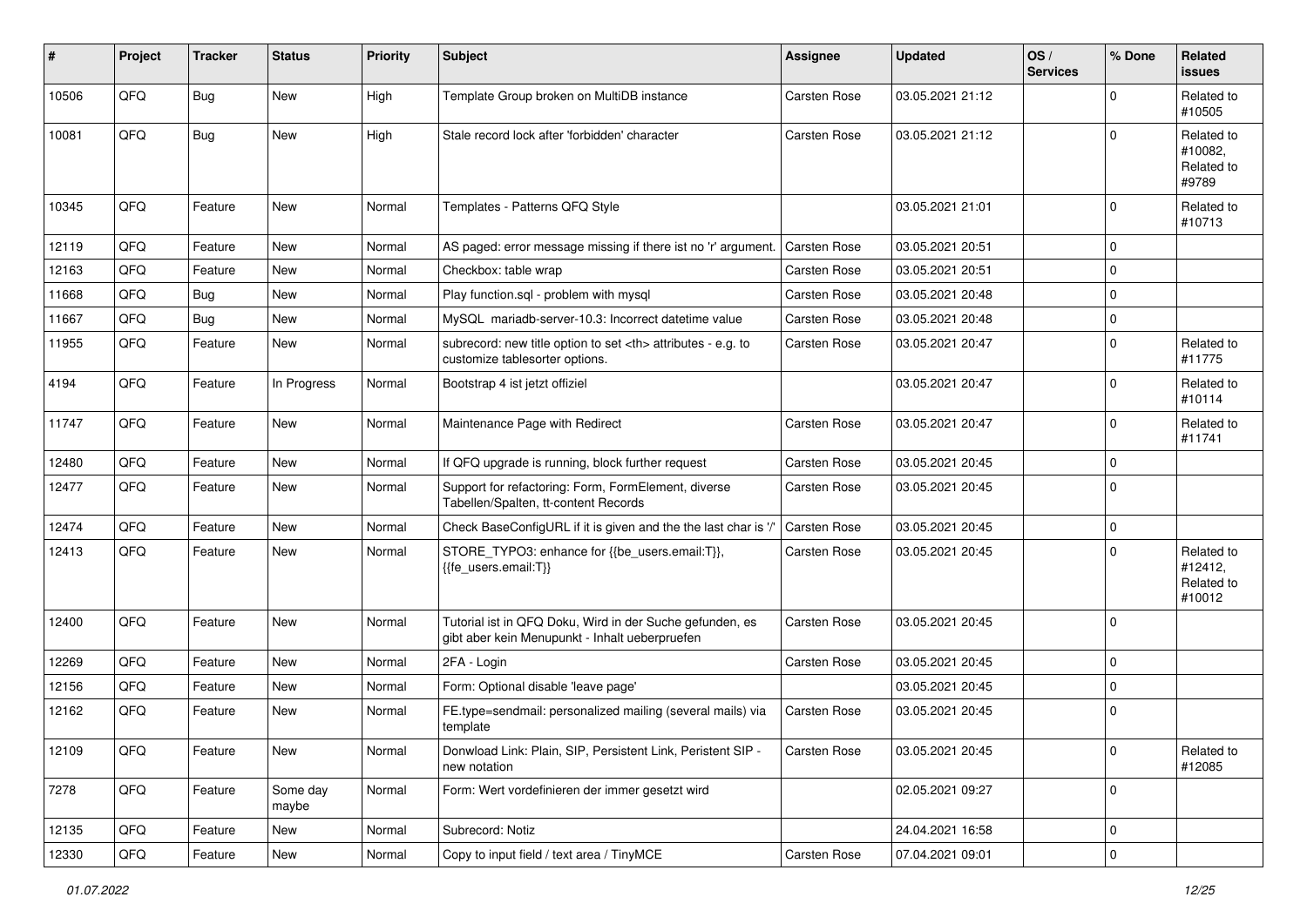| $\sharp$ | Project | <b>Tracker</b> | <b>Status</b>     | <b>Priority</b> | <b>Subject</b>                                                                                             | <b>Assignee</b>                                        | <b>Updated</b>   | OS/<br><b>Services</b> | % Done         | Related<br><b>issues</b>                      |                      |
|----------|---------|----------------|-------------------|-----------------|------------------------------------------------------------------------------------------------------------|--------------------------------------------------------|------------------|------------------------|----------------|-----------------------------------------------|----------------------|
| 10506    | QFQ     | Bug            | New               | High            | Template Group broken on MultiDB instance                                                                  | Carsten Rose                                           | 03.05.2021 21:12 |                        | $\Omega$       | Related to<br>#10505                          |                      |
| 10081    | QFQ     | <b>Bug</b>     | New               | High            | Stale record lock after 'forbidden' character                                                              | <b>Carsten Rose</b>                                    | 03.05.2021 21:12 |                        | $\mathbf 0$    | Related to<br>#10082,<br>Related to<br>#9789  |                      |
| 10345    | QFQ     | Feature        | <b>New</b>        | Normal          | Templates - Patterns QFQ Style                                                                             |                                                        | 03.05.2021 21:01 |                        | $\mathbf 0$    | Related to<br>#10713                          |                      |
| 12119    | QFQ     | Feature        | <b>New</b>        | Normal          | AS paged: error message missing if there ist no 'r' argument.                                              | <b>Carsten Rose</b>                                    | 03.05.2021 20:51 |                        | $\mathbf 0$    |                                               |                      |
| 12163    | QFQ     | Feature        | New               | Normal          | Checkbox: table wrap                                                                                       | Carsten Rose                                           | 03.05.2021 20:51 |                        | 0              |                                               |                      |
| 11668    | QFQ     | <b>Bug</b>     | <b>New</b>        | Normal          | Play function.sql - problem with mysql                                                                     | Carsten Rose                                           | 03.05.2021 20:48 |                        | 0              |                                               |                      |
| 11667    | QFQ     | Bug            | New               | Normal          | MySQL mariadb-server-10.3: Incorrect datetime value                                                        | Carsten Rose                                           | 03.05.2021 20:48 |                        | $\mathbf 0$    |                                               |                      |
| 11955    | QFQ     | Feature        | New               | Normal          | subrecord: new title option to set <th> attributes - e.g. to<br/>customize tablesorter options.</th>       | attributes - e.g. to<br>customize tablesorter options. | Carsten Rose     | 03.05.2021 20:47       |                | $\mathbf 0$                                   | Related to<br>#11775 |
| 4194     | QFQ     | Feature        | In Progress       | Normal          | Bootstrap 4 ist jetzt offiziel                                                                             |                                                        | 03.05.2021 20:47 |                        | $\mathbf 0$    | Related to<br>#10114                          |                      |
| 11747    | QFQ     | Feature        | New               | Normal          | Maintenance Page with Redirect                                                                             | Carsten Rose                                           | 03.05.2021 20:47 |                        | $\mathbf 0$    | Related to<br>#11741                          |                      |
| 12480    | QFQ     | Feature        | New               | Normal          | If QFQ upgrade is running, block further request                                                           | Carsten Rose                                           | 03.05.2021 20:45 |                        | $\Omega$       |                                               |                      |
| 12477    | QFQ     | Feature        | New               | Normal          | Support for refactoring: Form, FormElement, diverse<br>Tabellen/Spalten, tt-content Records                | Carsten Rose                                           | 03.05.2021 20:45 |                        | $\mathbf 0$    |                                               |                      |
| 12474    | QFQ     | Feature        | <b>New</b>        | Normal          | Check BaseConfigURL if it is given and the the last char is '/'                                            | Carsten Rose                                           | 03.05.2021 20:45 |                        | $\mathbf 0$    |                                               |                      |
| 12413    | QFQ     | Feature        | New               | Normal          | STORE_TYPO3: enhance for {{be_users.email:T}},<br>{{fe users.email:T}}                                     | Carsten Rose                                           | 03.05.2021 20:45 |                        | $\Omega$       | Related to<br>#12412,<br>Related to<br>#10012 |                      |
| 12400    | QFQ     | Feature        | New               | Normal          | Tutorial ist in QFQ Doku, Wird in der Suche gefunden, es<br>gibt aber kein Menupunkt - Inhalt ueberpruefen | Carsten Rose                                           | 03.05.2021 20:45 |                        | $\Omega$       |                                               |                      |
| 12269    | QFQ     | Feature        | New               | Normal          | 2FA - Login                                                                                                | Carsten Rose                                           | 03.05.2021 20:45 |                        | $\mathbf 0$    |                                               |                      |
| 12156    | QFQ     | Feature        | <b>New</b>        | Normal          | Form: Optional disable 'leave page'                                                                        |                                                        | 03.05.2021 20:45 |                        | 0              |                                               |                      |
| 12162    | QFQ     | Feature        | New               | Normal          | FE.type=sendmail: personalized mailing (several mails) via<br>template                                     | Carsten Rose                                           | 03.05.2021 20:45 |                        | $\mathbf 0$    |                                               |                      |
| 12109    | QFQ     | Feature        | New               | Normal          | Donwload Link: Plain, SIP, Persistent Link, Peristent SIP -<br>new notation                                | Carsten Rose                                           | 03.05.2021 20:45 |                        | 0              | Related to<br>#12085                          |                      |
| 7278     | QFQ     | Feature        | Some day<br>maybe | Normal          | Form: Wert vordefinieren der immer gesetzt wird                                                            |                                                        | 02.05.2021 09:27 |                        | $\mathbf 0$    |                                               |                      |
| 12135    | QFQ     | Feature        | New               | Normal          | Subrecord: Notiz                                                                                           |                                                        | 24.04.2021 16:58 |                        | $\mathbf 0$    |                                               |                      |
| 12330    | QFG     | Feature        | New               | Normal          | Copy to input field / text area / TinyMCE                                                                  | Carsten Rose                                           | 07.04.2021 09:01 |                        | $\overline{0}$ |                                               |                      |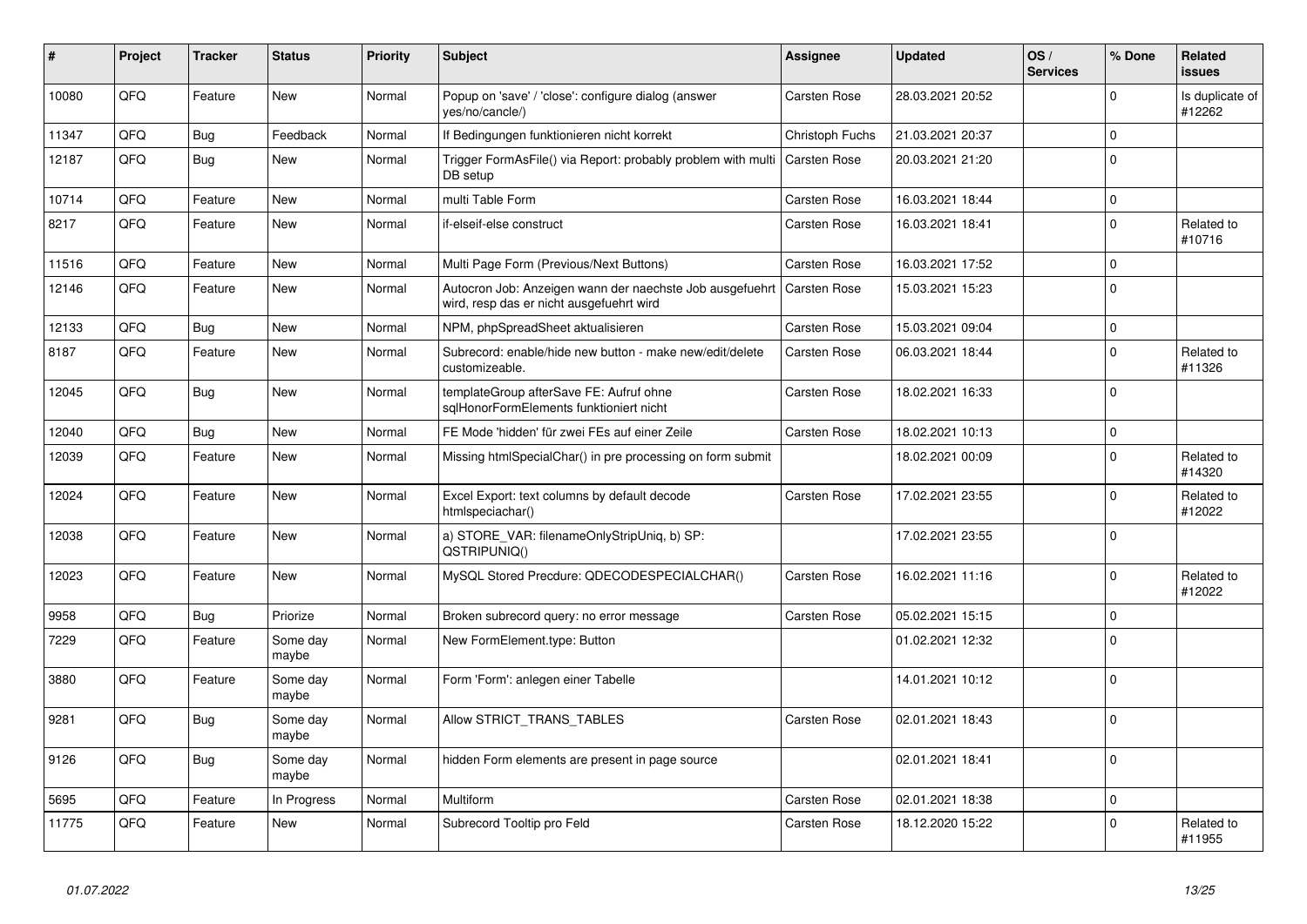| #     | Project | <b>Tracker</b> | <b>Status</b>     | <b>Priority</b> | <b>Subject</b>                                                                                       | Assignee            | <b>Updated</b>   | OS/<br><b>Services</b> | % Done      | Related<br><b>issues</b>  |
|-------|---------|----------------|-------------------|-----------------|------------------------------------------------------------------------------------------------------|---------------------|------------------|------------------------|-------------|---------------------------|
| 10080 | QFQ     | Feature        | <b>New</b>        | Normal          | Popup on 'save' / 'close': configure dialog (answer<br>yes/no/cancle/)                               | Carsten Rose        | 28.03.2021 20:52 |                        | $\Omega$    | Is duplicate of<br>#12262 |
| 11347 | QFQ     | Bug            | Feedback          | Normal          | If Bedingungen funktionieren nicht korrekt                                                           | Christoph Fuchs     | 21.03.2021 20:37 |                        | 0           |                           |
| 12187 | QFQ     | Bug            | <b>New</b>        | Normal          | Trigger FormAsFile() via Report: probably problem with multi<br>DB setup                             | <b>Carsten Rose</b> | 20.03.2021 21:20 |                        | $\Omega$    |                           |
| 10714 | QFQ     | Feature        | <b>New</b>        | Normal          | multi Table Form                                                                                     | <b>Carsten Rose</b> | 16.03.2021 18:44 |                        | 0           |                           |
| 8217  | QFQ     | Feature        | New               | Normal          | if-elseif-else construct                                                                             | Carsten Rose        | 16.03.2021 18:41 |                        | $\mathbf 0$ | Related to<br>#10716      |
| 11516 | QFQ     | Feature        | <b>New</b>        | Normal          | Multi Page Form (Previous/Next Buttons)                                                              | Carsten Rose        | 16.03.2021 17:52 |                        | 0           |                           |
| 12146 | QFQ     | Feature        | <b>New</b>        | Normal          | Autocron Job: Anzeigen wann der naechste Job ausgefuehrt<br>wird, resp das er nicht ausgefuehrt wird | <b>Carsten Rose</b> | 15.03.2021 15:23 |                        | $\Omega$    |                           |
| 12133 | QFQ     | Bug            | New               | Normal          | NPM, phpSpreadSheet aktualisieren                                                                    | Carsten Rose        | 15.03.2021 09:04 |                        | 0           |                           |
| 8187  | QFQ     | Feature        | <b>New</b>        | Normal          | Subrecord: enable/hide new button - make new/edit/delete<br>customizeable.                           | Carsten Rose        | 06.03.2021 18:44 |                        | $\mathbf 0$ | Related to<br>#11326      |
| 12045 | QFQ     | Bug            | <b>New</b>        | Normal          | templateGroup afterSave FE: Aufruf ohne<br>sqlHonorFormElements funktioniert nicht                   | Carsten Rose        | 18.02.2021 16:33 |                        | $\Omega$    |                           |
| 12040 | QFQ     | <b>Bug</b>     | <b>New</b>        | Normal          | FE Mode 'hidden' für zwei FEs auf einer Zeile                                                        | <b>Carsten Rose</b> | 18.02.2021 10:13 |                        | $\mathbf 0$ |                           |
| 12039 | QFQ     | Feature        | New               | Normal          | Missing htmlSpecialChar() in pre processing on form submit                                           |                     | 18.02.2021 00:09 |                        | $\mathbf 0$ | Related to<br>#14320      |
| 12024 | QFQ     | Feature        | New               | Normal          | Excel Export: text columns by default decode<br>htmlspeciachar()                                     | Carsten Rose        | 17.02.2021 23:55 |                        | $\Omega$    | Related to<br>#12022      |
| 12038 | QFQ     | Feature        | <b>New</b>        | Normal          | a) STORE_VAR: filenameOnlyStripUniq, b) SP:<br>QSTRIPUNIQ()                                          |                     | 17.02.2021 23:55 |                        | $\Omega$    |                           |
| 12023 | QFQ     | Feature        | <b>New</b>        | Normal          | MySQL Stored Precdure: QDECODESPECIALCHAR()                                                          | <b>Carsten Rose</b> | 16.02.2021 11:16 |                        | $\mathbf 0$ | Related to<br>#12022      |
| 9958  | QFQ     | <b>Bug</b>     | Priorize          | Normal          | Broken subrecord query: no error message                                                             | <b>Carsten Rose</b> | 05.02.2021 15:15 |                        | 0           |                           |
| 7229  | QFQ     | Feature        | Some day<br>maybe | Normal          | New FormElement.type: Button                                                                         |                     | 01.02.2021 12:32 |                        | $\mathbf 0$ |                           |
| 3880  | QFQ     | Feature        | Some day<br>maybe | Normal          | Form 'Form': anlegen einer Tabelle                                                                   |                     | 14.01.2021 10:12 |                        | 0           |                           |
| 9281  | QFQ     | <b>Bug</b>     | Some day<br>maybe | Normal          | Allow STRICT_TRANS_TABLES                                                                            | <b>Carsten Rose</b> | 02.01.2021 18:43 |                        | $\Omega$    |                           |
| 9126  | QFQ     | Bug            | Some day<br>maybe | Normal          | hidden Form elements are present in page source                                                      |                     | 02.01.2021 18:41 |                        | $\Omega$    |                           |
| 5695  | QFQ     | Feature        | In Progress       | Normal          | Multiform                                                                                            | <b>Carsten Rose</b> | 02.01.2021 18:38 |                        | 0           |                           |
| 11775 | QFQ     | Feature        | <b>New</b>        | Normal          | Subrecord Tooltip pro Feld                                                                           | <b>Carsten Rose</b> | 18.12.2020 15:22 |                        | 0           | Related to<br>#11955      |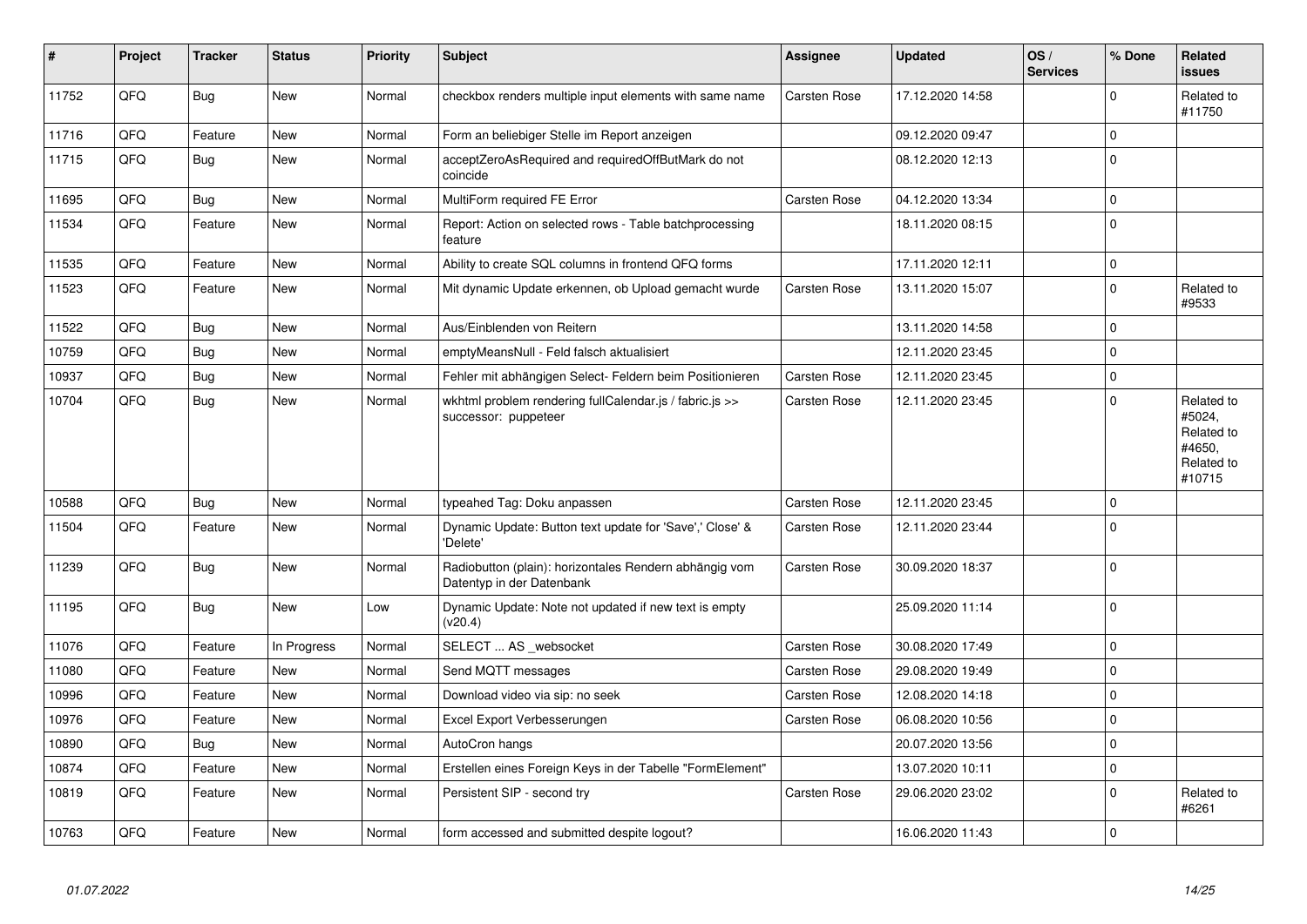| $\sharp$ | Project | <b>Tracker</b> | <b>Status</b> | <b>Priority</b> | <b>Subject</b>                                                                      | Assignee            | <b>Updated</b>   | OS/<br><b>Services</b> | % Done      | <b>Related</b><br><b>issues</b>                                      |
|----------|---------|----------------|---------------|-----------------|-------------------------------------------------------------------------------------|---------------------|------------------|------------------------|-------------|----------------------------------------------------------------------|
| 11752    | QFQ     | Bug            | <b>New</b>    | Normal          | checkbox renders multiple input elements with same name                             | Carsten Rose        | 17.12.2020 14:58 |                        | $\Omega$    | Related to<br>#11750                                                 |
| 11716    | QFQ     | Feature        | <b>New</b>    | Normal          | Form an beliebiger Stelle im Report anzeigen                                        |                     | 09.12.2020 09:47 |                        | $\Omega$    |                                                                      |
| 11715    | QFQ     | Bug            | <b>New</b>    | Normal          | acceptZeroAsRequired and requiredOffButMark do not<br>coincide                      |                     | 08.12.2020 12:13 |                        | $\Omega$    |                                                                      |
| 11695    | QFQ     | Bug            | <b>New</b>    | Normal          | MultiForm required FE Error                                                         | <b>Carsten Rose</b> | 04.12.2020 13:34 |                        | 0           |                                                                      |
| 11534    | QFQ     | Feature        | <b>New</b>    | Normal          | Report: Action on selected rows - Table batchprocessing<br>feature                  |                     | 18.11.2020 08:15 |                        | $\Omega$    |                                                                      |
| 11535    | QFQ     | Feature        | <b>New</b>    | Normal          | Ability to create SQL columns in frontend QFQ forms                                 |                     | 17.11.2020 12:11 |                        | 0           |                                                                      |
| 11523    | QFQ     | Feature        | New           | Normal          | Mit dynamic Update erkennen, ob Upload gemacht wurde                                | Carsten Rose        | 13.11.2020 15:07 |                        | $\mathbf 0$ | Related to<br>#9533                                                  |
| 11522    | QFQ     | Bug            | <b>New</b>    | Normal          | Aus/Einblenden von Reitern                                                          |                     | 13.11.2020 14:58 |                        | 0           |                                                                      |
| 10759    | QFQ     | <b>Bug</b>     | <b>New</b>    | Normal          | emptyMeansNull - Feld falsch aktualisiert                                           |                     | 12.11.2020 23:45 |                        | $\mathbf 0$ |                                                                      |
| 10937    | QFQ     | <b>Bug</b>     | <b>New</b>    | Normal          | Fehler mit abhängigen Select- Feldern beim Positionieren                            | Carsten Rose        | 12.11.2020 23:45 |                        | $\mathbf 0$ |                                                                      |
| 10704    | QFQ     | Bug            | <b>New</b>    | Normal          | wkhtml problem rendering fullCalendar.js / fabric.js >><br>successor: puppeteer     | Carsten Rose        | 12.11.2020 23:45 |                        | $\Omega$    | Related to<br>#5024,<br>Related to<br>#4650,<br>Related to<br>#10715 |
| 10588    | QFQ     | Bug            | <b>New</b>    | Normal          | typeahed Tag: Doku anpassen                                                         | <b>Carsten Rose</b> | 12.11.2020 23:45 |                        | $\mathbf 0$ |                                                                      |
| 11504    | QFQ     | Feature        | <b>New</b>    | Normal          | Dynamic Update: Button text update for 'Save',' Close' &<br>'Delete'                | Carsten Rose        | 12.11.2020 23:44 |                        | $\mathbf 0$ |                                                                      |
| 11239    | QFQ     | Bug            | <b>New</b>    | Normal          | Radiobutton (plain): horizontales Rendern abhängig vom<br>Datentyp in der Datenbank | Carsten Rose        | 30.09.2020 18:37 |                        | $\mathbf 0$ |                                                                      |
| 11195    | QFQ     | Bug            | <b>New</b>    | Low             | Dynamic Update: Note not updated if new text is empty<br>(v20.4)                    |                     | 25.09.2020 11:14 |                        | $\mathbf 0$ |                                                                      |
| 11076    | QFQ     | Feature        | In Progress   | Normal          | SELECT  AS _websocket                                                               | <b>Carsten Rose</b> | 30.08.2020 17:49 |                        | $\mathbf 0$ |                                                                      |
| 11080    | QFQ     | Feature        | <b>New</b>    | Normal          | Send MQTT messages                                                                  | <b>Carsten Rose</b> | 29.08.2020 19:49 |                        | 0           |                                                                      |
| 10996    | QFQ     | Feature        | <b>New</b>    | Normal          | Download video via sip: no seek                                                     | Carsten Rose        | 12.08.2020 14:18 |                        | $\mathbf 0$ |                                                                      |
| 10976    | QFQ     | Feature        | <b>New</b>    | Normal          | Excel Export Verbesserungen                                                         | Carsten Rose        | 06.08.2020 10:56 |                        | $\mathbf 0$ |                                                                      |
| 10890    | QFQ     | Bug            | <b>New</b>    | Normal          | AutoCron hangs                                                                      |                     | 20.07.2020 13:56 |                        | $\pmb{0}$   |                                                                      |
| 10874    | QFQ     | Feature        | <b>New</b>    | Normal          | Erstellen eines Foreign Keys in der Tabelle "FormElement"                           |                     | 13.07.2020 10:11 |                        | $\mathbf 0$ |                                                                      |
| 10819    | QFQ     | Feature        | <b>New</b>    | Normal          | Persistent SIP - second try                                                         | Carsten Rose        | 29.06.2020 23:02 |                        | $\Omega$    | Related to<br>#6261                                                  |
| 10763    | QFQ     | Feature        | <b>New</b>    | Normal          | form accessed and submitted despite logout?                                         |                     | 16.06.2020 11:43 |                        | $\mathsf 0$ |                                                                      |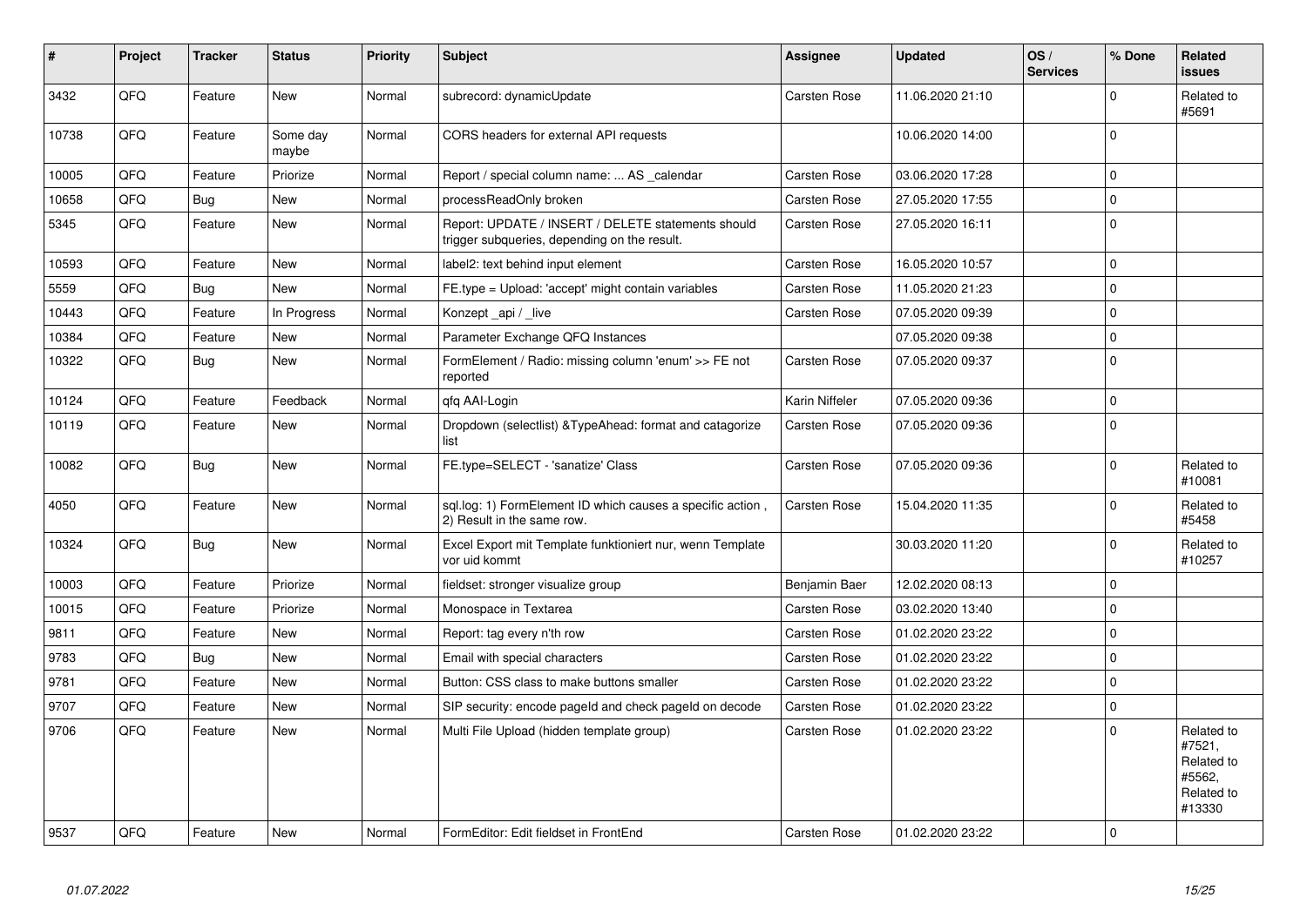| #     | Project | <b>Tracker</b> | <b>Status</b>     | <b>Priority</b> | <b>Subject</b>                                                                                     | Assignee            | <b>Updated</b>   | OS/<br><b>Services</b> | % Done              | <b>Related</b><br><b>issues</b>                                      |
|-------|---------|----------------|-------------------|-----------------|----------------------------------------------------------------------------------------------------|---------------------|------------------|------------------------|---------------------|----------------------------------------------------------------------|
| 3432  | QFQ     | Feature        | <b>New</b>        | Normal          | subrecord: dynamicUpdate                                                                           | <b>Carsten Rose</b> | 11.06.2020 21:10 |                        | $\Omega$            | Related to<br>#5691                                                  |
| 10738 | QFQ     | Feature        | Some day<br>maybe | Normal          | CORS headers for external API requests                                                             |                     | 10.06.2020 14:00 |                        | $\Omega$            |                                                                      |
| 10005 | QFQ     | Feature        | Priorize          | Normal          | Report / special column name:  AS _calendar                                                        | Carsten Rose        | 03.06.2020 17:28 |                        | $\mathbf 0$         |                                                                      |
| 10658 | QFQ     | Bug            | New               | Normal          | processReadOnly broken                                                                             | <b>Carsten Rose</b> | 27.05.2020 17:55 |                        | $\mathbf 0$         |                                                                      |
| 5345  | QFQ     | Feature        | <b>New</b>        | Normal          | Report: UPDATE / INSERT / DELETE statements should<br>trigger subqueries, depending on the result. | <b>Carsten Rose</b> | 27.05.2020 16:11 |                        | $\Omega$            |                                                                      |
| 10593 | QFQ     | Feature        | <b>New</b>        | Normal          | label2: text behind input element                                                                  | <b>Carsten Rose</b> | 16.05.2020 10:57 |                        | $\mathsf{O}\xspace$ |                                                                      |
| 5559  | QFQ     | Bug            | <b>New</b>        | Normal          | FE.type = Upload: 'accept' might contain variables                                                 | <b>Carsten Rose</b> | 11.05.2020 21:23 |                        | $\Omega$            |                                                                      |
| 10443 | QFQ     | Feature        | In Progress       | Normal          | Konzept_api / _live                                                                                | Carsten Rose        | 07.05.2020 09:39 |                        | $\mathbf 0$         |                                                                      |
| 10384 | QFQ     | Feature        | <b>New</b>        | Normal          | Parameter Exchange QFQ Instances                                                                   |                     | 07.05.2020 09:38 |                        | $\mathbf 0$         |                                                                      |
| 10322 | QFQ     | Bug            | New               | Normal          | FormElement / Radio: missing column 'enum' >> FE not<br>reported                                   | <b>Carsten Rose</b> | 07.05.2020 09:37 |                        | $\mathbf 0$         |                                                                      |
| 10124 | QFQ     | Feature        | Feedback          | Normal          | qfq AAI-Login                                                                                      | Karin Niffeler      | 07.05.2020 09:36 |                        | $\mathbf 0$         |                                                                      |
| 10119 | QFQ     | Feature        | New               | Normal          | Dropdown (selectlist) & Type Ahead: format and catagorize<br>list                                  | <b>Carsten Rose</b> | 07.05.2020 09:36 |                        | $\overline{0}$      |                                                                      |
| 10082 | QFQ     | Bug            | New               | Normal          | FE.type=SELECT - 'sanatize' Class                                                                  | Carsten Rose        | 07.05.2020 09:36 |                        | $\mathbf 0$         | Related to<br>#10081                                                 |
| 4050  | QFQ     | Feature        | <b>New</b>        | Normal          | sql.log: 1) FormElement ID which causes a specific action,<br>2) Result in the same row.           | Carsten Rose        | 15.04.2020 11:35 |                        | $\Omega$            | Related to<br>#5458                                                  |
| 10324 | QFQ     | Bug            | <b>New</b>        | Normal          | Excel Export mit Template funktioniert nur, wenn Template<br>vor uid kommt                         |                     | 30.03.2020 11:20 |                        | $\mathbf 0$         | Related to<br>#10257                                                 |
| 10003 | QFQ     | Feature        | Priorize          | Normal          | fieldset: stronger visualize group                                                                 | Benjamin Baer       | 12.02.2020 08:13 |                        | $\mathsf{O}\xspace$ |                                                                      |
| 10015 | QFQ     | Feature        | Priorize          | Normal          | Monospace in Textarea                                                                              | Carsten Rose        | 03.02.2020 13:40 |                        | $\mathbf 0$         |                                                                      |
| 9811  | QFQ     | Feature        | New               | Normal          | Report: tag every n'th row                                                                         | Carsten Rose        | 01.02.2020 23:22 |                        | $\Omega$            |                                                                      |
| 9783  | QFQ     | Bug            | New               | Normal          | Email with special characters                                                                      | Carsten Rose        | 01.02.2020 23:22 |                        | 0                   |                                                                      |
| 9781  | QFQ     | Feature        | <b>New</b>        | Normal          | Button: CSS class to make buttons smaller                                                          | Carsten Rose        | 01.02.2020 23:22 |                        | $\Omega$            |                                                                      |
| 9707  | QFQ     | Feature        | New               | Normal          | SIP security: encode pageld and check pageld on decode                                             | Carsten Rose        | 01.02.2020 23:22 |                        | $\pmb{0}$           |                                                                      |
| 9706  | QFQ     | Feature        | <b>New</b>        | Normal          | Multi File Upload (hidden template group)                                                          | Carsten Rose        | 01.02.2020 23:22 |                        | $\Omega$            | Related to<br>#7521,<br>Related to<br>#5562.<br>Related to<br>#13330 |
| 9537  | QFQ     | Feature        | New               | Normal          | FormEditor: Edit fieldset in FrontEnd                                                              | <b>Carsten Rose</b> | 01.02.2020 23:22 |                        | $\mathbf 0$         |                                                                      |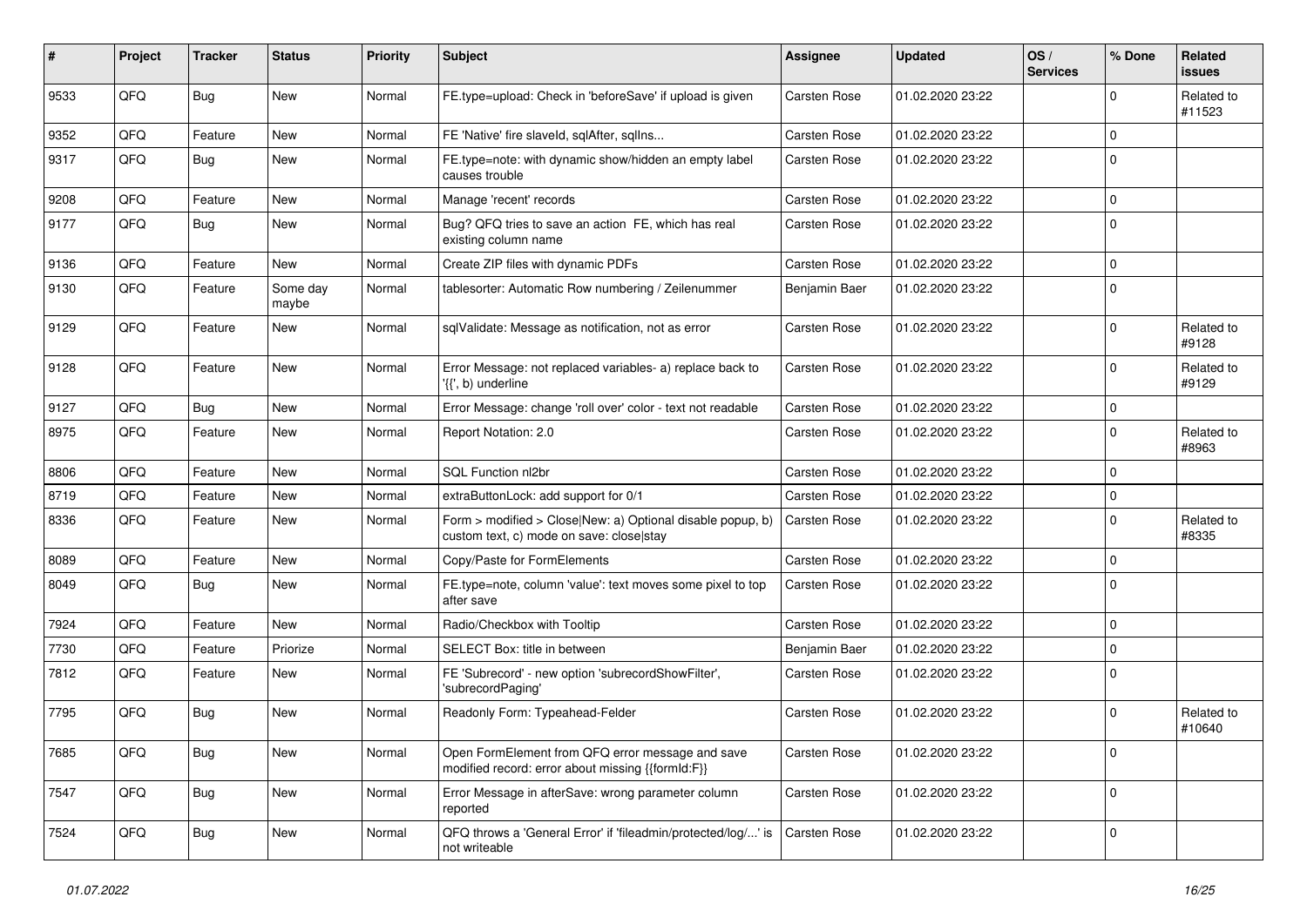| #    | Project | <b>Tracker</b> | <b>Status</b>     | <b>Priority</b> | <b>Subject</b>                                                                                         | <b>Assignee</b>     | <b>Updated</b>   | OS/<br><b>Services</b> | % Done      | Related<br><b>issues</b> |
|------|---------|----------------|-------------------|-----------------|--------------------------------------------------------------------------------------------------------|---------------------|------------------|------------------------|-------------|--------------------------|
| 9533 | QFQ     | Bug            | <b>New</b>        | Normal          | FE.type=upload: Check in 'beforeSave' if upload is given                                               | Carsten Rose        | 01.02.2020 23:22 |                        | 0           | Related to<br>#11523     |
| 9352 | QFQ     | Feature        | New               | Normal          | FE 'Native' fire slaveld, sqlAfter, sqlIns                                                             | <b>Carsten Rose</b> | 01.02.2020 23:22 |                        | 0           |                          |
| 9317 | QFQ     | Bug            | <b>New</b>        | Normal          | FE.type=note: with dynamic show/hidden an empty label<br>causes trouble                                | Carsten Rose        | 01.02.2020 23:22 |                        | 0           |                          |
| 9208 | QFQ     | Feature        | <b>New</b>        | Normal          | Manage 'recent' records                                                                                | Carsten Rose        | 01.02.2020 23:22 |                        | 0           |                          |
| 9177 | QFQ     | Bug            | <b>New</b>        | Normal          | Bug? QFQ tries to save an action FE, which has real<br>existing column name                            | Carsten Rose        | 01.02.2020 23:22 |                        | 0           |                          |
| 9136 | QFQ     | Feature        | <b>New</b>        | Normal          | Create ZIP files with dynamic PDFs                                                                     | <b>Carsten Rose</b> | 01.02.2020 23:22 |                        | 0           |                          |
| 9130 | QFQ     | Feature        | Some day<br>maybe | Normal          | tablesorter: Automatic Row numbering / Zeilenummer                                                     | Benjamin Baer       | 01.02.2020 23:22 |                        | 0           |                          |
| 9129 | QFQ     | Feature        | <b>New</b>        | Normal          | sqlValidate: Message as notification, not as error                                                     | Carsten Rose        | 01.02.2020 23:22 |                        | 0           | Related to<br>#9128      |
| 9128 | QFQ     | Feature        | New               | Normal          | Error Message: not replaced variables- a) replace back to<br>'{{', b) underline                        | <b>Carsten Rose</b> | 01.02.2020 23:22 |                        | 0           | Related to<br>#9129      |
| 9127 | QFQ     | Bug            | <b>New</b>        | Normal          | Error Message: change 'roll over' color - text not readable                                            | Carsten Rose        | 01.02.2020 23:22 |                        | 0           |                          |
| 8975 | QFQ     | Feature        | New               | Normal          | Report Notation: 2.0                                                                                   | Carsten Rose        | 01.02.2020 23:22 |                        | 0           | Related to<br>#8963      |
| 8806 | QFQ     | Feature        | <b>New</b>        | Normal          | SQL Function nl2br                                                                                     | Carsten Rose        | 01.02.2020 23:22 |                        | 0           |                          |
| 8719 | QFQ     | Feature        | <b>New</b>        | Normal          | extraButtonLock: add support for 0/1                                                                   | Carsten Rose        | 01.02.2020 23:22 |                        | 0           |                          |
| 8336 | QFQ     | Feature        | New               | Normal          | Form > modified > Close New: a) Optional disable popup, b)<br>custom text, c) mode on save: close stay | Carsten Rose        | 01.02.2020 23:22 |                        | 0           | Related to<br>#8335      |
| 8089 | QFQ     | Feature        | <b>New</b>        | Normal          | Copy/Paste for FormElements                                                                            | Carsten Rose        | 01.02.2020 23:22 |                        | 0           |                          |
| 8049 | QFQ     | Bug            | <b>New</b>        | Normal          | FE.type=note, column 'value': text moves some pixel to top<br>after save                               | Carsten Rose        | 01.02.2020 23:22 |                        | $\Omega$    |                          |
| 7924 | QFQ     | Feature        | <b>New</b>        | Normal          | Radio/Checkbox with Tooltip                                                                            | <b>Carsten Rose</b> | 01.02.2020 23:22 |                        | 0           |                          |
| 7730 | QFQ     | Feature        | Priorize          | Normal          | SELECT Box: title in between                                                                           | Benjamin Baer       | 01.02.2020 23:22 |                        | 0           |                          |
| 7812 | QFQ     | Feature        | New               | Normal          | FE 'Subrecord' - new option 'subrecordShowFilter',<br>'subrecordPaging'                                | Carsten Rose        | 01.02.2020 23:22 |                        | 0           |                          |
| 7795 | QFQ     | Bug            | New               | Normal          | Readonly Form: Typeahead-Felder                                                                        | Carsten Rose        | 01.02.2020 23:22 |                        | $\mathbf 0$ | Related to<br>#10640     |
| 7685 | QFQ     | <b>Bug</b>     | New               | Normal          | Open FormElement from QFQ error message and save<br>modified record: error about missing {{formId:F}}  | Carsten Rose        | 01.02.2020 23:22 |                        | 0           |                          |
| 7547 | QFQ     | Bug            | New               | Normal          | Error Message in afterSave: wrong parameter column<br>reported                                         | Carsten Rose        | 01.02.2020 23:22 |                        | $\mathbf 0$ |                          |
| 7524 | QFQ     | Bug            | New               | Normal          | QFQ throws a 'General Error' if 'fileadmin/protected/log/' is<br>not writeable                         | Carsten Rose        | 01.02.2020 23:22 |                        | 0           |                          |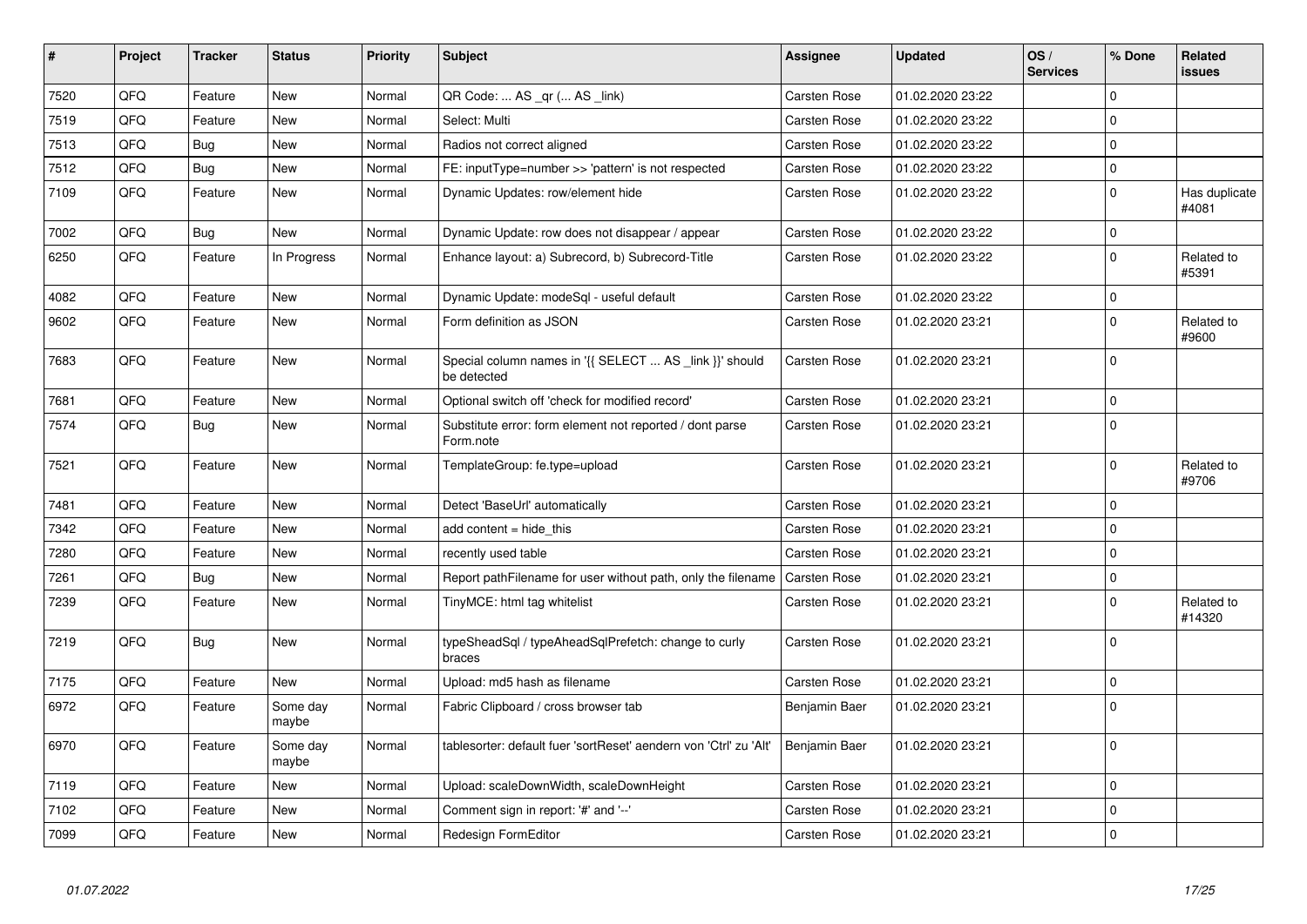| #    | Project | <b>Tracker</b> | <b>Status</b>     | <b>Priority</b> | <b>Subject</b>                                                         | Assignee            | <b>Updated</b>   | OS/<br><b>Services</b> | % Done              | Related<br><b>issues</b> |
|------|---------|----------------|-------------------|-----------------|------------------------------------------------------------------------|---------------------|------------------|------------------------|---------------------|--------------------------|
| 7520 | QFQ     | Feature        | <b>New</b>        | Normal          | QR Code:  AS _qr ( AS _link)                                           | Carsten Rose        | 01.02.2020 23:22 |                        | $\Omega$            |                          |
| 7519 | QFQ     | Feature        | New               | Normal          | Select: Multi                                                          | Carsten Rose        | 01.02.2020 23:22 |                        | $\mathbf 0$         |                          |
| 7513 | QFQ     | <b>Bug</b>     | New               | Normal          | Radios not correct aligned                                             | Carsten Rose        | 01.02.2020 23:22 |                        | $\mathbf 0$         |                          |
| 7512 | QFQ     | Bug            | <b>New</b>        | Normal          | FE: inputType=number >> 'pattern' is not respected                     | Carsten Rose        | 01.02.2020 23:22 |                        | $\mathbf 0$         |                          |
| 7109 | QFQ     | Feature        | <b>New</b>        | Normal          | Dynamic Updates: row/element hide                                      | Carsten Rose        | 01.02.2020 23:22 |                        | $\mathbf 0$         | Has duplicate<br>#4081   |
| 7002 | QFQ     | Bug            | New               | Normal          | Dynamic Update: row does not disappear / appear                        | <b>Carsten Rose</b> | 01.02.2020 23:22 |                        | $\mathbf 0$         |                          |
| 6250 | QFQ     | Feature        | In Progress       | Normal          | Enhance layout: a) Subrecord, b) Subrecord-Title                       | Carsten Rose        | 01.02.2020 23:22 |                        | $\Omega$            | Related to<br>#5391      |
| 4082 | QFQ     | Feature        | <b>New</b>        | Normal          | Dynamic Update: modeSql - useful default                               | Carsten Rose        | 01.02.2020 23:22 |                        | $\mathbf 0$         |                          |
| 9602 | QFQ     | Feature        | New               | Normal          | Form definition as JSON                                                | Carsten Rose        | 01.02.2020 23:21 |                        | $\mathbf 0$         | Related to<br>#9600      |
| 7683 | QFQ     | Feature        | <b>New</b>        | Normal          | Special column names in '{{ SELECT  AS _link }}' should<br>be detected | Carsten Rose        | 01.02.2020 23:21 |                        | $\overline{0}$      |                          |
| 7681 | QFQ     | Feature        | <b>New</b>        | Normal          | Optional switch off 'check for modified record'                        | <b>Carsten Rose</b> | 01.02.2020 23:21 |                        | $\mathbf 0$         |                          |
| 7574 | QFQ     | Bug            | <b>New</b>        | Normal          | Substitute error: form element not reported / dont parse<br>Form.note  | Carsten Rose        | 01.02.2020 23:21 |                        | $\Omega$            |                          |
| 7521 | QFQ     | Feature        | <b>New</b>        | Normal          | TemplateGroup: fe.type=upload                                          | Carsten Rose        | 01.02.2020 23:21 |                        | $\mathbf 0$         | Related to<br>#9706      |
| 7481 | QFQ     | Feature        | <b>New</b>        | Normal          | Detect 'BaseUrl' automatically                                         | Carsten Rose        | 01.02.2020 23:21 |                        | $\mathbf 0$         |                          |
| 7342 | QFQ     | Feature        | <b>New</b>        | Normal          | add content = hide this                                                | Carsten Rose        | 01.02.2020 23:21 |                        | $\mathbf 0$         |                          |
| 7280 | QFQ     | Feature        | <b>New</b>        | Normal          | recently used table                                                    | <b>Carsten Rose</b> | 01.02.2020 23:21 |                        | $\mathbf 0$         |                          |
| 7261 | QFQ     | Bug            | <b>New</b>        | Normal          | Report pathFilename for user without path, only the filename           | Carsten Rose        | 01.02.2020 23:21 |                        | $\mathbf 0$         |                          |
| 7239 | QFQ     | Feature        | <b>New</b>        | Normal          | TinyMCE: html tag whitelist                                            | Carsten Rose        | 01.02.2020 23:21 |                        | $\Omega$            | Related to<br>#14320     |
| 7219 | QFQ     | <b>Bug</b>     | <b>New</b>        | Normal          | typeSheadSql / typeAheadSqlPrefetch: change to curly<br>braces         | Carsten Rose        | 01.02.2020 23:21 |                        | $\mathbf 0$         |                          |
| 7175 | QFQ     | Feature        | <b>New</b>        | Normal          | Upload: md5 hash as filename                                           | Carsten Rose        | 01.02.2020 23:21 |                        | 0                   |                          |
| 6972 | QFQ     | Feature        | Some day<br>maybe | Normal          | Fabric Clipboard / cross browser tab                                   | Benjamin Baer       | 01.02.2020 23:21 |                        | $\mathbf 0$         |                          |
| 6970 | QFQ     | Feature        | Some day<br>maybe | Normal          | tablesorter: default fuer 'sortReset' aendern von 'Ctrl' zu 'Alt'      | Benjamin Baer       | 01.02.2020 23:21 |                        | $\mathbf 0$         |                          |
| 7119 | QFQ     | Feature        | New               | Normal          | Upload: scaleDownWidth, scaleDownHeight                                | Carsten Rose        | 01.02.2020 23:21 |                        | $\mathbf 0$         |                          |
| 7102 | QFQ     | Feature        | <b>New</b>        | Normal          | Comment sign in report: '#' and '--'                                   | Carsten Rose        | 01.02.2020 23:21 |                        | 0                   |                          |
| 7099 | QFQ     | Feature        | <b>New</b>        | Normal          | Redesign FormEditor                                                    | Carsten Rose        | 01.02.2020 23:21 |                        | $\mathsf{O}\xspace$ |                          |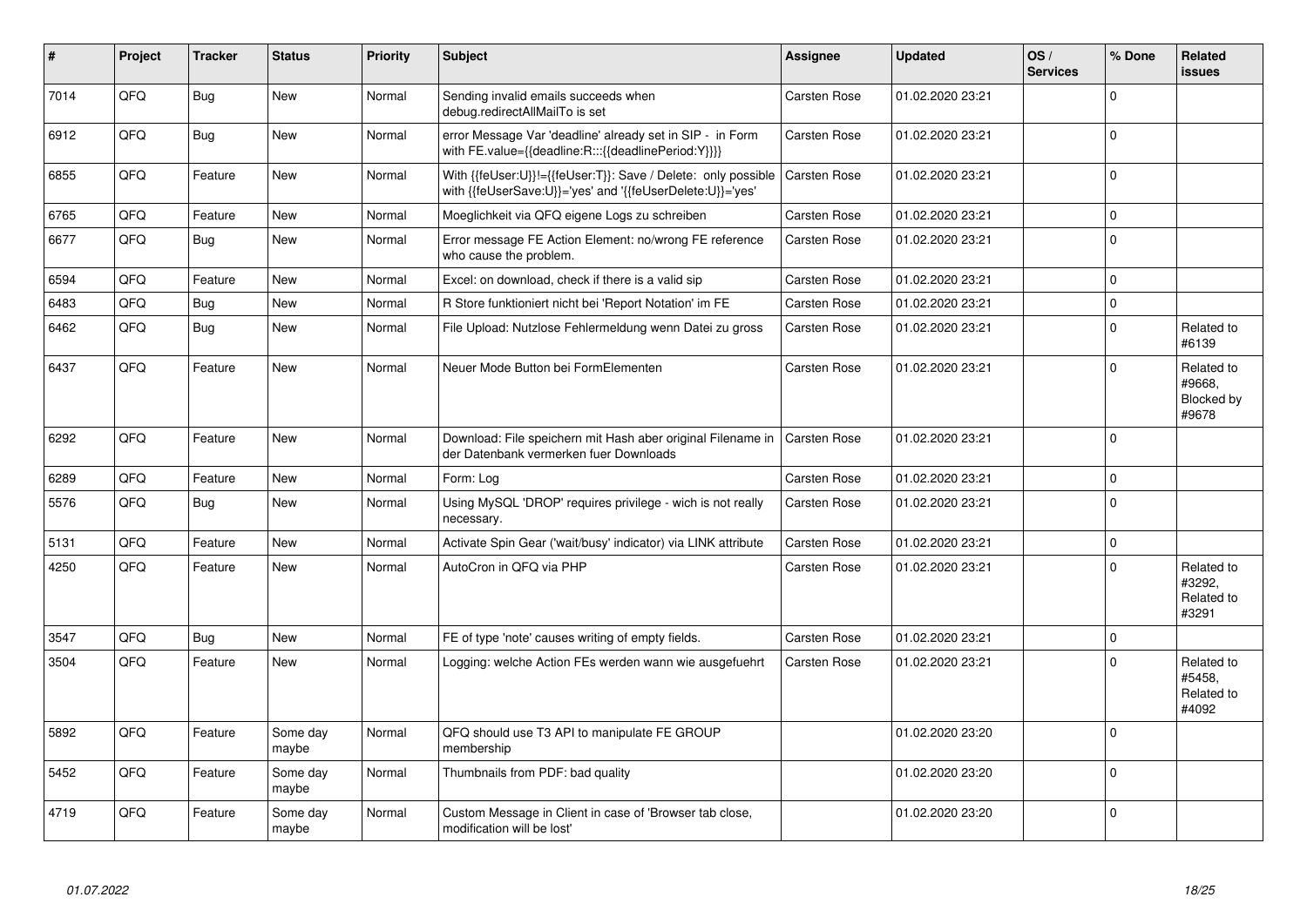| $\pmb{\sharp}$ | Project | <b>Tracker</b> | <b>Status</b>     | <b>Priority</b> | <b>Subject</b>                                                                                                             | Assignee            | <b>Updated</b>   | OS/<br><b>Services</b> | % Done         | Related<br><b>issues</b>                    |
|----------------|---------|----------------|-------------------|-----------------|----------------------------------------------------------------------------------------------------------------------------|---------------------|------------------|------------------------|----------------|---------------------------------------------|
| 7014           | QFQ     | Bug            | <b>New</b>        | Normal          | Sending invalid emails succeeds when<br>debug.redirectAllMailTo is set                                                     | Carsten Rose        | 01.02.2020 23:21 |                        | 0              |                                             |
| 6912           | QFQ     | Bug            | New               | Normal          | error Message Var 'deadline' already set in SIP - in Form<br>with FE.value={{deadline:R:::{{deadlinePeriod:Y}}}}           | Carsten Rose        | 01.02.2020 23:21 |                        | $\Omega$       |                                             |
| 6855           | QFQ     | Feature        | New               | Normal          | With {{feUser:U}}!={{feUser:T}}: Save / Delete: only possible<br>with {{feUserSave:U}}='yes' and '{{feUserDelete:U}}='yes' | <b>Carsten Rose</b> | 01.02.2020 23:21 |                        | $\Omega$       |                                             |
| 6765           | OFO     | Feature        | <b>New</b>        | Normal          | Moeglichkeit via QFQ eigene Logs zu schreiben                                                                              | Carsten Rose        | 01.02.2020 23:21 |                        | 0              |                                             |
| 6677           | QFQ     | Bug            | <b>New</b>        | Normal          | Error message FE Action Element: no/wrong FE reference<br>who cause the problem.                                           | Carsten Rose        | 01.02.2020 23:21 |                        | 0              |                                             |
| 6594           | QFQ.    | Feature        | <b>New</b>        | Normal          | Excel: on download, check if there is a valid sip                                                                          | Carsten Rose        | 01.02.2020 23:21 |                        | <sup>0</sup>   |                                             |
| 6483           | QFQ     | <b>Bug</b>     | New               | Normal          | R Store funktioniert nicht bei 'Report Notation' im FE                                                                     | Carsten Rose        | 01.02.2020 23:21 |                        | $\overline{0}$ |                                             |
| 6462           | QFQ     | <b>Bug</b>     | New               | Normal          | File Upload: Nutzlose Fehlermeldung wenn Datei zu gross                                                                    | Carsten Rose        | 01.02.2020 23:21 |                        | 0              | Related to<br>#6139                         |
| 6437           | QFQ     | Feature        | New               | Normal          | Neuer Mode Button bei FormElementen                                                                                        | Carsten Rose        | 01.02.2020 23:21 |                        | 0              | Related to<br>#9668,<br>Blocked by<br>#9678 |
| 6292           | QFQ     | Feature        | <b>New</b>        | Normal          | Download: File speichern mit Hash aber original Filename in<br>der Datenbank vermerken fuer Downloads                      | <b>Carsten Rose</b> | 01.02.2020 23:21 |                        | 0              |                                             |
| 6289           | QFQ     | Feature        | <b>New</b>        | Normal          | Form: Loa                                                                                                                  | Carsten Rose        | 01.02.2020 23:21 |                        | $\mathbf 0$    |                                             |
| 5576           | QFQ     | Bug            | <b>New</b>        | Normal          | Using MySQL 'DROP' requires privilege - wich is not really<br>necessary.                                                   | Carsten Rose        | 01.02.2020 23:21 |                        | $\Omega$       |                                             |
| 5131           | QFQ     | Feature        | <b>New</b>        | Normal          | Activate Spin Gear ('wait/busy' indicator) via LINK attribute                                                              | Carsten Rose        | 01.02.2020 23:21 |                        | $\mathbf 0$    |                                             |
| 4250           | QFQ     | Feature        | <b>New</b>        | Normal          | AutoCron in QFQ via PHP                                                                                                    | Carsten Rose        | 01.02.2020 23:21 |                        | $\Omega$       | Related to<br>#3292.<br>Related to<br>#3291 |
| 3547           | QFQ     | Bug            | <b>New</b>        | Normal          | FE of type 'note' causes writing of empty fields.                                                                          | <b>Carsten Rose</b> | 01.02.2020 23:21 |                        | 0              |                                             |
| 3504           | QFQ     | Feature        | <b>New</b>        | Normal          | Logging: welche Action FEs werden wann wie ausgefuehrt                                                                     | Carsten Rose        | 01.02.2020 23:21 |                        | 0              | Related to<br>#5458,<br>Related to<br>#4092 |
| 5892           | QFQ     | Feature        | Some day<br>maybe | Normal          | QFQ should use T3 API to manipulate FE GROUP<br>membership                                                                 |                     | 01.02.2020 23:20 |                        | $\Omega$       |                                             |
| 5452           | QFQ     | Feature        | Some day<br>maybe | Normal          | Thumbnails from PDF: bad quality                                                                                           |                     | 01.02.2020 23:20 |                        | 0              |                                             |
| 4719           | QFQ     | Feature        | Some day<br>maybe | Normal          | Custom Message in Client in case of 'Browser tab close,<br>modification will be lost'                                      |                     | 01.02.2020 23:20 |                        | 0              |                                             |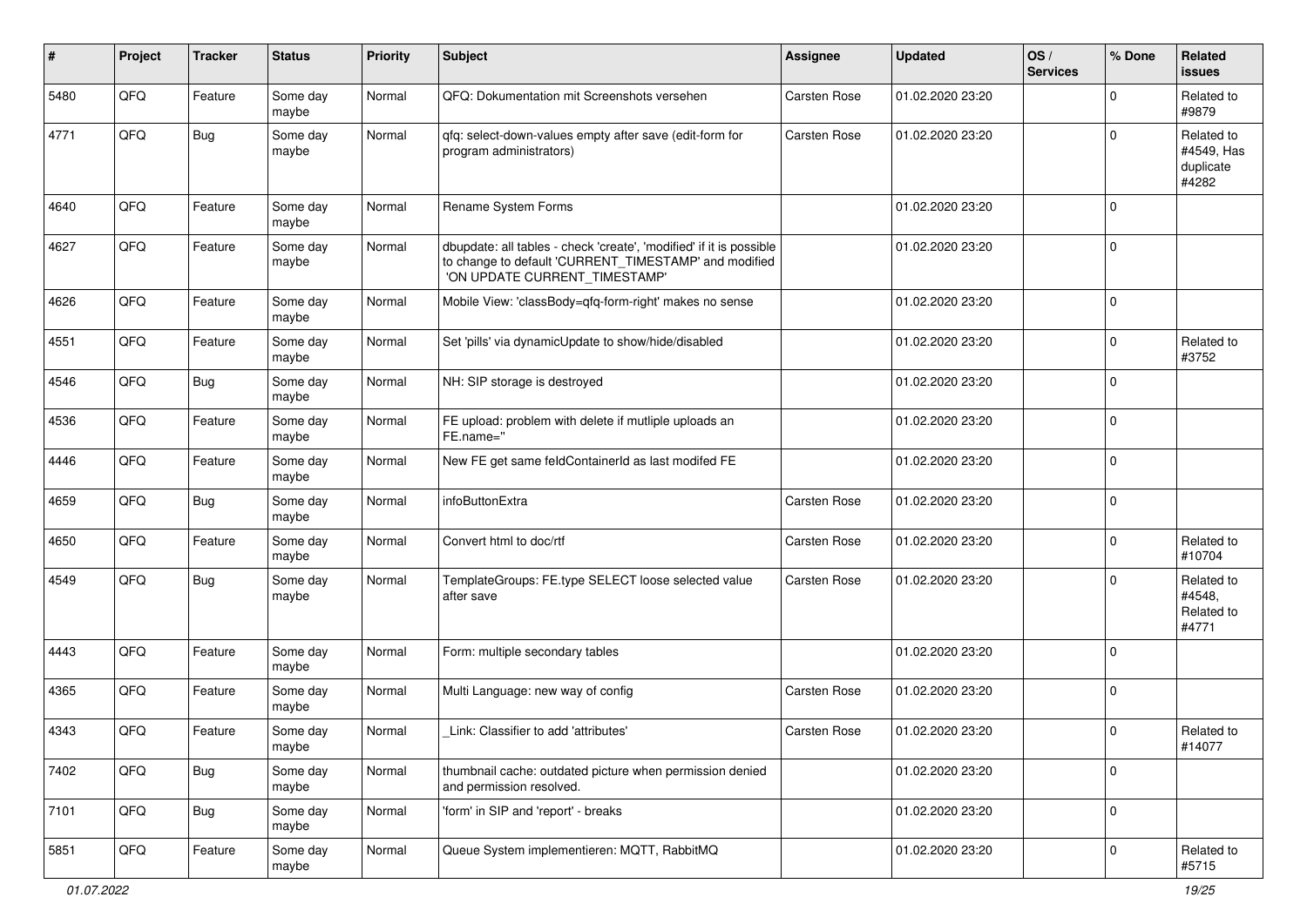| #    | Project | <b>Tracker</b> | <b>Status</b>     | <b>Priority</b> | <b>Subject</b>                                                                                                                                                | Assignee            | <b>Updated</b>   | OS/<br><b>Services</b> | % Done      | Related<br><b>issues</b>                       |
|------|---------|----------------|-------------------|-----------------|---------------------------------------------------------------------------------------------------------------------------------------------------------------|---------------------|------------------|------------------------|-------------|------------------------------------------------|
| 5480 | QFQ     | Feature        | Some day<br>maybe | Normal          | QFQ: Dokumentation mit Screenshots versehen                                                                                                                   | Carsten Rose        | 01.02.2020 23:20 |                        | $\mathbf 0$ | Related to<br>#9879                            |
| 4771 | QFQ     | Bug            | Some day<br>maybe | Normal          | qfq: select-down-values empty after save (edit-form for<br>program administrators)                                                                            | <b>Carsten Rose</b> | 01.02.2020 23:20 |                        | $\mathbf 0$ | Related to<br>#4549, Has<br>duplicate<br>#4282 |
| 4640 | QFQ     | Feature        | Some day<br>maybe | Normal          | Rename System Forms                                                                                                                                           |                     | 01.02.2020 23:20 |                        | $\mathbf 0$ |                                                |
| 4627 | QFQ     | Feature        | Some day<br>maybe | Normal          | dbupdate: all tables - check 'create', 'modified' if it is possible<br>to change to default 'CURRENT TIMESTAMP' and modified<br>'ON UPDATE CURRENT_TIMESTAMP' |                     | 01.02.2020 23:20 |                        | $\mathbf 0$ |                                                |
| 4626 | QFQ     | Feature        | Some day<br>maybe | Normal          | Mobile View: 'classBody=qfq-form-right' makes no sense                                                                                                        |                     | 01.02.2020 23:20 |                        | $\mathbf 0$ |                                                |
| 4551 | QFQ     | Feature        | Some day<br>maybe | Normal          | Set 'pills' via dynamicUpdate to show/hide/disabled                                                                                                           |                     | 01.02.2020 23:20 |                        | $\mathbf 0$ | Related to<br>#3752                            |
| 4546 | QFQ     | <b>Bug</b>     | Some day<br>maybe | Normal          | NH: SIP storage is destroyed                                                                                                                                  |                     | 01.02.2020 23:20 |                        | $\mathbf 0$ |                                                |
| 4536 | QFQ     | Feature        | Some day<br>maybe | Normal          | FE upload: problem with delete if mutliple uploads an<br>FE.name="                                                                                            |                     | 01.02.2020 23:20 |                        | $\mathbf 0$ |                                                |
| 4446 | QFQ     | Feature        | Some day<br>maybe | Normal          | New FE get same feldContainerId as last modifed FE                                                                                                            |                     | 01.02.2020 23:20 |                        | $\mathbf 0$ |                                                |
| 4659 | QFQ     | Bug            | Some day<br>maybe | Normal          | infoButtonExtra                                                                                                                                               | Carsten Rose        | 01.02.2020 23:20 |                        | $\mathbf 0$ |                                                |
| 4650 | QFQ     | Feature        | Some day<br>maybe | Normal          | Convert html to doc/rtf                                                                                                                                       | <b>Carsten Rose</b> | 01.02.2020 23:20 |                        | $\mathbf 0$ | Related to<br>#10704                           |
| 4549 | QFQ     | Bug            | Some day<br>maybe | Normal          | TemplateGroups: FE.type SELECT loose selected value<br>after save                                                                                             | <b>Carsten Rose</b> | 01.02.2020 23:20 |                        | $\mathbf 0$ | Related to<br>#4548,<br>Related to<br>#4771    |
| 4443 | QFQ     | Feature        | Some day<br>maybe | Normal          | Form: multiple secondary tables                                                                                                                               |                     | 01.02.2020 23:20 |                        | $\mathbf 0$ |                                                |
| 4365 | QFQ     | Feature        | Some day<br>maybe | Normal          | Multi Language: new way of config                                                                                                                             | <b>Carsten Rose</b> | 01.02.2020 23:20 |                        | 0           |                                                |
| 4343 | QFQ     | Feature        | Some day<br>maybe | Normal          | Link: Classifier to add 'attributes'                                                                                                                          | <b>Carsten Rose</b> | 01.02.2020 23:20 |                        | 0           | Related to<br>#14077                           |
| 7402 | QFO     | <b>Bug</b>     | Some day<br>maybe | Normal          | thumbnail cache: outdated picture when permission denied<br>and permission resolved.                                                                          |                     | 01.02.2020 23:20 |                        | $\mathbf 0$ |                                                |
| 7101 | QFQ     | <b>Bug</b>     | Some day<br>maybe | Normal          | 'form' in SIP and 'report' - breaks                                                                                                                           |                     | 01.02.2020 23:20 |                        | $\mathbf 0$ |                                                |
| 5851 | QFO     | Feature        | Some day<br>maybe | Normal          | Queue System implementieren: MQTT, RabbitMQ                                                                                                                   |                     | 01.02.2020 23:20 |                        | 0           | Related to<br>#5715                            |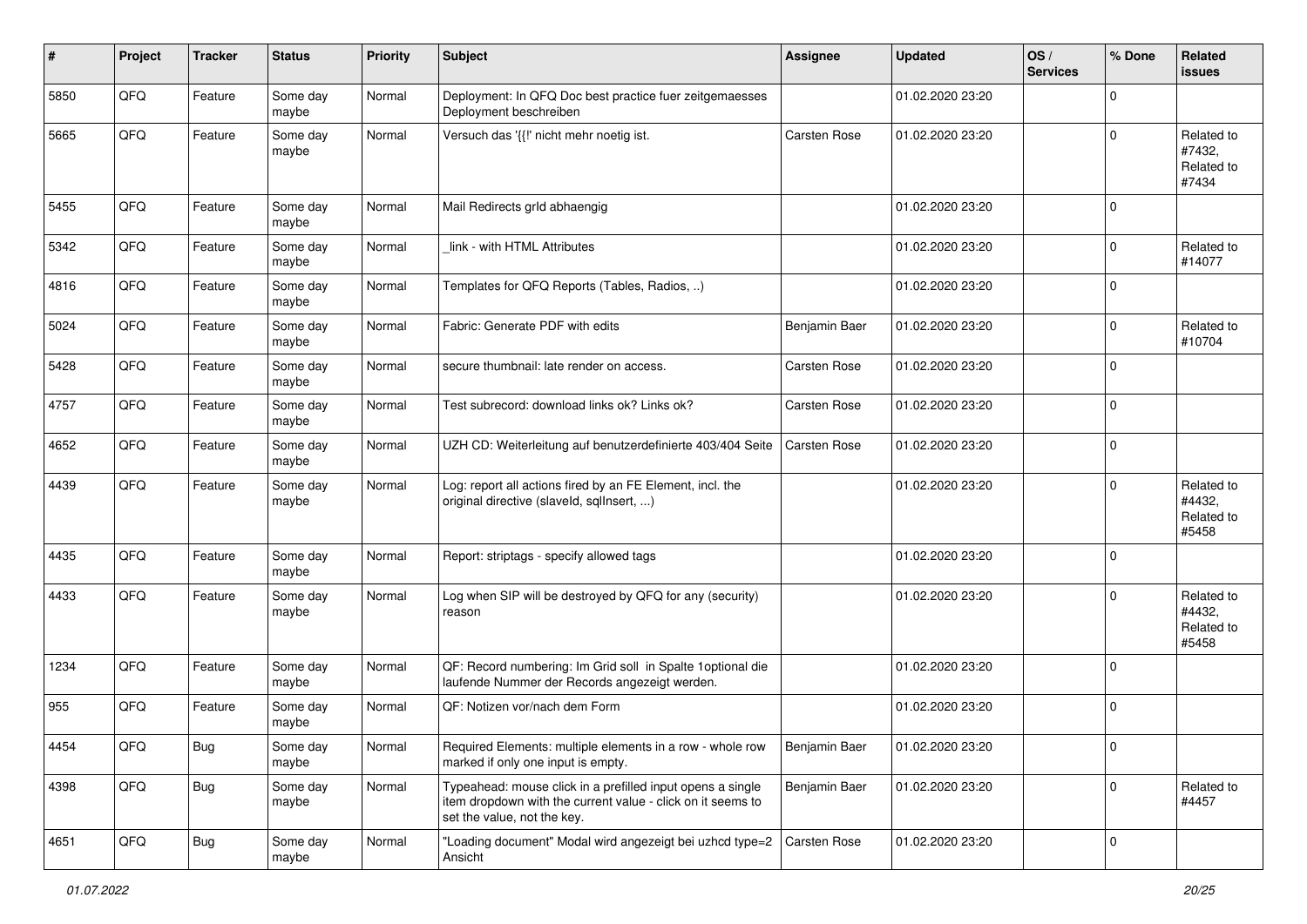| $\sharp$ | Project | <b>Tracker</b> | <b>Status</b>     | <b>Priority</b> | <b>Subject</b>                                                                                                                                           | <b>Assignee</b> | <b>Updated</b>   | OS/<br><b>Services</b> | % Done      | Related<br>issues                           |
|----------|---------|----------------|-------------------|-----------------|----------------------------------------------------------------------------------------------------------------------------------------------------------|-----------------|------------------|------------------------|-------------|---------------------------------------------|
| 5850     | QFQ     | Feature        | Some day<br>maybe | Normal          | Deployment: In QFQ Doc best practice fuer zeitgemaesses<br>Deployment beschreiben                                                                        |                 | 01.02.2020 23:20 |                        | $\mathbf 0$ |                                             |
| 5665     | QFQ     | Feature        | Some day<br>maybe | Normal          | Versuch das '{{!' nicht mehr noetig ist.                                                                                                                 | Carsten Rose    | 01.02.2020 23:20 |                        | $\mathbf 0$ | Related to<br>#7432,<br>Related to<br>#7434 |
| 5455     | QFQ     | Feature        | Some day<br>maybe | Normal          | Mail Redirects grld abhaengig                                                                                                                            |                 | 01.02.2020 23:20 |                        | $\mathbf 0$ |                                             |
| 5342     | QFQ     | Feature        | Some day<br>maybe | Normal          | link - with HTML Attributes                                                                                                                              |                 | 01.02.2020 23:20 |                        | $\mathbf 0$ | Related to<br>#14077                        |
| 4816     | QFQ     | Feature        | Some day<br>maybe | Normal          | Templates for QFQ Reports (Tables, Radios, )                                                                                                             |                 | 01.02.2020 23:20 |                        | 0           |                                             |
| 5024     | QFQ     | Feature        | Some day<br>maybe | Normal          | Fabric: Generate PDF with edits                                                                                                                          | Benjamin Baer   | 01.02.2020 23:20 |                        | $\mathbf 0$ | Related to<br>#10704                        |
| 5428     | QFQ     | Feature        | Some day<br>maybe | Normal          | secure thumbnail: late render on access.                                                                                                                 | Carsten Rose    | 01.02.2020 23:20 |                        | $\mathbf 0$ |                                             |
| 4757     | QFQ     | Feature        | Some day<br>maybe | Normal          | Test subrecord: download links ok? Links ok?                                                                                                             | Carsten Rose    | 01.02.2020 23:20 |                        | $\mathbf 0$ |                                             |
| 4652     | QFQ     | Feature        | Some day<br>maybe | Normal          | UZH CD: Weiterleitung auf benutzerdefinierte 403/404 Seite                                                                                               | Carsten Rose    | 01.02.2020 23:20 |                        | $\mathbf 0$ |                                             |
| 4439     | QFQ     | Feature        | Some day<br>maybe | Normal          | Log: report all actions fired by an FE Element, incl. the<br>original directive (slaveld, sqllnsert, )                                                   |                 | 01.02.2020 23:20 |                        | $\mathbf 0$ | Related to<br>#4432,<br>Related to<br>#5458 |
| 4435     | QFQ     | Feature        | Some day<br>maybe | Normal          | Report: striptags - specify allowed tags                                                                                                                 |                 | 01.02.2020 23:20 |                        | $\mathbf 0$ |                                             |
| 4433     | QFQ     | Feature        | Some day<br>maybe | Normal          | Log when SIP will be destroyed by QFQ for any (security)<br>reason                                                                                       |                 | 01.02.2020 23:20 |                        | $\mathbf 0$ | Related to<br>#4432,<br>Related to<br>#5458 |
| 1234     | QFQ     | Feature        | Some day<br>maybe | Normal          | QF: Record numbering: Im Grid soll in Spalte 1 optional die<br>laufende Nummer der Records angezeigt werden.                                             |                 | 01.02.2020 23:20 |                        | $\mathbf 0$ |                                             |
| 955      | QFQ     | Feature        | Some day<br>maybe | Normal          | OF: Notizen vor/nach dem Form                                                                                                                            |                 | 01.02.2020 23:20 |                        | $\mathbf 0$ |                                             |
| 4454     | QFQ     | <b>Bug</b>     | Some day<br>maybe | Normal          | Required Elements: multiple elements in a row - whole row<br>marked if only one input is empty.                                                          | Benjamin Baer   | 01.02.2020 23:20 |                        | 0           |                                             |
| 4398     | QFQ     | <b>Bug</b>     | Some day<br>maybe | Normal          | Typeahead: mouse click in a prefilled input opens a single<br>item dropdown with the current value - click on it seems to<br>set the value, not the key. | Benjamin Baer   | 01.02.2020 23:20 |                        | $\mathbf 0$ | Related to<br>#4457                         |
| 4651     | QFQ     | <b>Bug</b>     | Some day<br>maybe | Normal          | "Loading document" Modal wird angezeigt bei uzhcd type=2<br>Ansicht                                                                                      | Carsten Rose    | 01.02.2020 23:20 |                        | $\mathbf 0$ |                                             |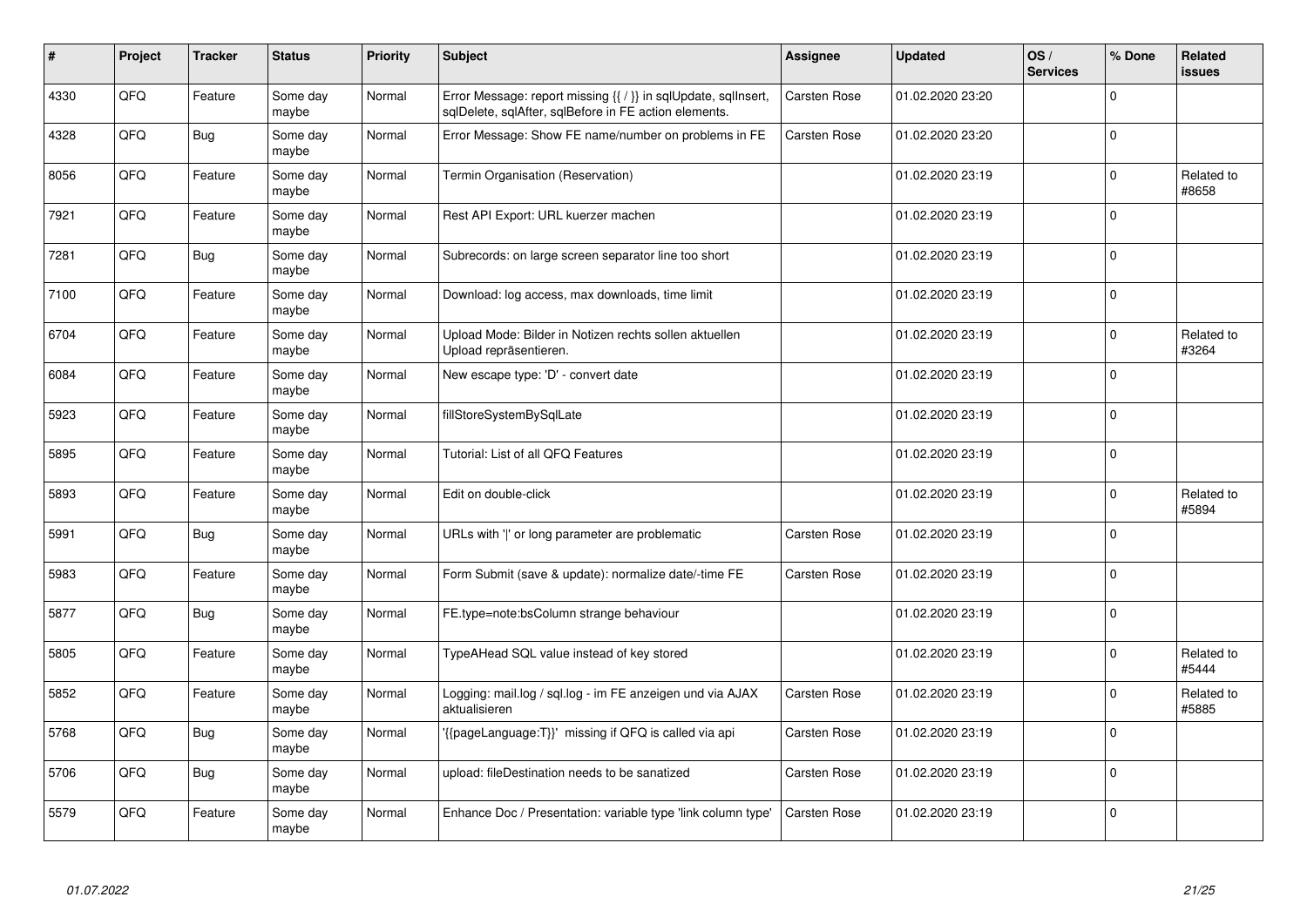| #    | Project | <b>Tracker</b> | <b>Status</b>     | <b>Priority</b> | <b>Subject</b>                                                                                                          | Assignee            | <b>Updated</b>   | OS/<br><b>Services</b> | % Done       | <b>Related</b><br><b>issues</b> |
|------|---------|----------------|-------------------|-----------------|-------------------------------------------------------------------------------------------------------------------------|---------------------|------------------|------------------------|--------------|---------------------------------|
| 4330 | QFQ     | Feature        | Some day<br>maybe | Normal          | Error Message: report missing {{ / }} in sqlUpdate, sqlInsert,<br>sqlDelete, sqlAfter, sqlBefore in FE action elements. | <b>Carsten Rose</b> | 01.02.2020 23:20 |                        | $\Omega$     |                                 |
| 4328 | QFQ     | Bug            | Some day<br>maybe | Normal          | Error Message: Show FE name/number on problems in FE                                                                    | Carsten Rose        | 01.02.2020 23:20 |                        | 0            |                                 |
| 8056 | QFQ     | Feature        | Some day<br>maybe | Normal          | Termin Organisation (Reservation)                                                                                       |                     | 01.02.2020 23:19 |                        | 0            | Related to<br>#8658             |
| 7921 | QFQ     | Feature        | Some day<br>maybe | Normal          | Rest API Export: URL kuerzer machen                                                                                     |                     | 01.02.2020 23:19 |                        | $\Omega$     |                                 |
| 7281 | QFQ     | Bug            | Some day<br>maybe | Normal          | Subrecords: on large screen separator line too short                                                                    |                     | 01.02.2020 23:19 |                        | $\mathbf 0$  |                                 |
| 7100 | QFQ     | Feature        | Some day<br>maybe | Normal          | Download: log access, max downloads, time limit                                                                         |                     | 01.02.2020 23:19 |                        | $\mathbf{0}$ |                                 |
| 6704 | QFQ     | Feature        | Some day<br>maybe | Normal          | Upload Mode: Bilder in Notizen rechts sollen aktuellen<br>Upload repräsentieren.                                        |                     | 01.02.2020 23:19 |                        | $\mathbf 0$  | Related to<br>#3264             |
| 6084 | QFQ     | Feature        | Some day<br>maybe | Normal          | New escape type: 'D' - convert date                                                                                     |                     | 01.02.2020 23:19 |                        | $\mathbf 0$  |                                 |
| 5923 | QFQ     | Feature        | Some day<br>maybe | Normal          | fillStoreSystemBySqlLate                                                                                                |                     | 01.02.2020 23:19 |                        | $\Omega$     |                                 |
| 5895 | QFQ     | Feature        | Some day<br>maybe | Normal          | Tutorial: List of all QFQ Features                                                                                      |                     | 01.02.2020 23:19 |                        | $\mathbf 0$  |                                 |
| 5893 | QFQ     | Feature        | Some day<br>maybe | Normal          | Edit on double-click                                                                                                    |                     | 01.02.2020 23:19 |                        | $\mathbf 0$  | Related to<br>#5894             |
| 5991 | QFQ     | Bug            | Some day<br>maybe | Normal          | URLs with ' ' or long parameter are problematic                                                                         | Carsten Rose        | 01.02.2020 23:19 |                        | $\mathbf 0$  |                                 |
| 5983 | QFQ     | Feature        | Some day<br>maybe | Normal          | Form Submit (save & update): normalize date/-time FE                                                                    | <b>Carsten Rose</b> | 01.02.2020 23:19 |                        | $\mathbf 0$  |                                 |
| 5877 | QFQ     | Bug            | Some day<br>maybe | Normal          | FE.type=note:bsColumn strange behaviour                                                                                 |                     | 01.02.2020 23:19 |                        | 0            |                                 |
| 5805 | QFQ     | Feature        | Some day<br>maybe | Normal          | TypeAHead SQL value instead of key stored                                                                               |                     | 01.02.2020 23:19 |                        | $\Omega$     | Related to<br>#5444             |
| 5852 | QFQ     | Feature        | Some day<br>maybe | Normal          | Logging: mail.log / sql.log - im FE anzeigen und via AJAX<br>aktualisieren                                              | Carsten Rose        | 01.02.2020 23:19 |                        | 0            | Related to<br>#5885             |
| 5768 | QFQ     | Bug            | Some day<br>maybe | Normal          | {{pageLanguage:T}}' missing if QFQ is called via api                                                                    | Carsten Rose        | 01.02.2020 23:19 |                        | 0            |                                 |
| 5706 | QFO     | <b>Bug</b>     | Some day<br>maybe | Normal          | upload: fileDestination needs to be sanatized                                                                           | Carsten Rose        | 01.02.2020 23:19 |                        | 0            |                                 |
| 5579 | QFQ     | Feature        | Some day<br>maybe | Normal          | Enhance Doc / Presentation: variable type 'link column type'                                                            | Carsten Rose        | 01.02.2020 23:19 |                        | $\Omega$     |                                 |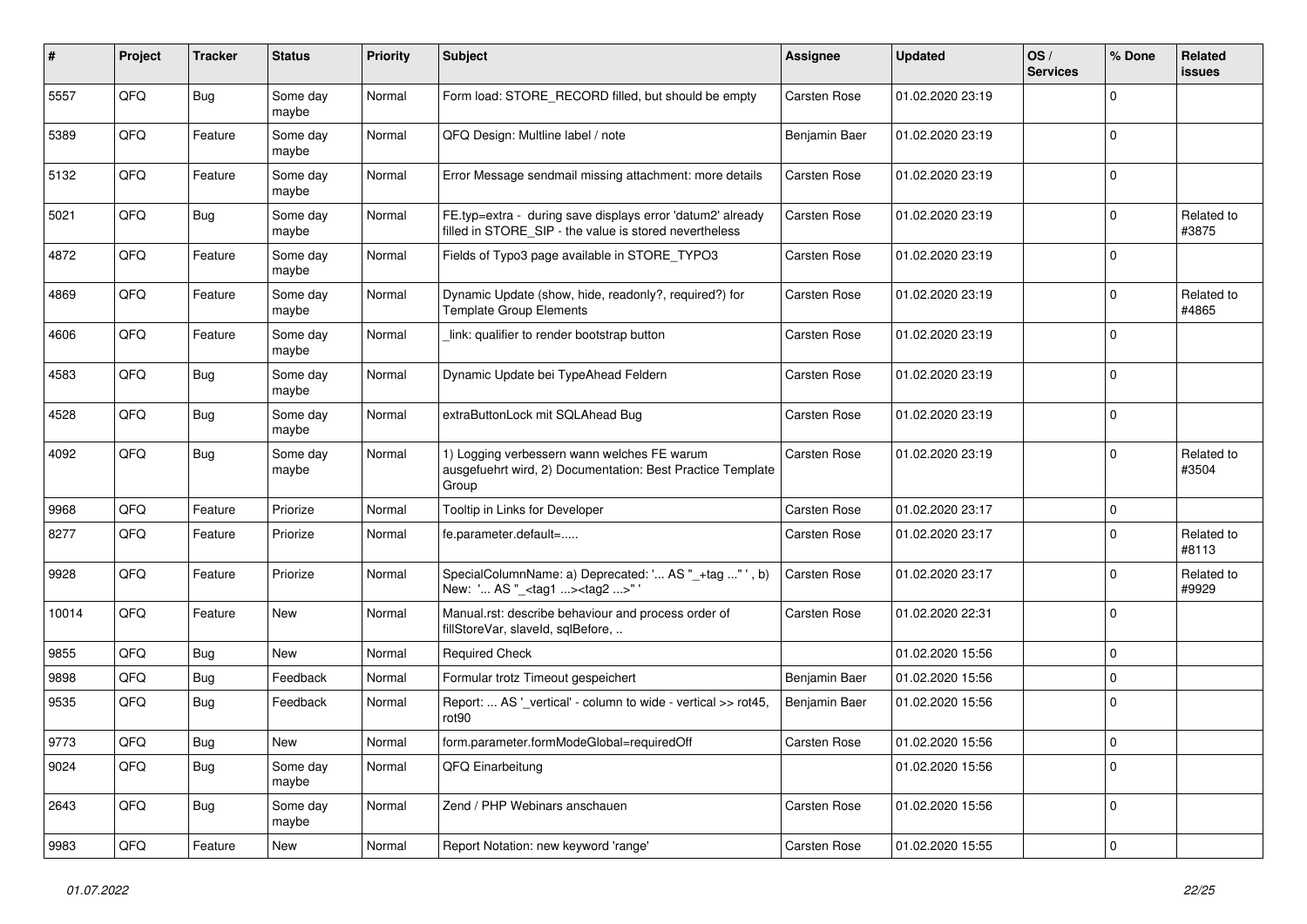| #     | Project | <b>Tracker</b> | <b>Status</b>     | Priority | Subject                                                                                                              | <b>Assignee</b>     | <b>Updated</b>   | OS/<br><b>Services</b> | % Done         | Related<br><b>issues</b> |
|-------|---------|----------------|-------------------|----------|----------------------------------------------------------------------------------------------------------------------|---------------------|------------------|------------------------|----------------|--------------------------|
| 5557  | QFQ     | Bug            | Some day<br>maybe | Normal   | Form load: STORE_RECORD filled, but should be empty                                                                  | <b>Carsten Rose</b> | 01.02.2020 23:19 |                        | $\mathbf 0$    |                          |
| 5389  | QFQ     | Feature        | Some day<br>maybe | Normal   | QFQ Design: Multline label / note                                                                                    | Benjamin Baer       | 01.02.2020 23:19 |                        | $\mathbf 0$    |                          |
| 5132  | QFQ     | Feature        | Some day<br>maybe | Normal   | Error Message sendmail missing attachment: more details                                                              | <b>Carsten Rose</b> | 01.02.2020 23:19 |                        | $\mathbf 0$    |                          |
| 5021  | QFQ     | Bug            | Some day<br>maybe | Normal   | FE.typ=extra - during save displays error 'datum2' already<br>filled in STORE_SIP - the value is stored nevertheless | <b>Carsten Rose</b> | 01.02.2020 23:19 |                        | $\mathbf 0$    | Related to<br>#3875      |
| 4872  | QFQ     | Feature        | Some day<br>maybe | Normal   | Fields of Typo3 page available in STORE_TYPO3                                                                        | <b>Carsten Rose</b> | 01.02.2020 23:19 |                        | $\mathbf 0$    |                          |
| 4869  | QFQ     | Feature        | Some day<br>maybe | Normal   | Dynamic Update (show, hide, readonly?, required?) for<br><b>Template Group Elements</b>                              | <b>Carsten Rose</b> | 01.02.2020 23:19 |                        | $\mathbf 0$    | Related to<br>#4865      |
| 4606  | QFQ     | Feature        | Some day<br>maybe | Normal   | link: qualifier to render bootstrap button                                                                           | Carsten Rose        | 01.02.2020 23:19 |                        | $\Omega$       |                          |
| 4583  | QFQ     | Bug            | Some day<br>maybe | Normal   | Dynamic Update bei TypeAhead Feldern                                                                                 | Carsten Rose        | 01.02.2020 23:19 |                        | $\mathbf 0$    |                          |
| 4528  | QFQ     | Bug            | Some day<br>maybe | Normal   | extraButtonLock mit SQLAhead Bug                                                                                     | <b>Carsten Rose</b> | 01.02.2020 23:19 |                        | $\mathbf 0$    |                          |
| 4092  | QFQ     | Bug            | Some day<br>maybe | Normal   | 1) Logging verbessern wann welches FE warum<br>ausgefuehrt wird, 2) Documentation: Best Practice Template<br>Group   | <b>Carsten Rose</b> | 01.02.2020 23:19 |                        | $\mathbf 0$    | Related to<br>#3504      |
| 9968  | QFQ     | Feature        | Priorize          | Normal   | Tooltip in Links for Developer                                                                                       | <b>Carsten Rose</b> | 01.02.2020 23:17 |                        | $\mathbf 0$    |                          |
| 8277  | QFQ     | Feature        | Priorize          | Normal   | fe.parameter.default=                                                                                                | <b>Carsten Rose</b> | 01.02.2020 23:17 |                        | $\mathbf 0$    | Related to<br>#8113      |
| 9928  | QFQ     | Feature        | Priorize          | Normal   | SpecialColumnName: a) Deprecated: ' AS "_+tag " ', b)<br>New: ' AS "_ <tag1><tag2>"</tag2></tag1>                    | Carsten Rose        | 01.02.2020 23:17 |                        | $\mathbf 0$    | Related to<br>#9929      |
| 10014 | QFQ     | Feature        | New               | Normal   | Manual.rst: describe behaviour and process order of<br>fillStoreVar, slaveId, sqlBefore,                             | <b>Carsten Rose</b> | 01.02.2020 22:31 |                        | $\mathbf 0$    |                          |
| 9855  | QFQ     | <b>Bug</b>     | New               | Normal   | <b>Required Check</b>                                                                                                |                     | 01.02.2020 15:56 |                        | $\mathbf 0$    |                          |
| 9898  | QFQ     | <b>Bug</b>     | Feedback          | Normal   | Formular trotz Timeout gespeichert                                                                                   | Benjamin Baer       | 01.02.2020 15:56 |                        | $\mathbf 0$    |                          |
| 9535  | QFQ     | Bug            | Feedback          | Normal   | Report:  AS '_vertical' - column to wide - vertical >> rot45,<br>rot <sub>90</sub>                                   | Benjamin Baer       | 01.02.2020 15:56 |                        | $\mathbf 0$    |                          |
| 9773  | QFQ     | <b>Bug</b>     | New               | Normal   | form.parameter.formModeGlobal=requiredOff                                                                            | Carsten Rose        | 01.02.2020 15:56 |                        | $\pmb{0}$      |                          |
| 9024  | QFQ     | Bug            | Some day<br>maybe | Normal   | QFQ Einarbeitung                                                                                                     |                     | 01.02.2020 15:56 |                        | $\overline{0}$ |                          |
| 2643  | QFQ     | <b>Bug</b>     | Some day<br>maybe | Normal   | Zend / PHP Webinars anschauen                                                                                        | Carsten Rose        | 01.02.2020 15:56 |                        | 0              |                          |
| 9983  | QFQ     | Feature        | New               | Normal   | Report Notation: new keyword 'range'                                                                                 | Carsten Rose        | 01.02.2020 15:55 |                        | $\overline{0}$ |                          |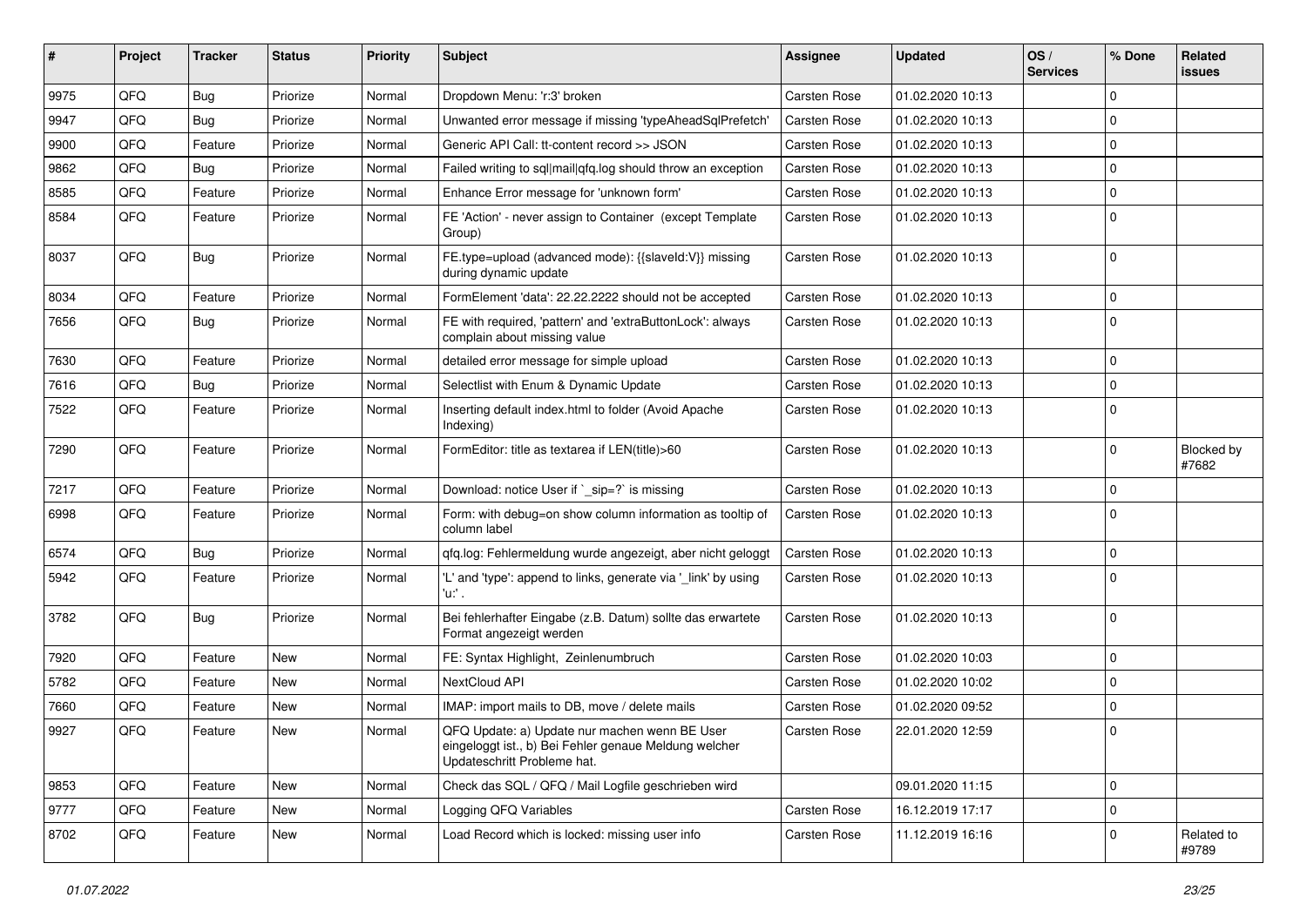| #    | <b>Project</b> | <b>Tracker</b> | <b>Status</b> | <b>Priority</b> | <b>Subject</b>                                                                                                                        | Assignee            | <b>Updated</b>   | OS/<br><b>Services</b> | % Done      | Related<br><b>issues</b> |
|------|----------------|----------------|---------------|-----------------|---------------------------------------------------------------------------------------------------------------------------------------|---------------------|------------------|------------------------|-------------|--------------------------|
| 9975 | QFQ            | Bug            | Priorize      | Normal          | Dropdown Menu: 'r:3' broken                                                                                                           | Carsten Rose        | 01.02.2020 10:13 |                        | $\Omega$    |                          |
| 9947 | QFQ            | Bug            | Priorize      | Normal          | Unwanted error message if missing 'typeAheadSqlPrefetch'                                                                              | <b>Carsten Rose</b> | 01.02.2020 10:13 |                        | $\mathbf 0$ |                          |
| 9900 | QFQ            | Feature        | Priorize      | Normal          | Generic API Call: tt-content record >> JSON                                                                                           | Carsten Rose        | 01.02.2020 10:13 |                        | $\mathbf 0$ |                          |
| 9862 | QFQ            | Bug            | Priorize      | Normal          | Failed writing to sql mail qfq.log should throw an exception                                                                          | Carsten Rose        | 01.02.2020 10:13 |                        | $\mathbf 0$ |                          |
| 8585 | QFQ            | Feature        | Priorize      | Normal          | Enhance Error message for 'unknown form'                                                                                              | Carsten Rose        | 01.02.2020 10:13 |                        | $\mathbf 0$ |                          |
| 8584 | QFQ            | Feature        | Priorize      | Normal          | FE 'Action' - never assign to Container (except Template<br>Group)                                                                    | Carsten Rose        | 01.02.2020 10:13 |                        | $\mathbf 0$ |                          |
| 8037 | QFQ            | Bug            | Priorize      | Normal          | FE.type=upload (advanced mode): {{slaveld:V}} missing<br>during dynamic update                                                        | Carsten Rose        | 01.02.2020 10:13 |                        | $\mathbf 0$ |                          |
| 8034 | QFQ            | Feature        | Priorize      | Normal          | FormElement 'data': 22.22.2222 should not be accepted                                                                                 | Carsten Rose        | 01.02.2020 10:13 |                        | $\mathbf 0$ |                          |
| 7656 | QFQ            | Bug            | Priorize      | Normal          | FE with required, 'pattern' and 'extraButtonLock': always<br>complain about missing value                                             | <b>Carsten Rose</b> | 01.02.2020 10:13 |                        | $\Omega$    |                          |
| 7630 | QFQ            | Feature        | Priorize      | Normal          | detailed error message for simple upload                                                                                              | Carsten Rose        | 01.02.2020 10:13 |                        | $\mathbf 0$ |                          |
| 7616 | QFQ            | Bug            | Priorize      | Normal          | Selectlist with Enum & Dynamic Update                                                                                                 | Carsten Rose        | 01.02.2020 10:13 |                        | $\mathbf 0$ |                          |
| 7522 | QFQ            | Feature        | Priorize      | Normal          | Inserting default index.html to folder (Avoid Apache<br>Indexing)                                                                     | Carsten Rose        | 01.02.2020 10:13 |                        | $\mathbf 0$ |                          |
| 7290 | QFQ            | Feature        | Priorize      | Normal          | FormEditor: title as textarea if LEN(title)>60                                                                                        | <b>Carsten Rose</b> | 01.02.2020 10:13 |                        | $\mathbf 0$ | Blocked by<br>#7682      |
| 7217 | QFQ            | Feature        | Priorize      | Normal          | Download: notice User if `_sip=?` is missing                                                                                          | <b>Carsten Rose</b> | 01.02.2020 10:13 |                        | $\mathbf 0$ |                          |
| 6998 | QFQ            | Feature        | Priorize      | Normal          | Form: with debug=on show column information as tooltip of<br>column label                                                             | <b>Carsten Rose</b> | 01.02.2020 10:13 |                        | $\Omega$    |                          |
| 6574 | QFQ            | Bug            | Priorize      | Normal          | qfq.log: Fehlermeldung wurde angezeigt, aber nicht geloggt                                                                            | Carsten Rose        | 01.02.2020 10:13 |                        | $\mathbf 0$ |                          |
| 5942 | QFQ            | Feature        | Priorize      | Normal          | 'L' and 'type': append to links, generate via '_link' by using<br>'u:' .                                                              | Carsten Rose        | 01.02.2020 10:13 |                        | $\mathbf 0$ |                          |
| 3782 | QFQ            | Bug            | Priorize      | Normal          | Bei fehlerhafter Eingabe (z.B. Datum) sollte das erwartete<br>Format angezeigt werden                                                 | Carsten Rose        | 01.02.2020 10:13 |                        | $\mathbf 0$ |                          |
| 7920 | QFQ            | Feature        | New           | Normal          | FE: Syntax Highlight, Zeinlenumbruch                                                                                                  | Carsten Rose        | 01.02.2020 10:03 |                        | $\mathbf 0$ |                          |
| 5782 | QFQ            | Feature        | <b>New</b>    | Normal          | NextCloud API                                                                                                                         | Carsten Rose        | 01.02.2020 10:02 |                        | $\mathbf 0$ |                          |
| 7660 | QFQ            | Feature        | New           | Normal          | IMAP: import mails to DB, move / delete mails                                                                                         | Carsten Rose        | 01.02.2020 09:52 |                        | $\mathbf 0$ |                          |
| 9927 | QFQ            | Feature        | <b>New</b>    | Normal          | QFQ Update: a) Update nur machen wenn BE User<br>eingeloggt ist., b) Bei Fehler genaue Meldung welcher<br>Updateschritt Probleme hat. | <b>Carsten Rose</b> | 22.01.2020 12:59 |                        | 0           |                          |
| 9853 | QFQ            | Feature        | New           | Normal          | Check das SQL / QFQ / Mail Logfile geschrieben wird                                                                                   |                     | 09.01.2020 11:15 |                        | $\mathbf 0$ |                          |
| 9777 | QFQ            | Feature        | New           | Normal          | Logging QFQ Variables                                                                                                                 | <b>Carsten Rose</b> | 16.12.2019 17:17 |                        | $\mathbf 0$ |                          |
| 8702 | QFQ            | Feature        | New           | Normal          | Load Record which is locked: missing user info                                                                                        | Carsten Rose        | 11.12.2019 16:16 |                        | $\mathbf 0$ | Related to<br>#9789      |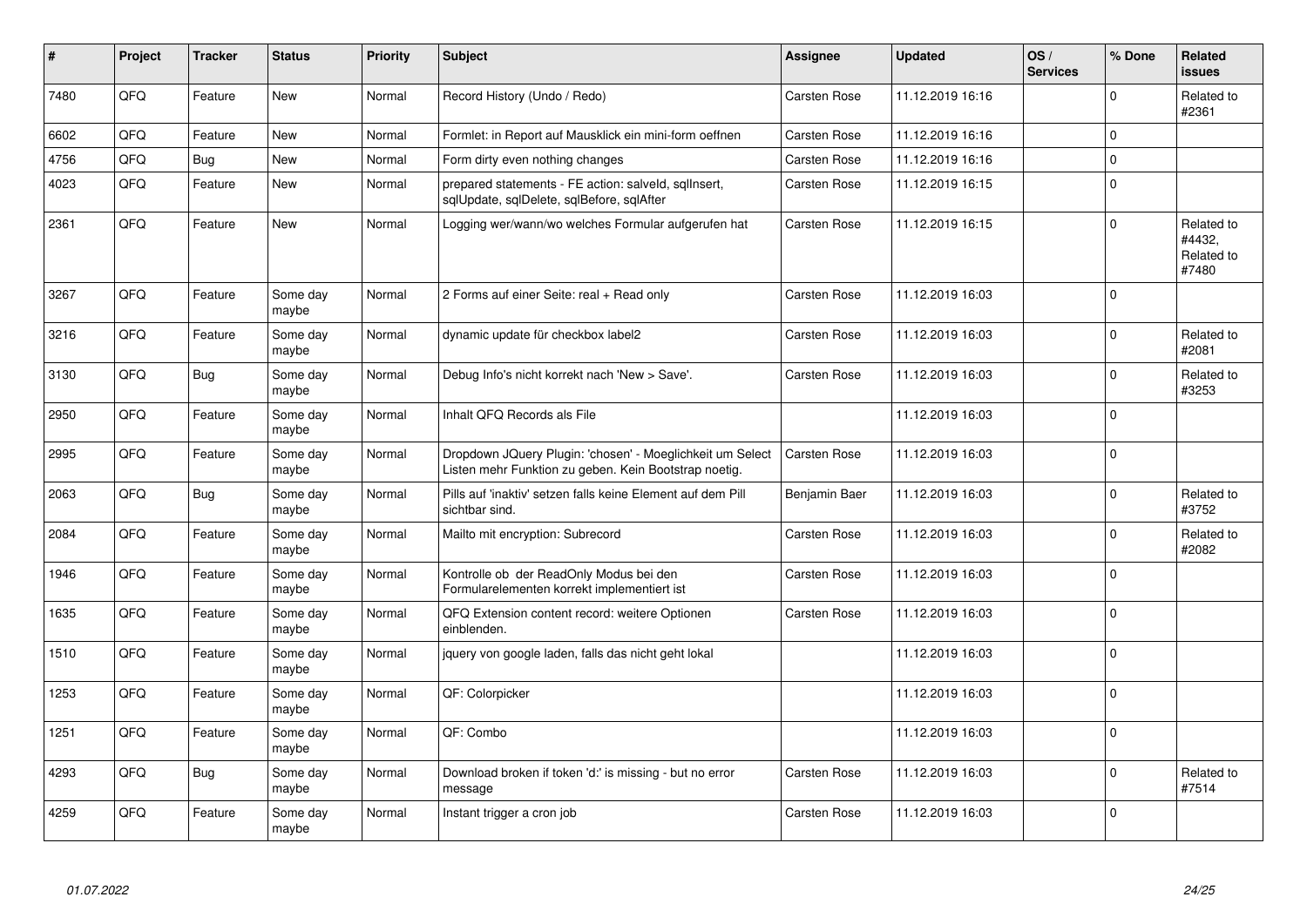| #    | Project | <b>Tracker</b> | <b>Status</b>     | <b>Priority</b> | Subject                                                                                                            | Assignee            | <b>Updated</b>   | OS/<br><b>Services</b> | % Done      | Related<br><b>issues</b>                    |
|------|---------|----------------|-------------------|-----------------|--------------------------------------------------------------------------------------------------------------------|---------------------|------------------|------------------------|-------------|---------------------------------------------|
| 7480 | QFQ     | Feature        | <b>New</b>        | Normal          | Record History (Undo / Redo)                                                                                       | <b>Carsten Rose</b> | 11.12.2019 16:16 |                        | $\Omega$    | Related to<br>#2361                         |
| 6602 | QFQ     | Feature        | <b>New</b>        | Normal          | Formlet: in Report auf Mausklick ein mini-form oeffnen                                                             | <b>Carsten Rose</b> | 11.12.2019 16:16 |                        | $\mathbf 0$ |                                             |
| 4756 | QFQ     | <b>Bug</b>     | New               | Normal          | Form dirty even nothing changes                                                                                    | Carsten Rose        | 11.12.2019 16:16 |                        | $\Omega$    |                                             |
| 4023 | QFQ     | Feature        | New               | Normal          | prepared statements - FE action: salveld, sgllnsert,<br>sglUpdate, sglDelete, sglBefore, sglAfter                  | <b>Carsten Rose</b> | 11.12.2019 16:15 |                        | $\mathbf 0$ |                                             |
| 2361 | QFQ     | Feature        | New               | Normal          | Logging wer/wann/wo welches Formular aufgerufen hat                                                                | Carsten Rose        | 11.12.2019 16:15 |                        | 0           | Related to<br>#4432.<br>Related to<br>#7480 |
| 3267 | QFQ     | Feature        | Some day<br>maybe | Normal          | 2 Forms auf einer Seite: real + Read only                                                                          | <b>Carsten Rose</b> | 11.12.2019 16:03 |                        | $\Omega$    |                                             |
| 3216 | QFQ     | Feature        | Some day<br>maybe | Normal          | dynamic update für checkbox label2                                                                                 | <b>Carsten Rose</b> | 11.12.2019 16:03 |                        | $\mathbf 0$ | Related to<br>#2081                         |
| 3130 | QFQ     | <b>Bug</b>     | Some day<br>maybe | Normal          | Debug Info's nicht korrekt nach 'New > Save'.                                                                      | <b>Carsten Rose</b> | 11.12.2019 16:03 |                        | $\Omega$    | Related to<br>#3253                         |
| 2950 | QFQ     | Feature        | Some day<br>maybe | Normal          | Inhalt QFQ Records als File                                                                                        |                     | 11.12.2019 16:03 |                        | $\Omega$    |                                             |
| 2995 | QFQ     | Feature        | Some day<br>maybe | Normal          | Dropdown JQuery Plugin: 'chosen' - Moeglichkeit um Select<br>Listen mehr Funktion zu geben. Kein Bootstrap noetig. | <b>Carsten Rose</b> | 11.12.2019 16:03 |                        | $\Omega$    |                                             |
| 2063 | QFQ     | Bug            | Some day<br>maybe | Normal          | Pills auf 'inaktiv' setzen falls keine Element auf dem Pill<br>sichtbar sind.                                      | Benjamin Baer       | 11.12.2019 16:03 |                        | $\mathbf 0$ | Related to<br>#3752                         |
| 2084 | QFQ     | Feature        | Some day<br>maybe | Normal          | Mailto mit encryption: Subrecord                                                                                   | <b>Carsten Rose</b> | 11.12.2019 16:03 |                        | $\mathbf 0$ | Related to<br>#2082                         |
| 1946 | QFQ     | Feature        | Some day<br>maybe | Normal          | Kontrolle ob der ReadOnly Modus bei den<br>Formularelementen korrekt implementiert ist                             | <b>Carsten Rose</b> | 11.12.2019 16:03 |                        | $\Omega$    |                                             |
| 1635 | QFQ     | Feature        | Some day<br>maybe | Normal          | QFQ Extension content record: weitere Optionen<br>einblenden.                                                      | Carsten Rose        | 11.12.2019 16:03 |                        | $\Omega$    |                                             |
| 1510 | QFQ     | Feature        | Some day<br>maybe | Normal          | jquery von google laden, falls das nicht geht lokal                                                                |                     | 11.12.2019 16:03 |                        | $\Omega$    |                                             |
| 1253 | QFQ     | Feature        | Some day<br>maybe | Normal          | QF: Colorpicker                                                                                                    |                     | 11.12.2019 16:03 |                        | $\Omega$    |                                             |
| 1251 | QFQ     | Feature        | Some day<br>maybe | Normal          | QF: Combo                                                                                                          |                     | 11.12.2019 16:03 |                        | $\Omega$    |                                             |
| 4293 | QFQ     | <b>Bug</b>     | Some day<br>maybe | Normal          | Download broken if token 'd:' is missing - but no error<br>message                                                 | Carsten Rose        | 11.12.2019 16:03 |                        | $\Omega$    | Related to<br>#7514                         |
| 4259 | QFQ     | Feature        | Some day<br>maybe | Normal          | Instant trigger a cron job                                                                                         | Carsten Rose        | 11.12.2019 16:03 |                        | $\Omega$    |                                             |